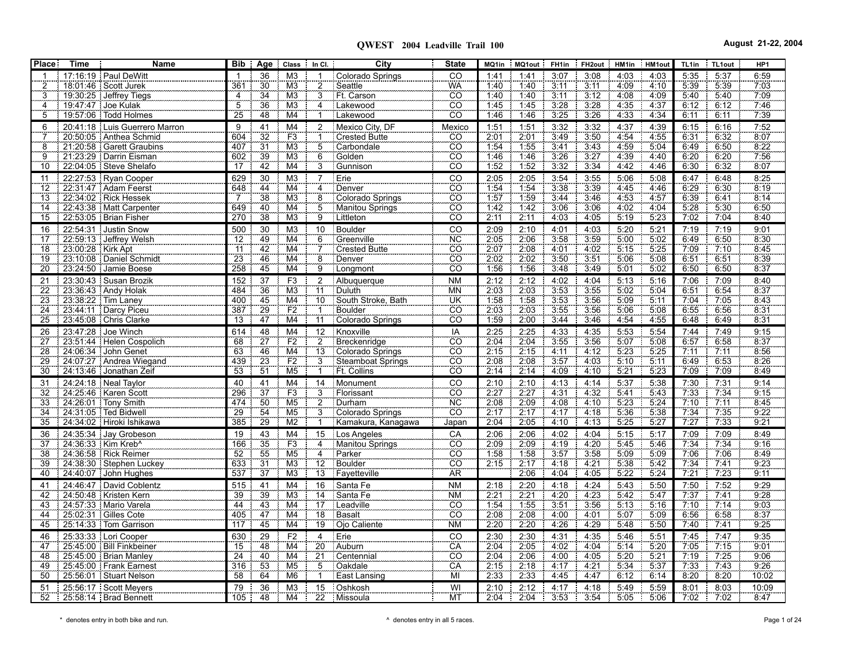| <b>Place</b>          | Time              | Name                                              | $\overline{Bib}$       |                       | Age Class In Cl.         |                                   | City                             | <b>State</b>                        | MQ1in               | MQ1out       | FH <sub>1in</sub> | FH2out HM1in HM1out |              |              | TL1in        | TL1out       | HP <sub>1</sub> |
|-----------------------|-------------------|---------------------------------------------------|------------------------|-----------------------|--------------------------|-----------------------------------|----------------------------------|-------------------------------------|---------------------|--------------|-------------------|---------------------|--------------|--------------|--------------|--------------|-----------------|
|                       |                   | 17:16:19 Paul DeWitt                              |                        | 36                    | M <sub>3</sub>           |                                   | Colorado Springs                 | CO                                  | 1:41                | 1:41         | 3:07              | 3:08                | 4:03         | 4:03         | 5:35         | 5:37         | 6:59            |
|                       |                   | 18:01:46   Scott Jurek                            | 361                    | 30                    | M <sub>3</sub>           | $\overline{\mathbf{c}}$           | Seattle                          | <b>WA</b>                           | 1:40                | 1.40         | 3:11              | 3:11                | 4.09         | 4:10         | 5.39         | 5.39         | 7.03            |
|                       |                   | 19:30:25 Jeffrey Tiegs                            | $\overline{4}$         | 34                    | M <sub>3</sub>           | $\overline{3}$                    | Ft. Carson                       | <b>CO</b>                           | 1:40                | 1:40         | 3:11              | 3:12                | 4:08         | 4:09         | 5:40         | 5:40         | 7:09            |
| 4                     |                   | 19:47:47 Joe Kulak                                | $\overline{5}$         | 36                    | M <sub>3</sub>           | 4                                 | Lakewood                         | CÖ                                  | 1:45                | 1.45         | 3:28              | 3:28                | 4:35         | 4:37         | 6:12         | 6:12         | 7:46            |
| 5                     |                   | 19:57:06   Todd Holmes                            | 25                     | 48                    | M4                       |                                   | Lakewood                         | <b>CO</b>                           | 1:46                | 1:46         | 3:25              | 3:26                | 4:33         | 4:34         | 6:11         | 6:11         | 7:39            |
| 6                     |                   | 20:41:18 Luis Guerrero Marron                     | 9                      | 41                    | M4                       | 2                                 | Mexico City, DF                  | Mexico                              | 1:51                | 1:51         | 3:32              | 3:32                | 4:37         | 4:39         | 6:15         | 6:16         | 7:52            |
|                       |                   | 20:50:05 Anthea Schmid                            | 604                    | $\overline{32}$       | F <sub>3</sub>           |                                   | <b>Crested Butte</b>             | $\overline{CO}$                     | 2:01                | 2:01         | 3:49              | 3:50                | 4 5 4        | 4.55         | 6:31         | 6.32         | 8:07            |
|                       |                   | 21:20:58   Garett Graubins                        | 407                    | $\overline{31}$       | M3                       | 5                                 | Carbondale                       | $\overline{CO}$                     | 1:54                | 1:55         | 3:41              | 3:43                | 4 5 9        | 5.04         | 6:49         | 6:50         | 8:22            |
| 9                     |                   | 21:23:29   Darrin Eisman                          | 602                    | 39                    | M3                       | 6                                 | Golden                           | $\overline{CO}$                     | 1:46                | 1:46         | 3.26              | 3:27                | 4:39         | 4:40         | 6:20         | 6:20         | 7.56            |
| 10                    |                   | 22:04:05   Steve Shelafo                          | 17                     | 42                    | M4                       | $\overline{3}$                    | Gunnison                         | $\overline{CO}$                     | 1:52                | 1:52         | 3:32              | 3:34                | 4:42         | 4:46         | 6:30         | 6:32         | 8:07            |
| 11                    |                   | 22:27:53 Ryan Cooper                              | 629                    | 30                    | M <sub>3</sub>           | $\overline{7}$                    | Erie                             | CO                                  | 2:05                | 2:05         | 3:54              | 3:55                | 5:06         | 5:08         | 6:47         | 6:48         | 8:25            |
| 12                    |                   | 22:31:47 Adam Feerst                              | 648                    | 44                    | $\overline{\mathsf{M4}}$ | 4                                 | Denver                           | <u>CO</u>                           | 1:54                | 1:54         | 3:38              | 3:39                | 4.45         | 4.46         | 6:29         | 6.30         | 8:19            |
| 13                    |                   | 22:34:02   Rick Hessek                            | $\overline{7}$         | 38                    | $\overline{\text{M3}}$   | 8                                 | Colorado Springs                 | $\overline{CO}$                     | 1.57                | 1:59         | 3:44              | 3.46                | 4 5 3        | 4.57         | 6:39         | 6:41         | 8:14            |
| 14                    |                   | 22:43:38   Matt Carpenter                         | 649                    | 40                    | $\overline{\mathsf{M4}}$ | $\frac{5}{9}$                     | Manitou Springs                  | <u>co</u>                           | 1:42                | 1.42         | 3:06              | 3:06                | 4:02         | 4.04         | 5.28         | 5:30         | 6:50            |
| 15                    |                   | 22.53.05   Brian Fisher                           | 270                    | 38                    | M <sub>3</sub>           |                                   | Littleton                        | CÖ.                                 | 2:11                | 2:11         | 4:03              | 4:05                | 5:19         | 5:23         | 7.02         | 7.04         | 8:40            |
| 16                    |                   | 22:54:31 Justin Snow                              | 500                    | 30                    | M <sub>3</sub>           | 10                                | <b>Boulder</b>                   | CO                                  | 2:09                | 2:10         | 4:01              | 4:03                | 5:20         | 5:21         | 7:19         | 7:19         | 9:01            |
| 17                    |                   | 22:59:13 Jeffrey Welsh                            | 12                     | 49                    | M4                       | 6                                 | Greenville                       | NC <sup>1</sup>                     | 2:05                | 2:06         | 3.58              | 3:59                | 5:00         | 5:02         | 6:49         | 6:50         | 8:30            |
| 18                    | 23.00.28 Kirk Apt |                                                   | $\overline{11}$        | 42                    | M4                       |                                   | <b>Crested Butte</b>             | $\overline{\text{CO}}$              | 2:07                | 2:08         | 4.01              | 4:02                | 5:15         | 5:25         | 7:09         | 7:10         | 8:45            |
| 19                    |                   | 23:10:08   Daniel Schmidt                         | 23                     | 46                    | M4                       | $\boldsymbol{8}$                  | Denver                           | CO                                  | 2:02                | 2:02         | 3:50              | 3:51                | 5:06         | 5:08         | 6:51         | 6:51         | 8:39            |
| $\overline{20}$       |                   | 23.24.50 Jamie Boese                              | 258                    | 45                    | M4                       | $\overline{9}$                    | Longmont                         | $\overline{CO}$                     | 1:56                | 1:56         | 3:48              | 3.49                | 5:01         | 5:02         | 6:50         | 6:50         | 8:37            |
| 21                    |                   | 23:30:43 Susan Brozik                             | 152                    | 37                    | F3                       | $\sqrt{2}$                        | Albuquerque                      | <b>NM</b>                           | 2:12                | 2:12         | 4:02              | 4:04                | 5:13         | 5:16         | 7:06         | 7:09         | 8:40            |
| 22                    |                   | 23:36:43   Andy Holak                             | 484                    | 36                    | M <sub>3</sub>           | $\overline{11}$                   | Duluth                           | <b>MN</b>                           | 2.03                | 2:03         | 3.53              | 3.55                | 5.02         | 5.04         | 6:51         | 6.54         | 8:37            |
| 23                    |                   | 23:38:22   Tim Laney                              | 400                    | 45                    | M4                       | 10                                | South Stroke, Bath               | UK                                  | 1:58                | 1:58         | 3:53              | 3:56                | 5:09         | 5:11         | 7.04         | 7:05         | 8:43            |
| 24                    |                   | 23.44.11 Darcy Piceu                              | 387                    | 29                    | F2                       | $\overline{1}$                    | <b>Boulder</b>                   | CO                                  | 2:03                | 2:03         | 3:55              | 3:56                | 5:06         | 5:08         | 6:55         | 6:56         | 8:31            |
| 25                    |                   | 23:45:08 Chris Clarke                             | 13                     | 47                    | M4                       | $\overline{11}$                   | Colorado Springs                 | $\overline{CO}$                     | 159                 | 2:00         | 3:44              | 3:46                | 4:54         | 4:55         | 6:48         | 6:49         | 8:31            |
| 26                    |                   | 23.47.28 Joe Winch                                | 614                    | 48                    | M <sub>4</sub>           | 12                                | Knoxville                        | IA                                  | 2:25                | 2:25         | 4:33              | 4:35                | 5:53         | 5:54         | 7:44         | 7:49         | 9:15            |
| 27                    |                   | 23:51:44 : Helen Cospolich                        | 68                     | $\overline{27}$       | F2                       | $\overline{2}$                    | Breckenridge                     | $\overline{co}$                     | 2.04                | 2.04         | 3:55              | 3.56                | 5.07         | 5.08         | 6.57         | 6.58         | 8.37            |
| 28                    |                   | 24:06:34 John Genet                               | 63<br>439              | 46<br>23              | M4<br>F2                 | 13                                | Colorado Springs                 | CÖ                                  | $\frac{2.15}{2.08}$ | 2:15         | 4:11              | 4:12                | 5.23<br>5:10 | 5:25         | 7:11         | 7:11         | 8.56<br>8:26    |
| 29<br>30              |                   | 24:07:27 Andrea Wiegand<br>24.13.46 Jonathan Zeif | $\overline{53}$        | $\overline{51}$       | M <sub>5</sub>           | $\overline{3}$                    | Steamboat Springs<br>Ft. Collins | $\overline{CO}$<br><u>co</u>        | 2:14                | 2:08<br>2:14 | 3:57<br>4:09      | 4:03<br>4:10        | 5:21         | 5.11<br>5:23 | 6:49<br>7.09 | 6:53<br>7.09 | 8:49            |
|                       |                   |                                                   |                        |                       |                          |                                   |                                  |                                     |                     |              |                   |                     |              |              |              |              |                 |
| 31                    |                   | 24:24:18 Neal Taylor                              | 40                     | 41<br>37              | M4<br>F3                 | $\overline{14}$<br>$\overline{3}$ | Monument                         | CO<br>$\overline{co}$               | 2:10                | 2:10         | 4:13              | 4:14                | 5:37         | 5:38         | 7:30         | 7:31         | 9:14            |
| 32                    |                   | 24:25:46   Karen Scott                            | 296                    |                       | M <sub>5</sub>           |                                   | Florissant                       |                                     | 2.27                | 2.27<br>2.09 | 4.31              | 4:32                | 5.41         | 5:43         | 7:33         | 7:34         | 9:15            |
| 33<br>34              |                   | 24:26:01   Tony Smith<br>24:31:05   Ted Bidwell   | 474<br>$\overline{29}$ | 50<br>$\overline{54}$ | M <sub>5</sub>           | $\overline{2}$<br>3               | Durham<br>Colorado Springs       | <b>NC</b><br>$\overline{\text{CO}}$ | 2:08<br>2:17        | 2:17         | 4:08<br>4:17      | 4:10<br>4:18        | 5.23<br>5.36 | 5.24<br>5:38 | 7:10<br>7.34 | 7:11<br>7.35 | 8:45<br>9.22    |
| 35                    |                   | 24:34:02 Hiroki Ishikawa                          | 385                    | 29                    | M2                       | -1                                | Kamakura, Kanagawa               | Japan                               | 2:04                | 2:05         | 4:10              | 4:13                | 5:25         | 5:27         | 7.27         | 7 3 3        | 9:21            |
|                       |                   |                                                   |                        |                       |                          |                                   |                                  |                                     |                     |              |                   |                     |              |              |              |              |                 |
| 36<br>$\overline{37}$ |                   | $24.35.34$ Jay Grobeson<br>24:36:33   Kim Kreb^   | 19<br>166              | 43<br>35              | M4<br>F3                 | 15<br>4                           | Los Angeles<br>Manitou Springs   | CA<br>CÖ                            | 2:06<br>2:09        | 2:06<br>2:09 | 4:02<br>4.19      | 4:04<br>4.20        | 5:15<br>5.45 | 5:17<br>5.46 | 7:09<br>7:34 | 7:09<br>7:34 | 8:49<br>9:16    |
| 38                    |                   | 24:36:58 Rick Reimer                              | 52                     | 55                    | M <sub>5</sub>           | 4                                 | Parker                           | CO                                  | 1:58                | 1:58         | 3:57              | 3:58                | 5.09         | 5:09         | 7.06         | 7:06         | 8:49            |
| 39                    |                   | 24:38:30 Stephen Luckey                           | 633                    | $\overline{31}$       | M <sub>3</sub>           | 12                                | Boulder                          | $\overline{CO}$                     | 2:15                | 2:17         | 4:18              | 4.21                | 5.38         | 5.42         | 7.34         | 7.41         | 9:23            |
| 40                    |                   | 24:40:07 John Hughes                              | 537                    | 37                    | M <sub>3</sub>           |                                   | 13 Fayetteville                  | <b>AR</b>                           |                     | 2:06         | 4:04              | 4:05                | 5:22         | 5:24         | 7:21         | 7:23         | 9:11            |
| 41                    |                   | 24:46:47 David Coblentz                           | 515                    | 41                    | M <sub>4</sub>           | 16                                | Santa Fe                         | <b>NM</b>                           | 2:18                | 2:20         | 4:18              | 4:24                | 5:43         | 5:50         | 7:50         | 7:52         | 9:29            |
| $\overline{42}$       |                   | 24:50:48 Kristen Kern                             | $\overline{39}$        | 39                    | M <sub>3</sub>           | 14                                | Santa Fe                         | <b>NM</b>                           | 2:21                | 2:21         | 4.20              | 4:23                | 5.42         | 5:47         | 7.37         | 7:41         | 9.28            |
| 43                    |                   | 24:57:33   Mario Varela                           | 44                     | 43                    | M4                       | $\overline{17}$                   | Leadville                        | CO <sub>.</sub>                     | 1.54                | 1.55         | 3:51              | 3.56                | 5.13         | 5.16         | 7.10         | 7.14         | 9:03            |
| 44                    |                   | 25:02:31   Gilles Cote                            | 405                    | 47                    | $\overline{\mathsf{M4}}$ | $\overline{18}$                   | Basalt                           | $\overline{CO}$                     | 2.08                | 2:08         | 4:00              | 4:01                | 5:07         | 5:09         | 6:56         | 6:58         | 8:37            |
| 45                    |                   | 25:14:33   Tom Garrison                           | 117                    | 45                    | M4                       | $\overline{19}$                   | Ojo Caliente                     | <b>NM</b>                           | 2:20                | 2:20         | 4:26              | 4:29                | 5:48         | 5.50         | 7.40         | 7.41         | 9.25            |
| 46                    |                   | 25:33:33 Lori Cooper                              | 630                    | 29                    | F2                       | $\overline{4}$                    | Erie                             | CO                                  | 2:30                | 2:30         | 4:31              | 4:35                | 5:46         | 5:51         | 7:45         | 7:47         | 9:35            |
| 47                    |                   | 25:45:00   Bill Finkbeiner                        | 15                     | 48                    | M4                       | $\overline{20}$                   | Auburn                           | CA                                  | 2.04                | 2:05         | 4:02              | 4:04                | 5:14         | 5:20         | 7.05         | 7:15         | 9:01            |
| 48                    |                   | 25:45:00   Brian Manley                           | $\overline{24}$        | $40^{\circ}$          | M4                       | $\overline{21}$                   | Centennial                       | $\overline{\text{CO}}$              | 2.04                | 2:06         | 4.00              | 4:05                | 5.20         | 5:21         | 7:19         | 7.25         | 9:06            |
| 49                    |                   | 25:45:00 Frank Earnest                            | 316                    | 53                    | M <sub>5</sub>           | $\overline{5}$                    | Oakdale                          | CA                                  | 2:15                | 2:18         | 4:17              | 4:21                | 5:34         | 5:37         | 7:33         | 7:43         | 9:26            |
| 50                    |                   | 25:56:01 Stuart Nelson                            | 58                     | 64                    | M <sub>6</sub>           | $\overline{1}$                    | East Lansing                     | MI                                  | 2:33                | 2:33         | 4:45              | 4:47                | 6:12         | 6:14         | 8:20         | 8:20         | 10:02           |
| 51                    |                   | 25.56.17 Scott Meyers                             | 79                     | 36                    | M <sub>3</sub>           | 15                                | Oshkosh                          | WI                                  | 2:10                | 2:12         | 4:17              | 4:18                | 5:49         | 5:59         | 8:01         | 8:03         | 10:09           |
| 52                    |                   | 25.58.14   Brad Bennett                           | 105                    | 48                    | M <sub>4</sub>           |                                   | 22 Missoula                      | <b>MT</b>                           | 2:04                | 2:04         | 3:53              | 3:54                | 5:05         | 5:06         | 7:02         | 7:02         | 8:47            |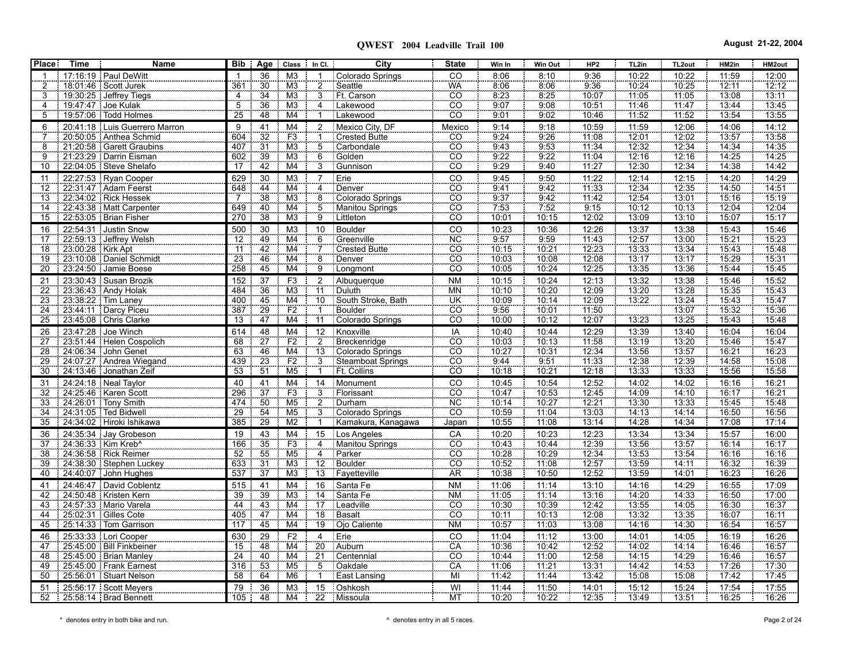| <b>Place</b>               | <b>Time</b>       | Name                                                 | <b>Bib</b>             | Age                                | Class In Cl.                      |                                  | City                         | <b>State</b>                                  | Win In         | Win Out        | HP <sub>2</sub> | TL2in             | TL <sub>2out</sub> | HM2in          | HM2out         |
|----------------------------|-------------------|------------------------------------------------------|------------------------|------------------------------------|-----------------------------------|----------------------------------|------------------------------|-----------------------------------------------|----------------|----------------|-----------------|-------------------|--------------------|----------------|----------------|
|                            |                   | 17:16:19   Paul DeWitt                               | $\mathbf{1}$           | 36                                 | M <sub>3</sub>                    |                                  | Colorado Springs             | CO                                            | 8:06           | 8:10           | 9:36            | 10:22             | 10:22              | 11:59          | 12:00          |
| $\frac{2}{3}$              |                   | 18:01:46 Scott Jurek                                 | 361                    | $\overline{30}$                    | M <sub>3</sub>                    | $\overline{2}$                   | Seattle                      | <b>WA</b>                                     | 8:06           | 8.06           | 9.36            | 10:24             | 10.25              | 12:11          | 12:12          |
|                            |                   | 19:30:25 Jeffrey Tiegs                               | $\overline{4}$         | 34                                 | M <sub>3</sub>                    | $\overline{3}$                   | Ft. Carson                   | $\overline{CO}$                               | 8.23           | 8.25           | 10:07           | 11:05             | 11:05              | 13:08          | 13:11          |
| $\overline{4}$             |                   | 19:47:47 Joe Kulak                                   | $\overline{5}$         | $\overline{36}$                    | M <sub>3</sub>                    | $\overline{\mathbf{4}}$          | Lakewood                     | CO                                            | 9:07           | 9.08           | 10:51           | 11:46             | 11:47              | 13:44          | 13:45          |
| 5                          |                   | 19.57:06   Todd Holmes                               | 25                     | 48                                 | M4                                |                                  | Lakewood                     | <u>co</u>                                     | 9:01           | 9:02           | 10:46           | 11:52             | 11:52              | 13:54          | 13.55          |
| 6                          |                   | 20:41:18 Luis Guerrero Marron                        | 9                      | 41                                 | M <sub>4</sub>                    | $\overline{\mathbf{c}}$          | Mexico City, DF              | Mexico                                        | 9:14           | 9:18           | 10:59           | 11:59             | 12:06              | 14:06          | 14:12          |
| $\overline{7}$             |                   | 20:50:05 Anthea Schmid                               | 604                    | $\overline{32}$                    | F3                                |                                  | <b>Crested Butte</b>         | $\overline{CO}$                               | 9:24           | 9:26           | 11:08           | 12:01             | 12:02              | 13:57          | 13:58          |
| 8                          |                   | 21:20:58   Garett Graubins                           | 407                    | $\overline{31}$                    | M <sub>3</sub>                    | $\overline{5}$                   | Carbondale                   | CO                                            | 9.43           | 9:53           | 11:34           | 12:32             | 12.34              | 14.34          | 14:35          |
| 9                          |                   | 21:23:29   Darrin Eisman                             | 602                    | 39                                 | M3                                | $\overline{6}$                   | Golden                       | $\overline{CO}$                               | 9.22           | 9:22           | 11:04           | 12:16             | 12:16              | 14.25          | 14:25          |
| 10                         |                   | 22:04:05 Steve Shelafo                               | 17                     | 42                                 | M4                                | $\overline{3}$                   | Gunnison                     | $\overline{CO}$                               | 9.29           | 9:40           | 11:27           | 12:30             | 12:34              | 14:38          | 14:42          |
| 11                         |                   | 22:27:53 Ryan Cooper                                 | 629                    | 30                                 | M <sub>3</sub>                    | $\overline{7}$                   | Erie                         | CO                                            | 9:45           | 9:50           | 11:22           | 12:14             | 12:15              | 14:20          | 14:29          |
| 12                         |                   | 22:31:47   Adam Feerst                               | 648                    | $\overline{44}$                    | M <sub>4</sub>                    | 4                                | Denver                       | $\overline{CO}$                               | 9.41           | 9.42           | 11:33           | 12.34             | 12.35              | 14:50          | 14.51          |
| 13<br>$\overline{14}$      |                   | 22:34:02   Rick Hessek<br>22:43:38   Matt Carpenter  | $\overline{7}$<br>649  | 38<br>40                           | M <sub>3</sub><br>$\overline{M4}$ | $\overline{8}$<br>$\overline{5}$ | Colorado Springs             | $\overline{CO}$<br>$\overline{c}\overline{o}$ | 9.37<br>7.53   | 9.42<br>7.52   | 11.42<br>9.15   | 12:54<br>10:12    | 13:01<br>10:13     | 15:16<br>12:04 | 15:19<br>12:04 |
|                            |                   | 22:53:05   Brian Fisher                              | 270                    | 38                                 | M <sub>3</sub>                    | $\overline{9}$                   | Manitou Springs<br>Littleton | <b>CO</b>                                     | 10:01          | 10:15          | 12:02           | 13:09             | 13:10              | 15:07          | 15:17          |
| 15                         |                   |                                                      |                        |                                    |                                   |                                  |                              |                                               |                |                |                 |                   |                    |                |                |
| 16                         |                   | 22:54:31 Justin Snow<br>22:59:13 Jeffrey Welsh       | 500<br>$\overline{12}$ | 30<br>49                           | M <sub>3</sub><br>M4              | 10<br>÷<br>6                     | <b>Boulder</b><br>Greenville | CO<br><b>NC</b>                               | 10:23<br>957   | 10:36<br>9.59  | 12:26<br>11.43  | 13:37<br>12:57    | 13:38<br>13:00     | 15:43<br>15.21 | 15:46<br>15:23 |
| 17<br>18                   | 23:00:28 Kirk Apt |                                                      | $\overline{11}$        | 42                                 | M4                                | 7                                | Crested Butte                | cö                                            | 10:15          | 10.21          | 12:23           | 13:33             | 13:34              | 15:43          | 15:48          |
| 19                         |                   | 23:10:08 Daniel Schmidt                              | 23                     | 46                                 | M4                                |                                  | Denver                       | $\overline{c}\overline{o}$                    | 10:03          | 10:08          | 12:08           | 13:17             | 13:17              | 15:29          | 15:31          |
| 20                         |                   | 23:24:50 Jamie Boese                                 | 258                    | 45                                 | M <sub>4</sub>                    | $\frac{8}{9}$                    | Longmont                     | $\overline{CO}$                               | 10:05          | 10:24          | 12.25           | 73.35             | 13:36              | 15.44          | 15:45          |
| 21                         |                   | 23:30:43 Susan Brozik                                | 152                    | 37                                 | F3                                | $\overline{2}$                   | Albuquerque                  | <b>NM</b>                                     | 10:15          | 10:24          | 12:13           | 13:32             | 13:38              | 15:46          | 15:52          |
| 22                         |                   | 23:36:43 Andy Holak                                  | 484                    | 36                                 | M <sub>3</sub>                    | 11                               | Duluth                       | <b>MN</b>                                     | 10:10          | 10:20          | 12:09           | 13:20             | 13:28              | 15:35          | 15:43          |
| 23                         |                   | 23:38:22   Tim Laney                                 | 400                    | 45                                 | $\overline{\mathsf{M}}$ 4         | $\overline{10}$                  | South Stroke, Bath           | ÜΚ                                            | 10:09          | 10:14          | 12:09           | 13:22             | 13:24              | 15.43          | 15:47          |
| 24                         |                   | 23:44:11   Darcy Piceu                               | 387                    | 29                                 | F2                                | $\mathbf{1}$                     | Boulder                      | $\overline{CO}$                               | 9:56           | 10:01          | 11:50           |                   | 13:07              | 15:32          | 15:36          |
| 25                         |                   | 23:45:08 Chris Clarke                                | 13                     | 47                                 | M4                                | 11                               | Colorado Springs             | $\overline{CO}$                               | 10:00          | 10:12          | 12:07           | 13:23             | 13:25              | 15:43          | 15:48          |
| 26                         |                   | 23:47:28 Joe Winch                                   | 614                    | 48                                 | M4                                | 12                               | Knoxville                    | $\overline{IA}$                               | 10:40          | 10:44          | 12:29           | 13:39             | 13:40              | 16:04          | 16:04          |
| $\overline{27}$            |                   | 23.51.44   Helen Cospolich                           | 68                     | $\overline{27}$                    | F <sub>2</sub>                    | $\overline{2}$                   | Breckenridge                 | $\overline{co}$                               | 10:03          | 10:13          | 11:58           | 13:19             | 13.20              | 15.46          | 15.47          |
| 28                         |                   | 24:06:34 John Genet                                  | 63                     | 46                                 | $\overline{\mathsf{M4}}$          | 13                               | Colorado Springs             | $\overline{CO}$                               | 10:27          | 10:31          | 12:34           | 13:56             | 13.57              | 16:21          | 16:23          |
| 29                         |                   | 24:07:27 Andrea Wiegand                              | 439                    | 23                                 | F2                                | $\overline{3}$                   | Steamboat Springs            | $\overline{CO}$                               | 944            | 9:51           | 11:33           | 12:38             | 12:39              | 14:58          | 15:08          |
| 30                         |                   | 24:13:46 Jonathan Zeif                               | 53                     | $\overline{51}$                    | M <sub>5</sub>                    |                                  | <b>Ft. Collins</b>           | $\overline{c}\overline{o}$                    | 10:18          | 10:21          | 12:18           | 13:33             | 13:33              | 15:56          | 15:58          |
| 31                         |                   | 24:24:18 Neal Taylor                                 | 40                     | 41                                 | M4                                | 14                               | Monument                     | $rac{1}{100}$                                 | 10:45          | 10:54          | 12:52           | 14:02             | 14:02              | 16:16          | 16:21          |
| $\overline{3}\overline{2}$ |                   | 24:25:46   Karen Scott                               | 296                    | $\overline{37}$                    | F <sub>3</sub>                    | $\overline{3}$                   | Florissant                   |                                               | 10.47          | 10:53          | 12.45           | 14:09             | 14:10              | 16:17          | 16:21          |
| 33                         |                   | 24:26:01   Tony Smith                                | 474                    | 50                                 | M <sub>5</sub>                    | $\overline{2}$                   | Durham                       | <b>NC</b>                                     | 10:14          | 10.27          | 12.21           | 13:30             | 13:33              | 15.45          | 15:48          |
| 34                         |                   | 24:31:05 Ted Bidwell                                 | 29                     | 54                                 | M <sub>5</sub>                    | $\overline{3}$                   | Colorado Springs             | $\overline{CO}$                               | 10.59          | 11.04          | 13:03           | $\frac{1}{14.13}$ | 14:14              | 16:50          | 16:56          |
| 35                         |                   | 24:34:02 Hiroki Ishikawa                             | 385                    | 29                                 | M2                                |                                  | Kamakura, Kanagawa           | Japan                                         | 10:55          | 11.08          | 13:14           | 14.28             | 14:34              | 17.08          | 17:14          |
| 36                         |                   | 24:35:34 Jay Grobeson                                | 19                     | $\frac{43}{35}$                    | M4                                | 15                               | Los Angeles                  | CA                                            | 10:20          | 10:23          | 12:23           | 13:34             | 13:34              | 15:57          | 16:00          |
| 37                         |                   | 24.36.33   Kim Kreb^                                 | 166                    |                                    | F3                                | $\overline{4}$                   | Manitou Springs              | $\overline{CO}$                               | 10:43          | 10:44          | 12:39           | 13:56             | 13:57              | 16.14          | 16:17          |
| 38                         |                   | 24:36:58 Rick Reimer                                 | 52                     | 55                                 | M <sub>5</sub>                    | 4                                | <b>Parker</b>                | $\overline{CO}$<br>CO <sup>T</sup>            | 10:28          | 10:29          | 12:34           | 13:53             | 13:54              | 16:16          | 16:16          |
| 39                         |                   | 24:38:30 Stephen Luckey                              | 633<br>537             | $\overline{31}$<br>$\overline{37}$ | M <sub>3</sub><br>M3              | 12                               | Boulder                      | A <sub>R</sub>                                | 10.52<br>10:38 | 11:08<br>10:50 | 12.57           | 13:59<br>13:59    | 14:11              | 16:32<br>16:23 | 16:39          |
| 40                         |                   | 24:40:07 John Hughes                                 |                        |                                    |                                   | 13                               | Fayetteville                 |                                               |                |                | 12:52           |                   | 14:01              |                | 16.26          |
| 41<br>42                   |                   | 24:46:47   David Coblentz<br>24:50:48   Kristen Kern | 515<br>$\overline{39}$ | 41<br>39                           | M4<br>M <sub>3</sub>              | 16<br>14                         | Santa Fe<br>Santa Fe         | <b>NM</b><br><b>NM</b>                        | 11:06<br>11.05 | 11:14<br>11:14 | 13:10<br>13:16  | 14:16<br>14:20    | 14:29<br>14:33     | 16:55<br>16:50 | 17:09<br>17:00 |
| 43                         |                   | 24.57.33 Mario Varela                                | 44                     | 43                                 | M4                                |                                  | Leadville                    | CO                                            | 10:30          | 10:39          | 12.42           | 13:55             | 14:05              | 16:30          | 16:37          |
| 44                         |                   | 25.02.31   Gilles Cote                               | 405                    | 47                                 | $\overline{\mathsf{M4}}$          | $\overline{18}$                  | Basalt                       | $\overline{\text{CO}}$                        | 10:11          | 10:13          | 12:08           | 13:32             | 13:35              | 16:07          | 16:11          |
| 45                         |                   | 25:14:33   Tom Garrison                              | 117                    | 45                                 | M4                                | 19                               | Ojo Caliente                 | <b>NM</b>                                     | 10.57          | 11:03          | 13:08           | 14:16             | 14:30              | 16:54          | 16:57          |
| 46                         |                   | 25:33:33 Lori Cooper                                 | 630                    | $\overline{29}$                    | F2                                | $\overline{4}$                   | Erie                         | CO                                            | 11:04          | 11:12          | 13:00           | 14:01             | 14:05              | 16:19          | 16:26          |
| 47                         |                   | 25:45:00   Bill Finkbeiner                           | 15                     | 48                                 | M <sub>4</sub>                    | 20                               | Auburn                       | CÄ                                            | 10:36          | 10:42          | 12.52           | 14:02             | 14:14              | 16:46          | 16:57          |
| 48                         |                   | 25:45:00   Brian Manley                              | $\overline{24}$        | 40                                 | M4                                | $\overline{21}$                  | Centennial                   | cö                                            | 10:44          | 11:00          | 12:58           | 14:15             | 14:29              | 16:46          | 16:57          |
| 49                         |                   | 25:45:00   Frank Earnest                             | 316                    | 53                                 | M <sub>5</sub>                    | $\overline{5}$                   | Oakdale                      | CA                                            | 11:06          | 11.21          | 13:31           | 14:42             | 14:53              | 17:26          | 17:30          |
| 50                         |                   | 25:56:01   Stuart Nelson                             | 58                     | 64                                 | M <sub>6</sub>                    | $\mathbf{1}$                     | East Lansing                 | MI                                            | 11.42          | 11.44          | 13:42           | 15:08             | 15:08              | 17:42          | 17:45          |
| 51                         |                   | 25:56:17 Scott Meyers                                | 79                     | 36                                 | M <sub>3</sub>                    | 15                               | Oshkosh                      | WI                                            | 11:44          | 11:50          | 14:01           | 15:12             | 15:24              | 17:54          | 17:55          |
| 52                         |                   | 25:58:14   Brad Bennett                              | 105                    | 48                                 | M <sub>4</sub><br>÷               |                                  | 22 Missoula                  | <b>MT</b>                                     | 10:20          | 10:22          | 12:35           | 13:49             | 13:51              | 16:25          | 16:26          |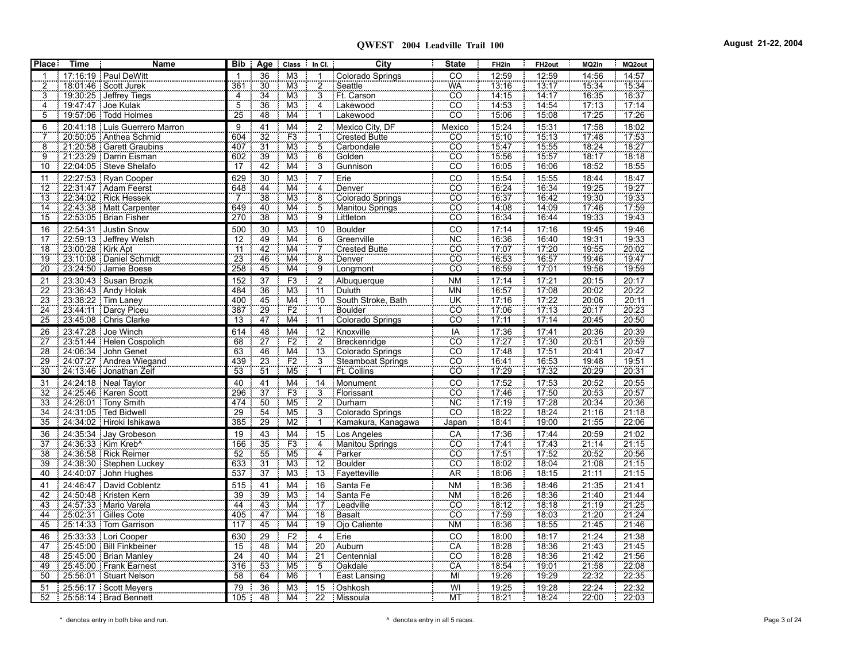| <b>Place</b>          | <b>Time</b>         | <b>Name</b>                                     |                  |                      | Bib   Age   Class   In Cl.   |                                                  | City                             | <b>State</b>                                                                                                      | FH <sub>2in</sub>     | FH <sub>2out</sub>             | MQ2in                      | MQ2out                |
|-----------------------|---------------------|-------------------------------------------------|------------------|----------------------|------------------------------|--------------------------------------------------|----------------------------------|-------------------------------------------------------------------------------------------------------------------|-----------------------|--------------------------------|----------------------------|-----------------------|
| 1                     |                     | 17:16:19   Paul DeWitt                          |                  | 36                   | M <sub>3</sub>               | 1                                                | Colorado Springs                 | $\overline{co}$                                                                                                   | 12:59                 | 12:59                          | 14:56                      | 14:57                 |
| $\frac{2}{3}$         |                     | 18:01:46   Scott Jurek                          | 361              | $\overline{30}$      | M <sub>3</sub>               |                                                  | Seattle                          | $\begin{array}{c}\n\hline\n\text{WA} \\ \hline\n\text{CO} \\ \hline\n\text{CO} \\ \hline\n\text{CO}\n\end{array}$ | $\frac{13.16}{2}$     | $\frac{13.17}{2}$              | 15:34                      | 15.34                 |
|                       |                     | 19:30:25   Jeffrey Tiegs                        | $\frac{4}{5}$    | $\frac{34}{36}$      | M3                           | $\frac{2}{3}$                                    | Ft. Carson                       |                                                                                                                   | 14:15                 | 14.17                          | 16:35                      | 16:37                 |
| $\frac{4}{5}$         |                     | 19.47.47 Joe Kulak                              |                  |                      | M <sub>3</sub>               | $\frac{4}{1}$                                    | Lakewood                         |                                                                                                                   | 14:53                 | 14.54                          | 17:13                      | 17:14                 |
|                       |                     | 19:57:06   Todd Holmes                          | 25               | 48                   | M4                           |                                                  | Lakewood                         | <u>co</u>                                                                                                         | 15:06                 | 15.08                          | 17:25                      | 17:26                 |
| 6                     |                     | 20:41:18 Luis Guerrero Marron                   | 9                | 41                   | M4                           | $\overline{\mathbf{c}}$                          | Mexico City, DF                  | Mexico                                                                                                            | 15:24                 | 15:31                          | 17:58                      | 18:02                 |
|                       |                     | 20:50:05   Anthea Schmid                        | 604              | $\overline{32}$      | F3                           | 1                                                | <b>Crested Butte</b>             | $\overline{CO}$                                                                                                   | 15.10                 | 15.13                          | 17.48                      | 17:53                 |
| $\frac{7}{9}$         |                     | 21:20:58 Garett Graubins                        | 407              | $\overline{31}$      | M <sub>3</sub>               | $\frac{5}{6}$                                    | Carbondale                       | $\overline{co}$                                                                                                   | 15.47                 | 15.55                          | 18.24                      | 18:27                 |
|                       |                     | 21:23:29   Darrin Eisman                        | 602              | 39                   | M3                           |                                                  | Golden                           | $\overline{c}\overline{o}$                                                                                        | 15:56                 | 15:57                          | 18:17                      | 18:18                 |
| 10                    |                     | 22:04:05 Steve Shelafo                          | 17               | 42                   | M4                           |                                                  | Gunnison                         | $\overline{CO}$                                                                                                   | 16:05                 | 16:06                          | 18.52                      | 18.55                 |
| 11                    |                     | 22:27:53 Ryan Cooper                            | 629              | 30                   | M <sub>3</sub>               | $\overline{7}$                                   | Erie                             | CO                                                                                                                | 15:54                 | 15:55                          | 18:44                      | 18:47                 |
| $\overline{12}$       |                     | 22.31.47   Adam Feerst                          | 648              | $\overline{44}$      | $\overline{\mathsf{M4}}$     | 4                                                | Denver                           | $rac{1}{100}$                                                                                                     | 16.24                 | 16:34                          | 19:25                      | 19:27                 |
| $\overline{13}$       |                     | 22:34:02   Rick Hessek                          | $\frac{7}{649}$  | $\overline{38}$      | $\overline{\mathsf{M}3}$     | $\begin{array}{c}\n 8 \\  5 \\  9\n \end{array}$ | Colorado Springs                 |                                                                                                                   | 16.37                 | 16.42                          | 19:30                      | 19:33                 |
| $\overline{14}$       |                     | 22:43:38   Matt Carpenter                       |                  | $\frac{1}{40}$       | $\overline{\mathsf{M}}$ 4    |                                                  | Manitou Springs                  | cö                                                                                                                | 14:08                 | 14.09                          | 17.46                      | 17:59                 |
| 15                    |                     | 22:53:05   Brian Fisher                         | 270              | 38                   | M3                           |                                                  | Littleton                        | CÖ.                                                                                                               | 16:34                 | 16.44                          | 19:33                      | 19:43                 |
| 16                    |                     | 22:54:31 Justin Snow                            | 500              | 30                   | M <sub>3</sub>               | 10                                               | Boulder                          | CO                                                                                                                | 17:14                 | 17:16                          | 19:45                      | 19:46                 |
| 17                    |                     | 22.59.13 Jeffrey Welsh                          | $\overline{12}$  | 49                   | $\overline{\mathsf{M4}}$     | 6                                                | Greenville<br>Crested Butte      |                                                                                                                   | 16:36                 | 16.40                          | 19:31                      | 19:33                 |
| $\overline{18}$       | 23:00:28   Kirk Apt |                                                 | $\overline{11}$  | 42                   | M4                           |                                                  |                                  |                                                                                                                   | 17.07                 | 17.20                          | 19.55                      | 20:02                 |
| 19                    |                     | 23.10.08   Daniel Schmidt                       | $\frac{23}{258}$ | 46                   | $\overline{\mathsf{M}}$ 4    | $\frac{7}{9}$                                    | Denver                           | $\frac{\overline{\text{NC}}}{\overline{\text{CO}}}$ $\frac{\overline{\text{CO}}}{\overline{\text{CO}}}$           | 16:53                 | 16:57<br>17:01                 | 19.46                      | 19.47                 |
| 20                    |                     | 23:24:50 Jamie Boese                            |                  | 45                   | M4                           |                                                  | Longmont                         |                                                                                                                   | 16.59                 |                                | 19:56                      | 19.59                 |
| 21                    |                     | 23:30:43 Susan Brozik                           | 152              | 37                   | F <sub>3</sub>               | $\frac{2}{11}$                                   | Albuquerque                      | <b>NM</b>                                                                                                         | 17:14                 | 17:21                          | 20:15                      | 20:17                 |
| $\overline{22}$       |                     | 23.36.43 Andy Holak                             | 484              | 36                   | M <sub>3</sub>               |                                                  | Duluth                           | <b>MN</b>                                                                                                         | 16.57                 | 17:08                          | 20:02                      | 20:22                 |
| 23                    |                     | 23:38:22   Tim Laney                            | 400              | 45                   | $\overline{\mathsf{M}}$ 4    | $\overline{10}$                                  | South Stroke, Bath               | UK                                                                                                                | 17:16                 | 17.22                          | 20:06                      | 20:11                 |
| 24                    |                     | 23:44:11 Darcy Piceu                            | 387              | 29                   | F2                           | $\frac{1}{11}$                                   | <b>Boulder</b>                   | CO                                                                                                                | 17:06                 | 17:13<br>$\frac{1}{17.14}$     | 20:17                      | 20:23                 |
| 25                    |                     | 23.45.08 Chris Clarke                           | $\overline{13}$  | $\overline{47}$      | M4                           |                                                  | Colorado Springs                 | $\overline{c}$ o                                                                                                  | 17:11                 |                                | 20:45                      | 20:50                 |
| 26                    |                     | 23.47.28 Joe Winch                              | 614              | 48                   | M <sub>4</sub>               | 12                                               | Knoxville                        | $rac{IA}{CO}$                                                                                                     | 17:36                 | 17:41                          | 20:36                      | 20:39                 |
| $\overline{27}$       |                     | 23:51:44   Helen Cospolich                      | 68               | $\overline{27}$      | F2                           | $\overline{2}$                                   | Breckenridge                     |                                                                                                                   | 17.27<br>17.48        | 17.30                          | $\frac{1}{20.51}$<br>20.41 | 20:59                 |
| $\overline{28}$<br>29 |                     | 24:06:34 John Genet<br>24.07.27 Andrea Wiegand  | 63<br>439        | $\frac{46}{23}$      | $\overline{\text{M4}}$<br>F2 | $\frac{13}{3}$                                   | Colorado Springs                 | $\frac{100}{100}$                                                                                                 |                       |                                | 19.48                      | 20.47<br>19:51        |
| $\overline{30}$       |                     | 24:13:46 Jonathan Zeif                          | $\overline{53}$  | $\overline{51}$      | M <sub>5</sub>               | 1                                                | Steamboat Springs<br>Ft. Collins | $\overline{c}\overline{o}$                                                                                        | 16.41<br>17:29        | $\frac{17.51}{16.53}$<br>17.32 | 20:29                      | 20:31                 |
|                       |                     |                                                 |                  |                      |                              |                                                  |                                  |                                                                                                                   |                       |                                |                            |                       |
| 31                    |                     | 24:24:18 Neal Taylor                            | 40<br>296        | 41<br>$\frac{1}{37}$ | M <sub>4</sub>               | 14                                               | Monument                         | $rac{\text{CO}}{\text{NO}}$<br>$rac{\text{NO}}{\text{CO}}$                                                        | $\frac{17:52}{17:46}$ | 17:53<br>17.50                 | 20:52                      | 20:55<br>20:57        |
| 32<br>33              |                     | 24.25.46   Karen Scott<br>24:26:01   Tony Smith | 474              | 50                   | $\frac{F3}{M5}$              |                                                  | Florissant<br>Durham             |                                                                                                                   | 17.19                 | 17.28                          | 20:53                      |                       |
| $\overline{34}$       |                     | 24:31:05 Ted Bidwell                            | $\frac{29}{29}$  | 54                   | M <sub>5</sub>               | $\frac{3}{2}$                                    | Colorado Springs                 |                                                                                                                   | 18.22                 | $\frac{1}{18.24}$              | $\frac{20.34}{21.16}$      | $\frac{20.36}{21.18}$ |
| 35                    |                     | 24:34:02 Hiroki Ishikawa                        | 385              | 29                   | M2                           | $\mathbf{1}$                                     | Kamakura, Kanagawa               | Japan                                                                                                             | 18.41                 | 19:00                          | 21:55                      | 22.06                 |
| 36                    |                     | 24:35:34 Jay Grobeson                           | 19               |                      | M4                           | 15                                               | Los Angeles                      |                                                                                                                   | 17:36                 | 17:44                          | 20:59                      |                       |
| $\overline{37}$       |                     | 24:36:33   Kim Kreb^                            | 166              | $\frac{43}{35}$      | F <sub>3</sub>               |                                                  | Manitou Springs                  | $\frac{CA}{CO}$                                                                                                   | 17.41                 | 1743                           | 21:14                      | $\frac{21.02}{21.15}$ |
| 38                    |                     | 24:36:58 Rick Reimer                            | 52               | 55                   | M <sub>5</sub>               | $\frac{4}{12}$                                   | Parker                           | $\overline{c}\overline{o}$                                                                                        | 17.51                 | 17:52                          | 20.52                      | 20:56                 |
| 39                    |                     | 24:38:30 Stephen Luckey                         | 633              | 31                   | M3                           |                                                  | Boulder                          | $\overline{CO}$                                                                                                   | 18:02                 | 18:04                          | 21:08                      | 21.15                 |
| 40                    |                     | 24:40:07 : John Hughes                          | 537              | $\overline{37}$      | M <sub>3</sub>               | $\overline{13}$                                  | Fayetteville                     | <b>AR</b>                                                                                                         | 18:06                 | 18:15                          | 21:11                      | 21:15                 |
| 41                    |                     | 24:46:47   David Coblentz                       | 515              | 41                   | M <sub>4</sub>               | 16                                               | Santa Fe                         | <b>NM</b>                                                                                                         | 18:36                 | 18:46                          | 21:35                      | 21:41                 |
| 42                    |                     | 24.50.48   Kristen Kern                         |                  | $\frac{1}{39}$       | M <sub>3</sub>               |                                                  | Santa Fe                         | <b>NM</b>                                                                                                         | 18.26                 | $\frac{1}{18.36}$              | 21:40                      | 21:44                 |
| 43                    |                     | 24.57.33 Mario Varela                           | $\frac{39}{44}$  |                      | $\overline{M4}$              | $\frac{14}{17}$                                  | Leadville                        | CO                                                                                                                | 18.12                 | 18.18                          | 21.19                      | 21.25                 |
| 44                    |                     | 25:02:31   Gilles Cote                          | $\frac{1}{405}$  | $\frac{43}{47}$      | M <sub>4</sub>               | $\overline{18}$                                  | Basalt                           | $\overline{CO}$                                                                                                   | 17.59                 | 18.03                          | 21:20                      | 21.24                 |
| 45                    |                     | 25.14.33 Tom Garrison                           | 117              | 45                   | $\overline{\mathsf{M4}}$     | 19                                               | Ojo Caliente                     | <b>NM</b>                                                                                                         | 18:36                 | 18:55                          | 21:45                      | 21:46                 |
| 46                    |                     | 25:33:33 Lori Cooper                            | 630              | 29                   | F <sub>2</sub>               | $\overline{4}$                                   | Erie                             | $\overline{c}$                                                                                                    | 18:00                 | 18:17                          | 21:24                      | 21:38                 |
| 47                    |                     | 25:45:00   Bill Finkbeiner                      |                  | 48                   | $\overline{\text{M4}}$       | 20                                               | Auburn                           |                                                                                                                   | 18.28                 |                                | 21.43                      |                       |
| 48                    |                     | 25.45.00 Brian Manley                           | $\frac{15}{24}$  | 40                   | $\overline{M4}$              | $\overline{21}$                                  | Centennial                       | $rac{\overline{CA}}{\overline{CO}}$                                                                               | 18.28                 | $\frac{18.36}{18.36}$          | 21.42                      | $\frac{21.45}{21.56}$ |
| 49                    |                     | 25:45:00 Frank Earnest                          | 316              | 53                   | M <sub>5</sub>               |                                                  | Oakdale                          | CA                                                                                                                | 18:54                 | 19:01                          | 21.58                      |                       |
| 50                    |                     | 25:56:01   Stuart Nelson                        | 58               | 64                   | M <sub>6</sub>               | $\frac{5}{1}$                                    | <b>East Lansing</b>              | ΪŴ                                                                                                                | 19.26                 | 19.29                          | 22.32                      | $\frac{22.08}{22.35}$ |
| 51                    |                     | 25.56.17 Scott Meyers                           | 79               | 36                   | M <sub>3</sub>               | 15                                               | Oshkosh                          | $\overline{\mathsf{W}}$                                                                                           | 19:25                 | 19:28                          | 22:24                      | 22:32                 |
| 52                    |                     | 25:58:14   Brad Bennett                         | 105              | 48                   | M4                           |                                                  | 22 Missoula                      | ΜT                                                                                                                | 18:21                 | 18:24                          | 22:00                      | 22:03                 |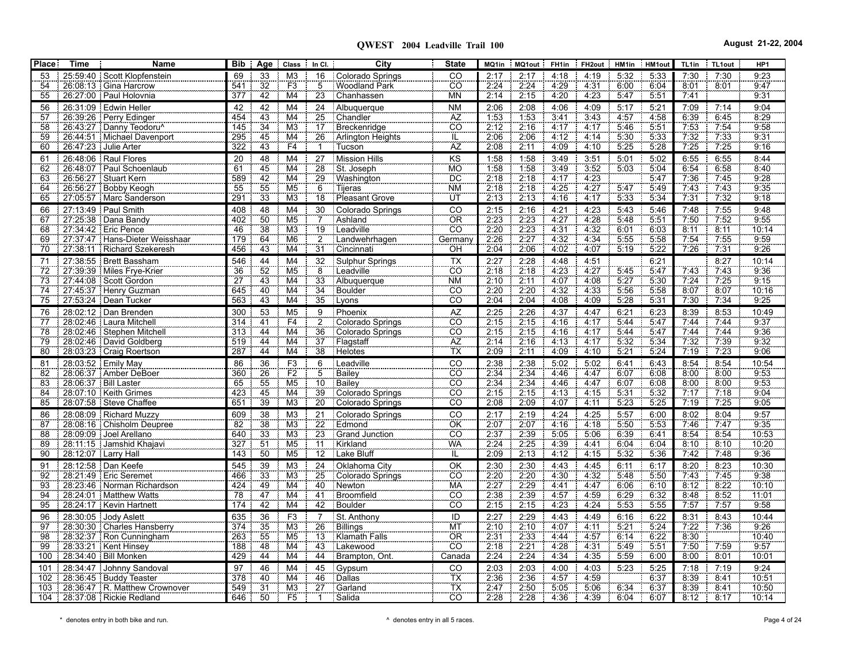| Place:   | Time                  | Name                                                     | Bib             | Age Class                                                                       | $\parallel$ In CI.                 | City                          | <b>State</b>          | MQ1in                    | MQ1out       | FH1in        | FH <sub>2</sub> out | HM1in        | HM1out       | TL <sub>1in</sub> | TL1out       | HP1           |
|----------|-----------------------|----------------------------------------------------------|-----------------|---------------------------------------------------------------------------------|------------------------------------|-------------------------------|-----------------------|--------------------------|--------------|--------------|---------------------|--------------|--------------|-------------------|--------------|---------------|
| 53       |                       | 25.59.40 Scott Klopfenstein                              | 69              | 33<br>M <sub>3</sub>                                                            | 16                                 | Colorado Springs              | CO                    | 2:17                     | 2:17         | 4:18         | 4:19                | 5:32         | 5:33         | 7:30              | 7:30         | 9:23          |
| 54       |                       | 26.08:13   Gina Harcrow                                  | 541             | $\overline{32}$<br>F <sub>3</sub>                                               | $\overline{5}$                     | Woodland Park                 | CÔ                    | 2:24                     | 2:24         | 4.29         | 4.31                | 6:00         | 6:04         | 8:01              | 8:01         | 9:47          |
| 55       |                       | 26:27:00 Paul Holovnia                                   | 377             | 42<br>M4                                                                        | 23                                 | Chanhassen                    | <b>MN</b>             | 2:14                     | 2:15         | 4:20         | 4.23                | 5:47         | 5:51         | 7:41              |              | 9:31          |
| 56       |                       | 26:31:09 Edwin Heller                                    | 42              | 42<br>M <sub>4</sub>                                                            |                                    | 24 Albuquerque                | <b>NM</b>             | 2:06                     | 2:08         | 4:06         | 4:09                | 5:17         | 5:21         | 7:09              | 7:14         | 9:04          |
| 57       |                       | 26:39:26   Perry Edinger                                 | 454             | 43<br>M4                                                                        | 25                                 | Chandler                      | AZ                    | 1:53                     | 1:53         | 3:41         | 3:43                | 4:57         | 4:58         | 6:39              | 6:45         | 8.29          |
| 58       |                       | 26:43:27 Danny Teodoru                                   | 145             | 34<br>M <sub>3</sub>                                                            |                                    | 17 Breckenridge               | $\overline{CO}$       | 2:12                     | 2:16         | 4:17         | 4:17                | 5.46         | 5.51         | 7:53              | 7:54         | 9.58          |
| 59       |                       | 26:44:51   Michael Davenport                             | 295             | 45<br>M4                                                                        |                                    | 26 Arlington Heights          | IL                    | 2:06                     | 2:06         | 4:12         | 4:14                | 5:30         | 5:33         | 7:32              | 7:33         | 9:31          |
| 60       |                       | 26:47:23 Julie Arter                                     | 322             | 43<br>F4                                                                        | $\overline{\mathbf{1}}$            | : Tucson                      | AZ                    | 2:08                     | 2:11         | 4:09         | 4:10                | 5:25         | 5:28         | 7:25              | 7:25         | 9:16          |
| 61       |                       | 26:48:06 Raul Flores                                     | 20              | 48<br>M4                                                                        |                                    | 27   Mission Hills            | KS                    | 1:58                     | 1:58         | 3:49         | 3:51                | 5:01         | 5:02         | 6:55              | 6:55         | 8:44          |
| 62       |                       | 26:48:07 Paul Schoenlaub                                 | 61              | 45<br>$\overline{M4}$                                                           | 28                                 | St. Joseph                    | MÖ <sup>1</sup>       | 1.58                     | 1.58         | 3.49         | 3:52                | 5.03         | 5.04         | 6.54              | 6:58         | 8.40          |
| 63       |                       | 26.56.27   Stuart Kern                                   | 589             | 42<br>M <sub>4</sub>                                                            | 29                                 | Washington                    | <b>DC</b>             | 2:18                     | 2.18         | 4:17         | 4:23                |              | 5:47         | 7:36              | 7:45         | 9:28          |
| 64       |                       | 26:56:27 Bobby Keogh                                     | 55              | $\overline{55}$<br>M <sub>5</sub>                                               | 6                                  | <b>Tijeras</b>                | <b>NM</b>             | 2:18                     | 2:18         | 4.25         | 4:27                | 5:47         | 5:49         | 7:43              | 7:43         | 9:35          |
| 65       |                       | 27:05:57   Marc Sanderson                                | 291             | 33<br>M <sub>3</sub>                                                            | 18                                 | Pleasant Grove                | ΪÜΤ                   | 2:13                     | 2:13         | 4:16         | 4:17                | 5.33         | 5:34         | 7:31              | 7:32         | 9:18          |
| 66       |                       | 27:13:49 Paul Smith                                      | 408             | 48<br>M <sub>4</sub>                                                            | 30                                 | Colorado Springs              | CO                    | 2:15                     | 2:16         | 4:21         | 4:23                | 5:43         | 5:46         | 7:48              | 7:55         | 9:48          |
| 67       |                       | 27.25.38   Dana Bandy                                    | 402             | 50<br>M <sub>5</sub>                                                            | $\overline{7}$                     | Ashland                       | ÖR                    | 2:23                     | 2:23         | 4.27         | 4:28                | 5:48         | 5:51         | 7:50              | 7:52         | 9:55          |
| 68       |                       | 27:34:42   Eric Pence                                    | 46              | 38<br>M <sub>3</sub>                                                            | 19                                 | Leadville                     | $\overline{CO}$       | 2.20                     | 2.23         | 4.31         | 4.32                | 601          | 6:03         | 8:11              | 8:11         | 10:14         |
| 69       |                       | 27:37:47   Hans-Dieter Weisshaar                         | 179             | 64<br>M <sub>6</sub>                                                            | 2                                  | Landwehrhagen                 | Germany               | 2:26                     | 2.27         | 4:32         | 4:34                | 5.55         | 5:58         | 7:54              | 7.55         | 9.59          |
| 70       |                       | 27:38:11 Richard Szekeresh                               | 456             | 43<br>M4                                                                        | 31                                 | Cincinnati                    | OH                    | 2:04                     | 2:06         | 4:02         | 4:07                | 5:19         | 5:22         | 7:26              | 7:31         | 9:26          |
| 71       |                       | 27:38:55   Brett Bassham                                 | 546             | 44<br>M <sub>4</sub>                                                            | 32                                 | Sulphur Springs               | <b>TX</b>             | 2:27                     | 2:28         | 4:48         | 4:51                |              | 6:21         |                   | 8:27         | 10:14         |
| 72       |                       | 27:39:39   Miles Frye-Krier                              | 36              | 52<br>M <sub>5</sub>                                                            | $\overline{8}$                     | Leadville                     | CO                    | 2:18                     | 2:18         | 4.23         | 4:27                | 5.45         | 5.47         | 7.43              | 7.43         | 9:36          |
| 73       |                       | 27.44.08 Scott Gordon                                    | $\overline{27}$ | 43<br>M4                                                                        | 33                                 | Albuquerque                   | <b>NM</b>             | 2:10                     | 2:11         | 4:07         | 4:08                | 5.27         | 5:30         | 7:24              | 7:25         | 9:15          |
| 74       |                       | 27:45:37 Henry Guzman                                    | 645             | 40<br>M <sub>4</sub>                                                            | 34                                 | Boulder                       | $\overline{CO}$       | 2:20                     | 2:20         | 4:32         | 4:33                | 5:56         | 5:58         | 8:07              | 8:07         | 10:16         |
| 75       |                       | 27.53:24 : Dean Tucker                                   | 563             | 43<br>M4                                                                        |                                    | 35 Lyons                      | CÔ                    | 2:04                     | 2:04         | 4:08         | 4:09                | 5:28         | 5:31         | 7:30              | 7:34         | 9:25          |
| 76       |                       | 28:02:12 Dan Brenden                                     | 300             | 53<br>M <sub>5</sub>                                                            | 9                                  | Phoenix                       | <b>AZ</b>             | 2:25                     | 2:26         | 4:37         | 4:47                | 6:21         | 6:23         | 8:39              | 8:53         | 10:49         |
| 77       |                       | 28.02.46 Laura Mitchell                                  | 314<br>313      | $\overline{41}$<br>F4<br>$\overline{\overline{\mathsf{M4}}}$<br>$\overline{44}$ | 2                                  | Colorado Springs              | CÖ.                   | 2:15<br>$\frac{1}{2.15}$ | 2:15         | 4.16         | 4:17<br>4:17        | 5:44<br>5.44 | 5:47         | 7:44              | 7:44         | 9:37          |
| 78<br>79 |                       | 28.02:46   Stephen Mitchell<br>28:02:46   David Goldberg | 519             | $\overline{44}$<br>M <sub>4</sub>                                               | $\overline{36}$<br>$\overline{37}$ | Colorado Springs<br>Flagstaff | $\overline{CO}$<br>AZ | 2:14                     | 2:15<br>2:16 | 4:16         | 4:17                | 5:32         | 5.47         | 7.44<br>7.32      | 7:44<br>7:39 | 9:36<br>9:32  |
| 80       |                       | 28:03:23   Craig Roertson                                | 287             | 44<br>$\overline{\mathsf{M4}}$                                                  | 38                                 | Helotes                       | $\overline{TX}$       | 2:09                     | 2:11         | 4:13<br>4:09 | 4:10                | 5:21         | 5:34<br>5:24 | 7:19              | 7:23         | 9:06          |
|          |                       |                                                          |                 |                                                                                 |                                    |                               |                       |                          |              |              |                     |              |              |                   |              |               |
| 81<br>82 |                       | 28:03:52 Emily May<br>28.06.37   Amber DeBoer            | 86<br>360       | 36<br>F <sub>3</sub><br>F <sub>2</sub>                                          | 6                                  | Leadville<br>Bailey           | $\overline{C}$<br>ĈÖ  | 2:38                     | 2:38<br>2.34 | 5:02<br>4:46 | 5:02<br>4:47        | 6:41<br>6:07 | 6:43<br>6:08 | 8:54<br>8:00      | 8:54<br>8:00 | 10:54<br>9.53 |
| 83       |                       | 28:06:37   Bill Laster                                   | 65              | $\frac{26}{55}$<br>M <sub>5</sub>                                               | $\overline{5}$<br>10               | Bailey                        | CO                    | 2.34<br>2:34             | 2:34         | 4:46         | 4:47                | 6:07         | 6:08         | 8:00              | 8:00         | 9:53          |
| 84       |                       | 28:07:10 Keith Grimes                                    | 423             | 45<br>M <sub>4</sub>                                                            | 39 <sup>2</sup>                    | Colorado Springs              | CÔ                    | 2:15                     | 2:15         | 4:13         | 4:15                | 5:31         | 5:32         | 7:17              | 7:18         | 9.04          |
| 85       |                       | 28:07:58   Steve Chaffee                                 | 651             | 39<br>M <sub>3</sub>                                                            |                                    | 20 Colorado Springs           | ĈÖ.                   | 2:08                     | 2:09         | 4:07         | 4:11                | 5:23         | 5.25         | 7:19              | 7:25         | 9:05          |
| 86       |                       | 28:08:09 Richard Muzzy                                   | 609             | 38<br>M <sub>3</sub>                                                            | 21                                 | Colorado Springs              | CO                    | 2:17                     | 2:19         | 4:24         | 4:25                | 5:57         | 6:00         | 8:02              | 8:04         | 9:57          |
| 87       |                       | 28:08:16   Chisholm Deupree                              | 82              | 38<br>M3                                                                        | $\overline{22}$                    | Edmond                        | ÖK                    | 2:07                     | 2:07         | 4:16         | 4:18                | 5:50         | 5.53         | 7.46              | 7.47         | 9.35          |
| 88       |                       | 28:09:09   Joel Arellano                                 | 640             | $\overline{33}$<br>M <sub>3</sub>                                               | 23                                 | Grand Junction                | $\overline{CO}$       | 2:37                     | 2:39         | 5:05         | 5:06                | 6:39         | 6:41         | 8:54              | 8:54         | 10:53         |
| 89       |                       | 28:11:15 Jamshid Khajavi                                 | 327             | 51<br>M <sub>5</sub>                                                            | 11                                 | <b>Kirkland</b>               | <b>WA</b>             | 2:24                     | 2:25         | 4.39         | 4:41                | 6:04         | 6:04         | 8:10              | 8:10         | 10:20         |
| 90       | 28:12:07   Larry Hall |                                                          | 143             | 50<br>M <sub>5</sub>                                                            |                                    | 12 Lake Bluff                 | IL.                   | 2:09                     | 2:13         | 4:12         | 4:15                | 5:32         | 5:36         | 7:42              | 7:48         | 9:36          |
| 91       |                       | 28:12:58 Dan Keefe                                       | 545             | 39<br>M <sub>3</sub>                                                            | 24                                 | Oklahoma City                 | OK                    | 2:30                     | 2:30         | 4:43         | 4:45                | 6:11         | 6:17         | 8:20              | 8:23         | 10:30         |
| 92       |                       | 28.21.49 Eric Seremet                                    | 466             | $\overline{33}$<br>M <sub>3</sub>                                               | 25                                 | Colorado Springs              | CÖ                    | 2:20                     | 2:20         | 4:30         | 4:32                | 5:48         | 5:50         | 7:43              | 7.45         | 9:38          |
| 93       |                       | 28:23:46   Norman Richardson                             | 424             | 49<br>$\overline{M4}$                                                           | 40                                 | Newton                        | <b>MA</b>             | 2:27                     | 2:29         | 4:41         | 4:47                | 6.06         | 6:10         | 8:12              | 8:22         | 10:10         |
| 94       |                       | 28:24:01 Matthew Watts                                   | 78              | 47<br>$\overline{M4}$                                                           | 41                                 | Broomfield                    | CÖ.                   | 2.38                     | 2:39         | 4.57         | 4.59                | 6:29         | 6:32         | 8:48              | 8:52         | 11:01         |
| 95       |                       | 28.24:17   Kevin Hartnett                                | 174             | 42<br>M4                                                                        |                                    | 42 Boulder                    | CÖ.                   | 2:15                     | 2:15         | 4:23         | 4.24                | 5.53         | 5:55         | 7:57              | 7:57         | 9.58          |
| 96       |                       | 28:30:05 Jody Aslett                                     | 635             | F3<br>36                                                                        | $\overline{7}$                     | St. Anthony                   | ID                    | 2:27                     | 2:29         | 4:43         | 4:49                | 6:16         | 6:22         | 8:31              | 8:43         | 10:44         |
| 97       |                       | 28:30:30   Charles Hansberry                             | 374             | M <sub>3</sub><br>35                                                            | $\overline{26}$                    | Billings                      | MT                    | 2:10                     | 2:10         | 4.07         | 4:11                | 5:21         | 5:24         | 7:22              | 7:36         | 9.26          |
| 98       |                       | 28:32:37 Ron Cunningham                                  | 263             | 55<br>M <sub>5</sub>                                                            | 13                                 | Klamath Falls                 | ÖŘ                    | 2:31                     | 2.33         | 4:44         | 4:57                | 6:14         | 6.22         | 8:30              |              | 10:40         |
| 99       |                       | 28:33:21   Kent Hinsey                                   | 188             | 48<br>M <sub>4</sub>                                                            |                                    | 43 Lakewood                   | co.                   | 2:18                     | 2:21         | 4:28         | 4:31                | 5:49         | 5:51         | 7:50              | 7:59         | 9:57          |
| 100      |                       | 28:34:40   Bill Monken                                   | 429             | 44<br>M4                                                                        | 44                                 | Brampton, Ont.                | Canada                | 2.24                     | 2:24         | 4:34         | 4:35                | 5 5 9        | 6:00         | 8:00              | 8:01         | 10:01         |
| 101      |                       | 28:34:47 Johnny Sandoval                                 | 97              | 46<br>M <sub>4</sub>                                                            | 45                                 | Gypsum                        | CO                    | 2:03                     | 2:03         | 4:00         | 4:03                | 5:23         | 5:25         | 7:18              | 7:19         | 9:24          |
| 102      |                       | 28:36:45 Buddy Teaster                                   | 378             | 40<br>M <sub>4</sub>                                                            | 46                                 | <b>Dallas</b>                 | ŦХ                    | 2:36                     | 2:36         | 4:57         | 4.59                |              | 6:37         | 8:39              | 8:41         | 10:51         |
| 103      |                       | 28:36:47 R. Matthew Crownover                            | 549             | 31<br>M <sub>3</sub>                                                            | $\overline{27}$                    | Garland                       | ТŸ                    | 2:47                     | 2:50         | 5:05         | 5:06                | 6:34         | 6.37         | 8.39              | 8:41         | 10:50         |
| 104      |                       | 28:37:08   Rickie Redland                                | 646             | 50<br>F <sub>5</sub>                                                            | $\mathbf{1}$                       | Salida                        | CO <sup>-</sup>       | 2:28                     | 2:28         | 4:36         | 4:39                | 6:04         | 6:07         | 8:12<br>-8        | 8:17         | 10:14         |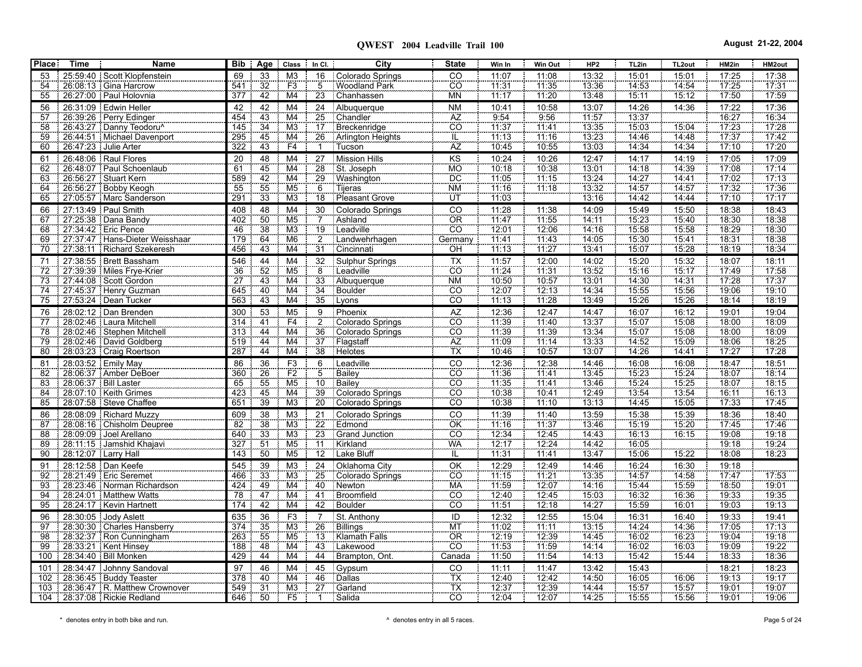| <b>Place</b> | <b>Time</b>         | Name                                                | Bib             | Age Class In Cl.                   |                                            |                       | City                   | <b>State</b>                        | Win In         | Win Out        | HP <sub>2</sub> | TL2in          | TL <sub>2out</sub> | HM2in          | HM2out         |
|--------------|---------------------|-----------------------------------------------------|-----------------|------------------------------------|--------------------------------------------|-----------------------|------------------------|-------------------------------------|----------------|----------------|-----------------|----------------|--------------------|----------------|----------------|
|              |                     | 25:59:40   Scott Klopfenstein                       | 69              | 33                                 | M <sub>3</sub>                             | 16                    | Colorado Springs       | CO                                  | 11:07          | 11:08          | 13:32           | 15:01          | 15:01              | 17:25          | 17:38          |
| 54           |                     | 26:08:13 Gina Harcrow                               | 541<br>377      | $\frac{1}{32}$<br>42               | F3<br>M <sub>4</sub>                       | $\overline{5}$<br>23  | Woodland Park          | cō<br><b>MN</b>                     | 71.31<br>11:17 | 71.35<br>11:20 | 13:36           | 14.53          | 14 54              | 17.25          | 17.31<br>17:59 |
| 55           |                     | 26:27:00 Paul Holovnia                              |                 |                                    |                                            |                       | Chanhassen             |                                     |                |                | 13:48           | 15:11          | 15:12              | 17:50          |                |
| 56           |                     | 26:31:09 Edwin Heller                               | 42              | 42                                 | M4                                         | 24                    | Albuquerque            | <b>NM</b>                           | 10:41          | 10:58          | 13:07           | 14:26          | 14:36              | 17:22          | 17:36          |
| 57           |                     | 26:39:26   Perry Edinger                            | 454             | $\overline{43}$                    | M4                                         | 25                    | Chandler               | ÄŻ                                  | 9 54           | 9:56           | 11:57           | 13:37          |                    | 16:27          | 16:34          |
| 58           |                     | 26:43:27 Danny Teodoru^                             | 145             | $\overline{34}$                    | $\overline{\mathsf{M}3}$<br>M <sub>4</sub> | $\overline{17}$       | Breckenridge           | $\overline{CO}$                     | 11.37          | 11.41          | 13:35           | 15:03          | 15:04              | 17.23          | 17:28          |
| 59           |                     | 26.44.51 Michael Davenport<br>26:47:23 Julie Arter  | 295<br>322      | 45<br>43                           | F4                                         | 26<br>$\mathbf{1}$    | Arlington Heights      | $\frac{1}{1}$                       | 11:13<br>10:45 | 11:16<br>10:55 | 13.23<br>13:03  | 14:46<br>14:34 | 14:48              | 17.37<br>17:10 | 17.42<br>17:20 |
| 60           |                     |                                                     |                 |                                    |                                            |                       | <b>Tucson</b>          |                                     |                |                |                 |                | 14:34              |                |                |
| 61           |                     | 26:48:06   Raul Flores                              | 20<br>61        | $\frac{48}{45}$                    | M <sub>4</sub>                             | 27                    | Mission Hills          | KS<br>MO                            | 10:24          | 10:26          | 12:47           | 14:17          | 14:19              | 17:05          | 17:09          |
| 62           |                     | 26:48:07 Paul Schoenlaub                            |                 | 42                                 | M4                                         | 28                    | St. Joseph             | ΪÖ                                  | 10:18          | 10:38          | 13:01           | 14.18          | 14:39<br>14 41     | 17:08          | 17:14          |
| 63           |                     | 26.56.27 : Stuart Kern                              | 589<br>55       |                                    | M <sub>4</sub><br>M <sub>5</sub>           | 29                    | Washington             | <b>NM</b>                           | 11:05<br>71:16 | 11:15          | 13:24           | 14.27          |                    | 17.02          | 17:13          |
| 64           |                     | 26:56:27   Bobby Keogh                              | 291             | 55<br>33                           | M <sub>3</sub>                             | 6<br>$\overline{18}$  | Tijeras                | ΪÜΤ                                 | 11.03          | 11.18          | 13:32<br>13:16  | 14.57<br>14:42 | 14:57              | 17:32<br>17:10 | 17:36<br>17.17 |
| 65           |                     | 27:05:57   Marc Sanderson                           |                 |                                    |                                            |                       | Pleasant Grove         |                                     |                |                |                 |                | 14:44              |                |                |
| 66           |                     | 27:13:49 Paul Smith                                 | 408             | 48                                 | M4                                         | 30                    | Colorado Springs       | $rac{CO}{OR}$                       | 11:28          | 11:38          | 14:09           | 15:49          | 15:50              | 18:38          | 18:43          |
| 67           |                     | 27:25:38   Dana Bandy                               | 402             | 50<br>$\frac{55}{38}$              | M <sub>5</sub>                             | $\overline{7}$        | Ashland                | $\overline{c}$                      | 11.47          | 11.55          | 14:11           | 15:23          | 15:40              | 18.30          | 18:38          |
| 68           |                     | 27:34:42   Eric Pence                               | 46              |                                    | M3                                         | 19                    | Leadville              |                                     | 72.01          | 12:06          | 14:16           | 15:58          | 15:58              | 18.29          | 18:30          |
| 69           |                     | 27.37.47   Hans-Dieter Weisshaar                    | 179             | 64<br>43                           | M <sub>6</sub><br>$\overline{\mathsf{M4}}$ | $\overline{2}$        | Landwehrhagen          | Germany                             | 11.41<br>71:13 | 11:43<br>11.27 | 14:05<br>13.41  | 15:30          | 15:41              | 18:31<br>18.19 | 18:38<br>18.34 |
| 70           |                     | 27:38:11   Richard Szekeresh                        | 456             |                                    |                                            | 31                    | Cincinnati             | OH                                  |                |                |                 | 15:07          | 15:28              |                |                |
| 71           |                     | 27:38:55   Brett Bassham                            | 546             | 44                                 | M4                                         | 32                    | Sulphur Springs        | <b>TX</b>                           | 11:57          | 12:00          | 14:02           | 15:20          | 15:32              | 18:07          | 18:11          |
| 72           |                     | 27:39:39   Miles Frye-Krier                         | 36              | 52                                 | M <sub>5</sub>                             | $\overline{8}$        | Leadville              | CO                                  | 11:24          | 11:31          | 13:52           | 15:16          | 15:17              | 17.49          | 17:58          |
| 73           |                     | 27.44.08 Scott Gordon                               | $\overline{27}$ | 43                                 | M4                                         | 33                    | Albuquerque            | <b>NM</b>                           | 10:50          | 10:57          | 13:01           | 14:30          | 14:31              | 17:28          | 17.37          |
| 74           |                     | 27:45:37 Henry Guzman                               | 645             | 40                                 | M4                                         | $\overline{34}$       | Boulder                | CO<br>CO                            | 12:07          | 12:13          | 14:34           | 15:55          | 15:56              | 19:06<br>18:14 | 19:10          |
| 75           |                     | 27:53:24   Dean Tucker                              | 563             | 43                                 | M4                                         | 35                    | Lyons                  |                                     | 11:13          | 11:28          | 13:49           | 15:26          | 15:26              |                | 18:19          |
| 76           |                     | 28:02:12 Dan Brenden                                | 300             | 53                                 | M <sub>5</sub>                             | 9                     | Phoenix                | <b>AZ</b>                           | 12:36          | 12:47          | 14:47           | 16:07          | 16:12              | 19:01          | 19:04          |
| 77           |                     | <u>28.02.46</u> : Laura Mitchell                    | 314             | $\overline{41}$                    | F4                                         | $\frac{2}{36}$        | Colorado Springs       | $\overline{c}\overline{o}$          | 11:39          | 11:40          | 13:37           | 15:07          | 15.08              | 18:00          | 18:09          |
| 78           |                     | 28:02:46   Stephen Mitchell                         | 313             | $\overline{44}$                    | M4                                         |                       | Colorado Springs       | co                                  | 11:39          | 11:39          | 13:34           | 15:07          | 15:08              | 18:00          | 18:09          |
| 79           |                     | 28.02.46   David Goldberg                           | 519             | 44                                 | $\overline{M4}$                            | $\overline{37}$       | Flagstaff              | AZ<br>ΪĀ                            | 11:09          | 11:14          | 13:33           | 14.52          | 15.09              | 18:06<br>17.27 | 18.25          |
| 80           |                     | 28:03:23   Craig Roertson                           | 287             | 44                                 | $\overline{\mathsf{M4}}$                   | 38                    | Helotes                |                                     | 10:46          | 10:57          | 13:07           | 14:26          | 14:41              |                | 17:28          |
| 81           |                     | 28:03:52 Emily May                                  | 86              | 36                                 | F <sub>3</sub>                             | 6                     | Leadville              | CO                                  | 12:36          | 12:38          | 14:46           | 16:08          | 16:08              | 18:47          | 18:51          |
| 82           |                     | 28:06:37   Amber DeBoer                             | 360             | 26                                 | $\frac{F2}{M5}$                            | $\overline{5}$        | Bailey                 | cō                                  | 11.36          | 11:41          | 13.45           | 15:23          | 15:24              | 18.07          | 18.14          |
| 83           |                     | 28:06:37   Bill Laster                              | 65              | 55<br>$\frac{55}{45}$              |                                            | 10                    | Bailey                 | $\overline{c}$<br>$\overline{CO}$   | 11.35          | 11:41          | 13:46           | 15.24          | 15:25              | 18:07          | 18:15          |
| 84           |                     | 28:07:10 Keith Grimes                               | 423             | 39                                 | M4                                         | 39 <sup>2</sup>       | Colorado Springs       |                                     | 10:38          | 10:41          | 12:49           | 13:54          | 13:54              | 16:11          | 16:13          |
| 85           |                     | 28.07.58 Steve Chaffee                              | 651             |                                    | M3                                         | $\overline{20}$       | Colorado Springs       | cö                                  | 10.38          | 11:10          | 13:13           | 14:45          | 15:05              | 17:33          | 17:45          |
| 86           |                     | 28.08.09 Richard Muzzy                              | 609             | 38                                 | M <sub>3</sub>                             | 21                    | Colorado Springs       | CO                                  | 11:39          | 11:40          | 13:59           | 15:38          | 15:39              | 18:36          | 18:40          |
| 87           |                     | 28:08:16   Chisholm Deupree                         | 82              | $\frac{38}{33}$                    | M3                                         | 22                    | Edmond                 | $rac{\overline{OK}}{\overline{CO}}$ | 11.16          | 11:37          | 13:46           | 15:19          | 15:20              | 17:45          | 17:46          |
| 88           |                     | 28:09:09 Joel Arellano                              | 640             |                                    | M <sub>3</sub><br>M <sub>5</sub>           | 23                    | Grand Junction         | WA                                  | 12:34<br>12:17 | 12:45<br>12.24 | 14:43<br>14:42  | 16:13          | 16:15              | 19:08<br>19:18 | 19:18          |
| 89           |                     | 28:11:15   Jamshid Khajavi                          | 327             | 51<br>50                           |                                            | 11                    | Kirkland<br>Lake Bluff |                                     |                |                |                 | 16:05          |                    |                | 19:24          |
| 90           | 28:12:07 Larry Hall |                                                     | 143             |                                    | M5                                         | 12 <sup>7</sup>       |                        | ĨΕ                                  | 11:31          | 11:41          | 13:47           | 15:06          | 15:22              | 18:08          | 18:23          |
| 91           |                     | 28:12:58 Dan Keefe                                  | 545             | 39                                 | M <sub>3</sub>                             | 24                    | Oklahoma City          | OK                                  | 12:29          | 12:49          | 14:46           | 16:24          | 16:30              | 19:18          |                |
| 92           |                     | 28.21.49   Eric Seremet                             | 466             | $\overline{33}$<br>$\overline{49}$ | M <sub>3</sub><br>$\overline{\mathsf{M4}}$ | 25                    | Colorado Springs       | $\overline{CO}$<br><b>MA</b>        | 11:15<br>11:59 | 11:21          | 13:35           | 14 57          | 14:58              | 17.47          | 17:53          |
| 93           |                     | 28:23:46   Norman Richardson                        | 424<br>78       |                                    |                                            | 40<br>$\overline{41}$ | Newton                 | CO                                  | 12:40          | 12:07          | 14:16           | 15:44          | 15.59              | 18:50          | 19:01<br>19:35 |
| 94<br>95     |                     | 28:24:01 Matthew Watts<br>28:24:17   Kevin Hartnett | 174             | 47<br>42                           | $\overline{M4}$<br>M4                      | 42                    | Broomfield<br>Boulder  | <b>CO</b>                           | 11:51          | 12:45<br>12.18 | 15:03<br>14.27  | 16:32<br>15:59 | 16:36<br>16:01     | 19:33<br>19:03 | 19:13          |
|              |                     |                                                     |                 |                                    |                                            |                       |                        |                                     |                |                |                 |                |                    |                |                |
| 96           |                     | 28:30:05 Jody Aslett                                | 635             | 36                                 | F3                                         | $\overline{7}$        | St. Anthony            | ID                                  | 12:32          | 12:55          | 15:04           | 16:31          | 16:40              | 19:33          | 19:41          |
| 97           |                     | 28:30:30   Charles Hansberry                        | 374             | 35                                 | M <sub>3</sub>                             | 26                    | Billings               | MT                                  | 71.02          | 71.11          | 13:15           | 14.24          | 14:36              | 17.05          | 17.13          |
| 98           |                     | 28:32:37 Ron Cunningham                             | 263             | $\frac{55}{55}$                    | M <sub>5</sub>                             | 13                    | Klamath Falls          | OR<br>$\overline{c}\overline{o}$    | 12.19          | 12.39          | 14:45           | 16:02          | 16:23              | 19:04          | 19.18          |
| 99           |                     | 28:33:21   Kent Hinsey<br>28:34:40   Bill Monken    | 188<br>429      | 48                                 | M <sub>4</sub>                             | 43<br>44              | Lakewood               |                                     | 11:53          | 11:59          | 14:14           | 16:02          | 16:03              | 19:09          | 19:22          |
| 100          |                     |                                                     |                 | 44                                 | M <sub>4</sub>                             |                       | Brampton, Ont.         | Canada                              | 11:50          | 11:54          | 14:13           | 15:42          | 15:44              | 18:33          | 18:36          |
| 101          |                     | 28:34:47 Johnny Sandoval                            | 97              | 46                                 | M <sub>4</sub>                             | 45                    | Gypsum                 | CO                                  | 11:11          | 11:47          | 13:42           | 15:43          |                    | 18:21          | 18:23          |
| 102          |                     | 28:36:45 Buddy Teaster                              | 378             | 40                                 | M4                                         | 46                    | Dallas                 | TX<br>ΤΧ                            | 12:40          | 12.42          | 14:50           | 16:05          | 16:06              | 19:13          | 19:17          |
| 103          |                     | 28:36:47 R. Matthew Crownover                       | 549             | $\overline{31}$                    | M3                                         | $\overline{27}$       | Garland                | CO                                  | 12:37          | 12:39          | 14:44           | 15:57          | 15:57              | 19:01          | 19:07          |
|              |                     | 104 28:37:08   Rickie Redland                       | 646             | 50                                 | F <sub>5</sub>                             | $\mathbf{1}$          | Salida                 |                                     | 12:04          | 12:07          | 14:25           | 15:55          | 15:56              | 19:01          | 19:06          |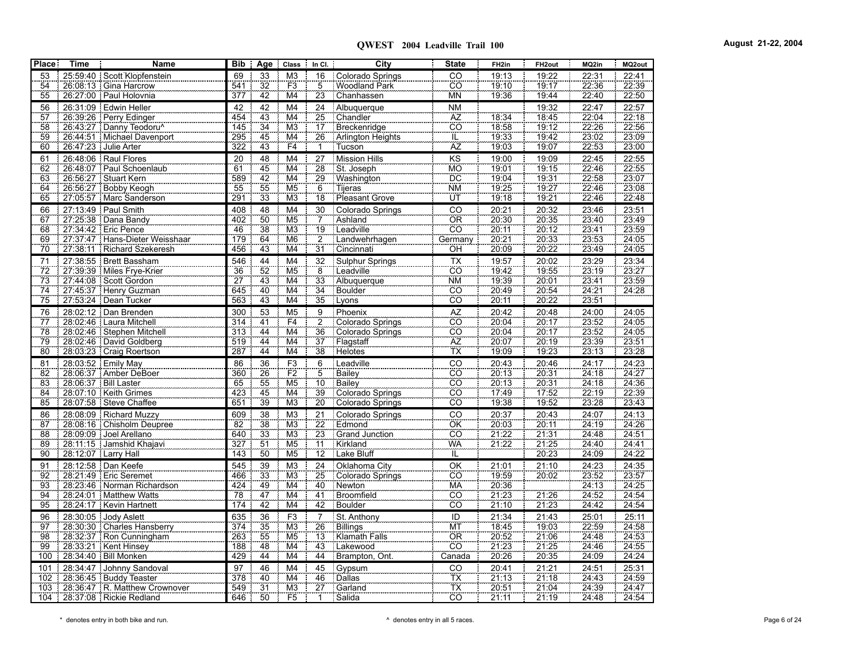| <b>Place</b>    | <b>Time</b> | Name                             |                 |                       | Bib Age Class            | $In Cl.$        | City                | <b>State</b>                                      | FH <sub>2in</sub>     | FH <sub>2out</sub>    | MQ2in                            | MQ2out            |
|-----------------|-------------|----------------------------------|-----------------|-----------------------|--------------------------|-----------------|---------------------|---------------------------------------------------|-----------------------|-----------------------|----------------------------------|-------------------|
| 53              |             | 25.59.40 Scott Klopfenstein      | 69              | 33                    | M <sub>3</sub>           | 16              | Colorado Springs    | CO                                                | 19:13                 | 19:22                 | 22:31                            | 22:41             |
| 54              |             | 26:08:13   Gina Harcrow          | 541             | 32                    | F3                       | 5               | Woodland Park       | $\overline{co}$                                   | 19:10                 | 19:17                 | 22.36                            | 22:39             |
| 55              |             | 26:27:00 Paul Holovnia           | 377             | 42                    | M4                       | 23              | Chanhassen          | <b>MN</b>                                         | 19:36                 | 19.44                 | 22.40                            | 22:50             |
| 56              |             | 26:31:09 Edwin Heller            | 42              | 42                    | M4                       | 24              | Albuquerque         | N <sub>M</sub>                                    |                       | 19:32                 | 22:47                            | 22:57             |
| 57              |             | 26:39:26   Perry Edinger         | 454             | 43                    | M4                       | $\overline{25}$ | Chandler            |                                                   | 18:34                 | 18:45                 | 22:04                            | 22:18             |
| 58              |             | 26:43:27 Danny Teodoru^          | 145             | $\overline{34}$       | M <sub>3</sub>           | $\overline{17}$ | Breckenridge        | $rac{AZ}{CO}$                                     | 18:58                 | 19:12                 | 22:26                            | 22:56             |
| 59              |             | 26:44:51 Michael Davenport       | 295             | 45                    | M4                       | 26              | Arlington Heights   |                                                   | 19:33                 | 19:42                 | 23:02                            | 23.09             |
| 60              |             | 26:47:23 Julie Arter             | 322             | 43                    | F4                       | ĩ               | <b>Tucson</b>       | $rac{1}{AZ}$                                      | 19:03                 | 19:07                 | 22:53                            | 23:00             |
| 61              |             | 26:48:06   Raul Flores           | $\overline{20}$ | 48                    | M4                       | $\overline{27}$ | Mission Hills       | KS                                                | 19:00                 | 19:09                 | 22:45                            | 22:55             |
| 62              |             | 26:48:07 Paul Schoenlaub         | 61              | 45                    | $\overline{\mathsf{M4}}$ | 28              | St. Joseph          | MO                                                | 19.01                 | 19:15                 | 22.46                            | 22.55             |
| 63              |             | 26:56:27   Stuart Kern           | 589             | $\frac{18}{42}$<br>55 | $\frac{1}{100}$          | 29              | Washington          | <b>DC</b>                                         | 19:04                 | 19:31                 | $\frac{22.58}{22.46}$            | 23:07             |
| 64              |             | 26:56:27 Bobby Keogh             | 55              |                       | M <sub>5</sub>           | $\overline{6}$  | Tijeras             | <b>NM</b>                                         | 19:25                 | 19.27                 |                                  | 23.08             |
| 65              |             | 27.05.57 Marc Sanderson          | 291             | 33                    | M <sub>3</sub>           | $\overline{18}$ | Pleasant Grove      | ΪÜΤ                                               | 19:18                 | 19:21                 | 22.46                            | 22:48             |
| 66              |             | 27:13:49   Paul Smith            | 408             | 48                    | M4                       | 30              | Colorado Springs    |                                                   | 20:21                 |                       | 23:46                            | 23:51             |
| 67              |             | 27:25:38   Dana Bandy            | 402             | 50                    | M <sub>5</sub>           | $\overline{7}$  | Ashland             | $rac{CO}{OR}$                                     | $\frac{1}{20.30}$     | $\frac{20.32}{20.35}$ | 23.40                            | $\frac{1}{23.49}$ |
| 68              |             | 27:34:42   Eric Pence            | 46              | 38                    | M <sub>3</sub>           | 19              | Leadville           | $\overline{co}$                                   | $\frac{20.11}{20.11}$ | 20.12                 | 23.41                            | 23:59             |
| 69              |             | 27:37:47   Hans-Dieter Weisshaar | 179             | 64                    | M <sub>6</sub>           | $\overline{2}$  | Landwehrhagen       | Germany                                           |                       | 20:33                 | 23.53                            | 24.05             |
| 70              |             | 27:38:11   Richard Szekeresh     | 456             | 43                    | M4                       | 31              | Cincinnati          | OH                                                | 20:09                 | 20:22                 | 23.49                            | 24:05             |
| 71              |             | 27:38:55   Brett Bassham         | 546             | 44                    | M4                       | 32              | Sulphur Springs     | $\overline{TX}$                                   | 19:57                 | 20:02                 | 23:29                            | 23:34             |
| 72              |             | 27:39:39 Miles Frye-Krier        | 36              | 52                    | M <sub>5</sub>           | $\overline{8}$  | Leadville           | $\overline{c}$                                    | 19:42                 | 19:55                 | 23:19                            | 23:27             |
| 73              |             | 27:44:08 Scott Gordon            | $\frac{55}{27}$ | 43                    | M4                       | 33              | Albuquerque         | <b>NM</b>                                         | 19:39                 | 20:01                 | 23.41                            | 23.59             |
| $\overline{74}$ |             | 27:45:37 Henry Guzman            | 645             | 40                    | M4                       | $\overline{34}$ | Boulder             | CO                                                | 20:49                 | 20.54                 | 24.21                            | 24.28             |
| 75              |             | 27:53:24   Dean Tucker           | 563             | 43                    | $\overline{\mathsf{M4}}$ | 35              | Lyons               | $\overline{co}$                                   | 20:11                 | 20:22                 | $\frac{1}{23.51}$                |                   |
| 76              |             | 28.02.12 Dan Brenden             | 300             | 53                    | M <sub>5</sub>           | 9               | Phoenix             | AZ<br>CO                                          | 20:42                 | 20:48                 | 24:00<br>23:52<br>23:52<br>23:39 | 24:05             |
| 77<br>78        |             | 28:02:46 : Laura Mitchell        | 314             | $\frac{41}{44}$       | $\frac{F4}{M4}$          | $\frac{5}{2}$   | Colorado Springs    |                                                   | 20:04                 | 20.17                 |                                  | 24.05             |
|                 |             | 28:02:46   Stephen Mitchell      | 313             |                       |                          | $\overline{36}$ | Colorado Springs    | $rac{CO}{AZ}$                                     | 20:04                 | 20:17                 |                                  | 24:05             |
| 79              |             | 28:02:46   David Goldberg        | 519             | $\overline{44}$       | M4                       | $\overline{37}$ | Flagstaff           |                                                   | 20.07                 | 20:19                 |                                  | 23.51             |
| 80              |             | 28:03:23   Craig Roertson        | 287             | $\overline{44}$       | $\overline{\mathsf{M4}}$ | 38              | Helotes <sup></sup> | Ϊx                                                | 19:09                 | 19:23                 | 23:13                            | 23:28             |
| 81              |             | 28:03:52 Emily May               | 86              | 36                    | F <sub>3</sub>           | 6               | Leadville           | $\overline{co}$                                   | 20:43                 | 20:46                 | 24:17                            | 24:23             |
| 82              |             | 28:06:37   Amber DeBoer          | 360             | 26                    | F2                       | $\frac{5}{10}$  | Bailey              | co                                                | 20:13                 | 20:31                 | 24:18                            | 24.27             |
| 83              |             | 28:06:37   Bill Laster           | 65              | 55                    | M <sub>5</sub>           |                 | <b>Bailey</b>       | .co                                               | 20:13                 | 20:31                 | $\frac{24:18}{22:19}$            | 24:36             |
| 84              |             | 28:07:10   Keith Grimes          | 423             | 45                    | M4                       | 39              | Colorado Springs    | CO                                                | 17:49                 | 17:52                 |                                  | 22:39             |
| 85              |             | 28:07:58   Steve Chaffee         | 651             | 39                    | M <sub>3</sub>           | $\overline{20}$ | Colorado Springs    | cö                                                | 19:38                 | 19:52                 | 23.28                            | 23:43             |
| 86              |             | 28:08:09 Richard Muzzy           | 609             | 38                    | M <sub>3</sub>           | 21              | Colorado Springs    | CO                                                | 20:37                 | 20:43                 | 24:07                            | 24:13             |
| 87              |             | 28:08:16   Chisholm Deupree      | 82              | 38                    | M3                       | $\overline{22}$ | Edmond              | OK                                                | 20:03                 | 20:11                 | 24:19                            | 24:26             |
| 88              |             | 28:09:09 Joel Arellano           | 640             | 33                    | M <sub>3</sub>           | 23              | Grand Junction      | CO                                                | 21:22<br>21:22        | 21.31                 | 24:48                            | 24.51             |
| 89              |             | 28:11:15 Jamshid Khajavi         | 327             | 51                    | M <sub>5</sub>           | $\overline{11}$ | Kirkland            | WÄ                                                |                       | 21.25                 | 24:40                            | 24:41             |
| 90              |             | 28:12:07 Larry Hall              | 143             | 50                    | M <sub>5</sub>           |                 | 12 Lake Bluff       | ïË                                                |                       | 20:23                 | 24:09                            | 24:22             |
| 91              |             | 28:12:58 Dan Keefe               | 545             | 39                    | M <sub>3</sub>           | 24              | Oklahoma City       | OK                                                | 21:01                 | 21:10                 | 24:23                            | 24:35             |
| 92              |             | 28:21:49   Eric Seremet          | 466             | 33                    | M <sub>3</sub>           | 25              | Colorado Springs    | <b>CO</b>                                         | 19.59                 | 20:02                 | 23.52                            | 23.57             |
| 93              |             | 28:23:46   Norman Richardson     | 424             | 49                    | M4                       | 40              | Newton              | MÄ                                                | $\frac{20.36}{21.23}$ |                       | $\frac{24:13}{24:52}$            | 24.25             |
| 94              |             | 28:24:01 Matthew Watts           | 78              | 47                    | $\overline{M4}$          | $\overline{41}$ | Broomfield          | CO                                                |                       | 21:26                 |                                  | 24:54             |
| 95              |             | 28:24:17   Kevin Hartnett        | 174             | 42                    | M4                       | 42              | Boulder             | .co                                               | $\frac{1}{21.10}$     | 21:23                 | 24.42                            | 24:54             |
| 96              |             | 28:30:05 Jody Aslett             | 635             | 36                    | F <sub>3</sub>           | $\frac{7}{26}$  | St. Anthony         | $\overline{1}$                                    | 21:34                 | 21:43                 | 25:01                            | 25:11             |
| 97              |             | 28:30:30   Charles Hansberry     | 374             | 35                    | M3                       |                 | Billings            | MT                                                | 18:45                 | 19.03                 | 22.59                            | 24:58             |
| $\overline{98}$ |             | 28:32:37 Ron Cunningham          | 263             | 55                    | M <sub>5</sub>           | $\overline{13}$ | Klamath Falls       | $rac{\overline{\text{OR}}}{\overline{\text{CO}}}$ | $\frac{20.52}{21.23}$ | 21.06                 | 24.48                            | 24.53             |
| 99              |             | 28:33:21   Kent Hinsey           | 188             | 48                    | M <sub>4</sub>           | 43              | Lakewood            |                                                   |                       | 21.25                 | 24.46<br>$\frac{1}{24.09}$       | 24:55             |
| 100             |             | 28:34:40   Bill Monken           | 429             | 44                    | M4                       | 44              | Brampton, Ont.      | Canada                                            | $\frac{1}{20.26}$     | $\frac{1}{20.35}$     |                                  | 24:24             |
| 101             |             | 28:34:47 Johnny Sandoval         | 97              | 46                    | M4                       | 45              | Gypsum              | $\overline{C}$                                    | 20:41                 | 21:21                 | 24:51                            | 25:31             |
| 102             |             | 28:36:45 Buddy Teaster           | 378             | 40                    | M4                       | 46              | <b>Dallas</b>       | $\frac{1}{T}$                                     | 21:13                 | 21:18                 | 24:43                            | 24:59             |
| 103             |             | 28:36:47 R. Matthew Crownover    | 549             | $\overline{31}$       | M3                       | $\overline{27}$ | Garland             |                                                   | 20:51                 | 21.04                 | 24:39                            | 24.47             |
|                 |             | 104 28:37:08   Rickie Redland    | 646             | 50                    | F5                       | $\mathbf{1}$    | Salida              | CO                                                | 21:11                 | 21:19                 | 24:48                            | 24:54             |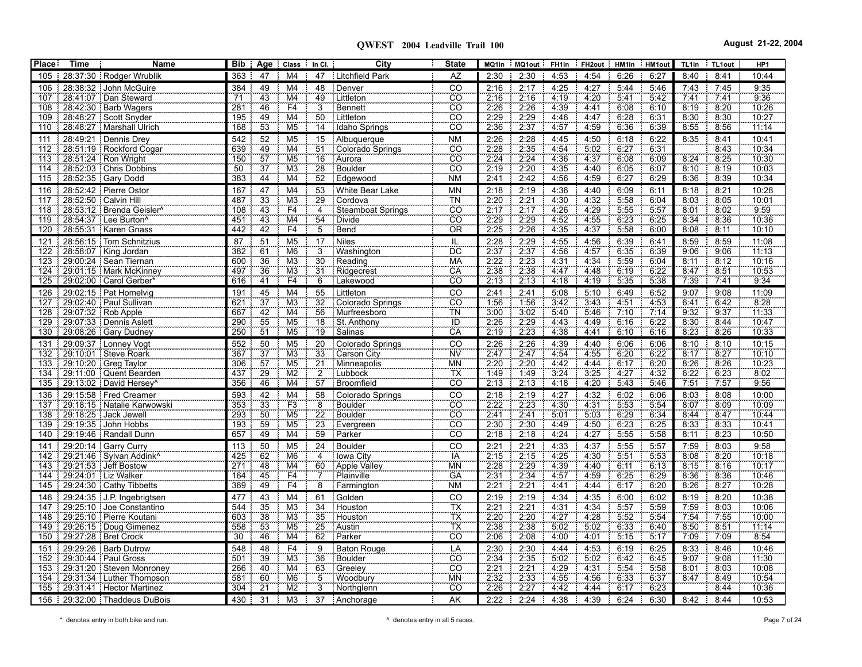**QWEST 2004 Leadville Trail 100 August 21-22, 2004**

| <b>Place:</b> | <b>Time</b> | Name                                                          | <b>Bib</b> | Age Class                                                           | $\ln$ Cl.             | City                      | <b>State</b>                   | MQ1in        | MQ1out FH1in FH2out HM1in HM1out |              |              |              |              | TL1in        | TL1out       | HP1            |
|---------------|-------------|---------------------------------------------------------------|------------|---------------------------------------------------------------------|-----------------------|---------------------------|--------------------------------|--------------|----------------------------------|--------------|--------------|--------------|--------------|--------------|--------------|----------------|
|               |             | 105   28:37:30   Rodger Wrublik                               | 363        | 47<br>M <sub>4</sub>                                                | 47                    | Litchfield Park           | AZ                             | 2:30         | 2:30                             | 4:53         | 4:54         | 6:26         | 6:27         | 8:40         | 8:41         | 10:44          |
| 106           |             | $\frac{1}{28.38.32}$ John McGuire                             | 384        | 49<br>M <sub>4</sub>                                                | 48                    | Denver                    | CO                             | 2:16         | 2:17                             | 4:25         | 4:27         | 5:44         | 5:46         | 7:43         | 7:45         | 9:35           |
| 107           |             | 28:41.07 Dan Steward                                          | 71         | 43<br>M4                                                            | 49                    | Littleton                 | $\overline{CO}$                | 2:16         | 2:16                             | 4:19         | 4:20         | 5:41         | 5:42         | 7:41         | 7:41         | 9:36           |
| 108           |             | 28:42:30   Barb Wagers                                        | 281        | F4<br>46                                                            | $\overline{3}$        | Bennett                   | $\overline{CO}$                | 2:26         | 2:26                             | 4:39         | 4:41         | 6.08         | 6:10         | 8:19         | 8:20         | 10:26          |
| 109           |             | 28:48:27 Scott Snyder                                         | 195        | $\overline{\mathsf{M}}$ 4<br>49                                     | 50                    | Littleton                 | $\overline{CO}$                | 2:29         | 2:29                             | 4.46         | 4:47         | 6:28         | 6:31         | 8:30         | 8:30         | 10:27          |
| 110           |             | 28.48.27   Marshall Ulrich                                    | 168        | 53<br>M <sub>5</sub>                                                |                       | 14 Idaho Springs          | $\overline{CO}$                | 2:36         | 2:37                             | 4:57         | 4.59         | 6:36         | 6:39         | 8:55         | 8:56         | 11:14          |
| 111           |             | 28:49:21 : Dennis Drey                                        | 542        | 52<br>M <sub>5</sub>                                                | 15 <sub>1</sub>       | Albuquerque               | <b>NM</b>                      | 2:26         | 2:28                             | 4:45         | 4:50         | 6:18         | 6:22         | 8:35         | 8:41         | 10:41          |
| 112           |             | 28:51:19 Rockford Cogar                                       | 639        | 49<br>M4<br>57<br>M <sub>5</sub>                                    | 51                    | Colorado Springs          | CO<br>CO <sup>-</sup>          | 2:28         | 2:35                             | 4.54         | 5:02         | 6.27<br>6.08 | 6:31         | 8.24         | 8:43<br>8:25 | 10:34          |
| 113<br>114    |             | 28.51.24 Ron Wright<br>28:52:03   Chris Dobbins               | 150<br>50  | $\overline{37}$<br>M <sub>3</sub>                                   | $\overline{16}$<br>28 | Aurora<br>Boulder         | CÔ                             | 2:24<br>2.19 | 2:24<br>2:20                     | 4:36<br>4:35 | 4:37<br>4:40 | 6:05         | 6:09<br>6.07 | 8:10         | 8:19         | 10:30<br>10:03 |
| 115           |             | 28.52.35 Gary Dodd                                            | 383        | 44<br>$\overline{\mathsf{M4}}$                                      | 52                    | Edgewood                  | <b>NM</b>                      | 2:41         | 2:42                             | 4:56         | 4:59         | 6:27         | 6:29         | 8:36         | 8:39         | 10:34          |
| 116           |             | 28:52:42 Pierre Ostor                                         | 167        | 47<br>M <sub>4</sub>                                                | 53                    | White Bear Lake           | <b>MN</b>                      | 2:18         | 2:19                             | 4:36         | 4:40         | 6:09         | 6:11         | 8:18         | 8:21         | 10:28          |
| 117           |             | 28:52:50   Calvin Hill                                        | 487        | 33<br>M <sub>3</sub>                                                | $\overline{29}$       | Cordova                   | TN                             | 2:20         | 2:21                             | 4:30         | 4:32         | 5:58         | 6:04         | 8:03         | 8:05         | 10:01          |
| 118           |             | 28:53:12   Brenda Geisler^                                    | 108        | F4<br>43                                                            | 4                     | Steamboat Springs         | $\overline{CO}$                | 2:17         | 2:17                             | 4.26         | 4:29         | 5.55         | 5:57         | 8:01         | 8:02         | 9:59           |
| 119           |             | 28:54:37 Lee Burton^                                          | 451        | 43<br>$\overline{\mathsf{M}}$ 4                                     | 54                    | Divide                    | CÖ                             | 2:29         | 2:29                             | 4:52         | 4:55         | 6:23         | 6:25         | 8:34         | 8:36         | 10:36          |
|               |             | 120   28:55:31   Karen Gnass                                  | 442        | 42<br>F4                                                            | $\overline{5}$        | Bend                      | ÖR                             | 2.25         | 2.26                             | 4:35         | 4:37         | 5.58         | 6:00         | 8:08         | 8:11         | 10:10          |
| 121           |             | 28:56:15 Tom Schnitzius                                       | 87         | 51<br>M <sub>5</sub>                                                | 17                    | Niles                     | IL                             | 2:28         | 2:29                             | 4:55         | 4:56         | 6:39         | 6:41         | 8:59         | 8:59         | 11:08          |
| 122           |             | 28:58:07 King Jordan                                          | 382        | 61<br>M <sub>6</sub>                                                | $\overline{3}$        | Washington                | <b>DC</b>                      | 2:37         | 2.37                             | 4:56         | 4:57         | 6:35         | 6:39         | 9:06         | 9:06         | 11:13          |
| 123           |             | 29.00.24   Sean Tiernan                                       | 600        | 36<br>M <sub>3</sub>                                                | 30                    | Reading                   | <b>MA</b>                      | 2.22         | 2:23                             | 4:31         | 4:34         | 5.59         | 6.04         | 8:11         | 8:12         | 10:16          |
| 124           |             | 29:01:15   Mark McKinney                                      | 497        | 36<br>M3                                                            | $\overline{31}$       | Ridgecrest                | CA                             | 2:38         | 2:38                             | 4:47         | 4:48         | 6:19         | 6:22         | 8:47         | 8:51         | 10:53          |
|               |             | 125   29:02:00   Carol Gerber*                                | 616        | 41<br>F4                                                            | 6                     | Lakewood                  | $\overline{\text{CO}}$         | 2:13         | 2:13                             | 4:18         | 4:19         | 5:35         | 5:38         | 7:39         | 741          | 9:34           |
| 126           |             | 29.02.15 Pat Homelvig                                         | 191        | 45<br>M <sub>4</sub>                                                | 55                    | Littleton                 | CO                             | 2:41         | 2:41                             | 5:08         | 5:10         | 6:49         | 6:52         | 9:07         | 9:08         | 11:09          |
| 127           |             | 29:02:40 Paul Sullivan                                        | 621        | $\overline{37}$<br>$\overline{\text{M3}}$                           |                       | 32 Colorado Springs       | CÖ                             | 1:56         | 1:56                             | 3:42         | 3:43         | 4.51         | 4.53         | 6:41         | 6:42         | 8:28           |
| 128<br>129    |             | 29:07:32 Rob Apple                                            | 667<br>290 | $\overline{42}$<br>$\overline{\mathsf{M4}}$<br>55<br>M <sub>5</sub> | 56<br>18              | <b>IMurfreesboro</b>      | ΪÑ                             | 3:00         | 3:02<br>2:29                     | 5:40<br>4:43 | 5:46<br>4:49 | 7:10<br>6:16 | 7:14         | 9:32<br>8:30 | 9:37<br>8:44 | 11:33<br>10:47 |
|               |             | 29:07:33   Dennis Aslett<br>130 29:08:26 Gary Dudney          | 250        | $\overline{51}$<br>M <sub>5</sub>                                   | 19                    | St. Anthony<br>Salinas    | ID<br>CA                       | 2:26<br>2:19 | 2.23                             | 4:38         | 4:41         | 6:10         | 6:22<br>6:16 | 8:23         | 8:26         | 10:33          |
| 131           |             | 29:09:37 : Lonney Voat                                        | 552        | 50<br>M <sub>5</sub>                                                | 20                    | Colorado Springs          | $\overline{co}$                | 2:26         | 2:26                             | 4:39         | 4:40         | 6:06         | 6:06         | 8:10         | 8:10         | 10:15          |
|               |             | 132 29:10:01 Steve Roark                                      | 367        | M <sub>3</sub><br>$\overline{37}$                                   | 33                    | Carson City               | <b>NV</b>                      | 2:47         | 2:47                             | 4:54         | 4.55         | 6:20         | 6:22         | 8:17         | 8:27         | 10:10          |
| 133           |             | 29:10:20   Greg Taylor                                        | 306        | 57<br>M <sub>5</sub>                                                | 21                    | Minneapolis               | MN                             | 2:20         | 2:20                             | 4:42         | 4:44         | 6.17         | 6:20         | 8:26         | 8:26         | 10:23          |
| 134           |             | 29:11:00 Quent Bearden                                        | 437        | $\overline{\text{M2}}$<br>29                                        | $\overline{2}$        | Lubbock                   | TX                             | 1:49         | 1:49                             | 3:24         | 3:25         | 4:27         | 4:32         | 6:22         | 6:23         | 8:02           |
| 135           |             | 29:13:02   David Hersey                                       | 356        | 46<br>M4                                                            | 57                    | Broomfield                | <b>CO</b>                      | 2:13         | 2:13                             | 4:18         | 4.20         | 5.43         | 5:46         | 7.51         | 7.57         | 9:56           |
| 136           |             | $\frac{1}{2}$ 29:15:58 Fred Creamer                           | 593        | M <sub>4</sub><br>42                                                | 58                    | Colorado Springs          | CO                             | 2:18         | 2:19                             | 4:27         | 4:32         | 6:02         | 6:06         | 8:03         | 8:08         | 10:00          |
| 137           |             | 29:18:15 Natalie Karwowski                                    | 353        | 33<br>F3                                                            | $\overline{8}$        | Boulder                   | $\overline{\text{CO}}$         | 2:22         | 2:23                             | 4:30         | 4.31         | 5.53         | 5:54         | 8:07         | 8:09         | 10:09          |
| 138           |             | 29:18:25 Jack Jewell                                          | 293        | 50<br>M <sub>5</sub>                                                | $\overline{22}$       | Boulder                   | $\overline{CO}$                | 2:41         | 2:41                             | 5.01         | 5:03         | 6:29         | 6:34         | 8:44         | 8:47         | 10:44          |
| 139           |             | 29:19:35 John Hobbs                                           | 193        | 59<br>M <sub>5</sub>                                                | 23                    | Evergreen                 | CO                             | 2:30         | 2:30                             | 4:49         | 4:50         | 6:23         | 6:25         | 8:33         | 8:33         | 10:41          |
|               |             | 140 29:19:46 Randall Dunn                                     | 657        | 49<br>M4                                                            | 59                    | Parker                    | $\overline{CO}$                | 2:18         | 2:18                             | 4.24         | 4:27         | 5.55         | 5:58         | 8:11         | 8:23         | 10:50          |
| 141           |             | 29:20:14   Garry Curry<br>29.21.46 Sylvan Addink <sup>x</sup> | 113        | 50<br>M <sub>5</sub><br>62<br>M <sub>6</sub>                        | 24                    | Boulder                   | $\overline{CO}$                | 2:21         | 2:21                             | 4:33<br>4.25 | 4:37         | 5:55<br>5.51 | 5:57         | 7:59         | 8:03<br>8:20 | 9:58           |
| 142<br>143    |             | 29:21:53 Jeff Bostow                                          | 425<br>271 | 48<br>$\overline{\mathsf{M4}}$                                      | $\overline{4}$<br>60  | lowa City<br>Apple Valley | ÏÄ<br><b>MN</b>                | 2:15<br>2:28 | 2:15<br>2.29                     | 4:39         | 4.30<br>4:40 | 6:11         | 5.53<br>6:13 | 8:08<br>8:15 | 8:16         | 10:18<br>10:17 |
| 144           |             | 29:24:01   Liz Walker                                         | 164        | 45                                                                  |                       | Plainville                | GÄ                             | 2:31         | 2:34                             | 4.57         | 4.59         | 6:25         | 6:29         | 8:36         | 8:36         | 10:46          |
| 145           |             | 29:24:30 Cathy Tibbetts                                       | 369        | $\frac{F4}{F4}$<br>49                                               | 8                     | Farmington                | <b>NM</b>                      | 2:21         | 2:21                             | 441          | 4:44         | 6:17         | 6:20         | 8:26         | 8:27         | 10:28          |
| 146           |             | 29:24:35 J.P. Ingebrigtsen                                    | 477        | 43<br>M <sub>4</sub>                                                | 61                    | Golden                    | CO                             | 2:19         | 2:19                             | 4:34         | 4:35         | 6:00         | 6:02         | 8:19         | 8:20         | 10:38          |
| 147           |             | 29:25:10 Joe Constantino                                      | 544        | 35<br>M <sub>3</sub>                                                | 34                    | Houston                   | $\frac{1}{1}$                  | 2.21         | 2.21                             | 4:31         | 4:34         | 5.57         | 5:59         | 7 59         | 8:03         | 10:06          |
| 148           |             | 29:25:10   Pierre Koutani                                     | 603        | 38<br>M <sub>3</sub>                                                | 35                    | Houston                   | $\frac{1}{T}$<br>$\frac{1}{T}$ | 2:20         | 2:20                             | 4:27         | 4:28         | 5.52         | 5:54         | 7:54         | 7.55         | 10:00          |
| 149           |             | 29:26:15 Doug Gimenez                                         | 558        | M <sub>5</sub><br>53                                                | 25                    | Austin                    |                                | 2:38         | 2:38                             | 5:02         | 5:02         | 6:33         | 6:40         | 8:50         | 8:51         | 11:14          |
|               |             | 150 29:27:28 Bret Crock                                       | 30         | 46<br>M4                                                            | 62                    | Parker                    | $\overline{co}$                | 2:06         | 2:08                             | 4:00         | 4:01         | 5:15         | 5:17         | 7:09         | 7.09         | 8:54           |
| 151           |             | 29:29:26   Barb Dutrow                                        | 548        | 48<br>F4                                                            | 9                     | <b>Baton Rouge</b>        | LA                             | 2:30         | 2:30                             | 4:44         | 4:53         | 6:19         | 6:25         | 8:33         | 8:46         | 10:46          |
| 152           |             | 29:30:44   Paul Gross                                         | 501        | M <sub>3</sub><br>39                                                | $\overline{36}$       | Boulder                   | CÔ                             | 2:34         | 2:35                             | 5:02         | 5.02         | 6:42         | 6:45         | 9:07         | 9:08         | 11:30          |
| 153           |             | 29:31:20 Steven Monroney                                      | 266        | 40<br>$\overline{\mathsf{M4}}$                                      | 63                    | Greeley                   | $\overline{co}$                | 2:21         | 2.21                             | 4.29         | 4:31         | 5:54         | 5.58         | 8:01         | 8:03         | 10:08          |
|               |             | 154 29:31:34 Luther Thompson                                  | 581<br>304 | 60<br>M <sub>6</sub><br>$\overline{21}$<br>M2                       | 5<br>3                | <b>Woodbury</b>           | <b>MN</b><br>$\overline{CO}$   | 2:32<br>2:26 | 2:33                             | 4:55<br>4:42 | 4:56<br>4:44 | 6:33<br>6:17 | 6:37<br>6:23 | 8:47         | 8:49<br>8:44 | 10:54<br>10:36 |
|               |             | 155   29:31:41   Hector Martinez                              |            |                                                                     |                       | Northglenn                |                                |              | 2:27                             |              |              |              |              |              |              |                |
|               |             | 156 29:32:00 Thaddeus DuBois                                  | 430        | 31<br>M <sub>3</sub>                                                | 37                    | Anchorage                 | AK                             | 2:22         | 2:24                             | 4:38         | 4:39         | 6:24         | 6:30         | 8:42         | 8:44         | 10:53          |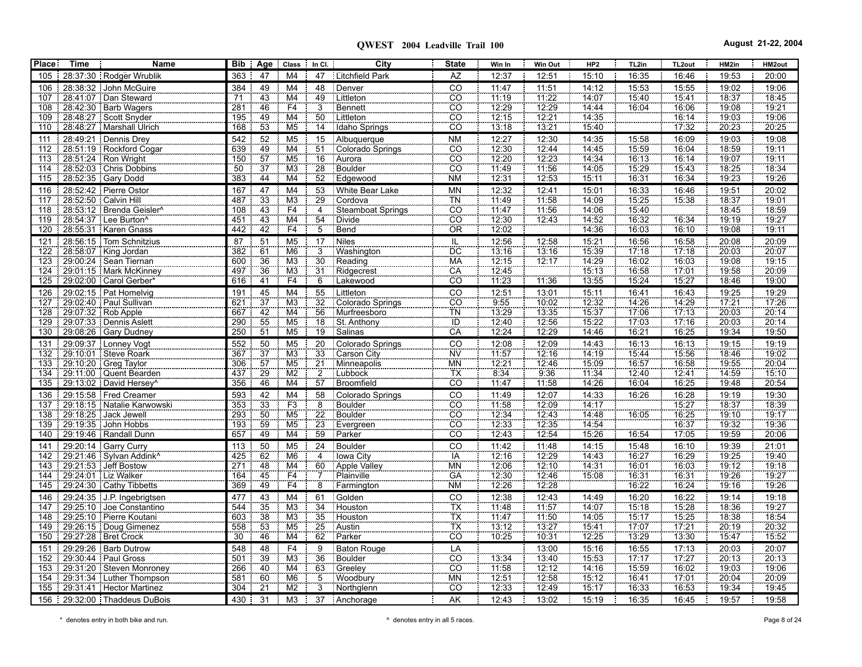**QWEST 2004 Leadville Trail 100 August 21-22, 2004**

| <b>Place:</b> | Time                   | Name                                                            | <b>Bib</b> | Age             | Class                             | In CI.                | City                         | <b>State</b>               | Win In               | Win Out        | HP <sub>2</sub>            | TL2in          | TL <sub>2out</sub>    | HM2in             | HM2out         |
|---------------|------------------------|-----------------------------------------------------------------|------------|-----------------|-----------------------------------|-----------------------|------------------------------|----------------------------|----------------------|----------------|----------------------------|----------------|-----------------------|-------------------|----------------|
| 105           |                        | 28:37:30 Rodger Wrublik                                         | 363        | 47              | M <sub>4</sub>                    | 47                    | Litchfield Park              | <b>AZ</b>                  | 12:37                | 12:51          | 15:10                      | 16:35          | 16:46                 | 19:53             | 20:00          |
| 106           |                        | 28:38:32 John McGuire                                           | 384        | 49              | M <sub>4</sub>                    | 48                    | Denver                       | CO                         | 11:47                | 11:51          | 14:12                      | 15:53          | 15:55                 | 19:02             | 19:06          |
| 107           |                        | 28.41.07 Dan Steward                                            | 71         | 43              | M <sub>4</sub>                    | $\frac{49}{3}$        | Littleton                    | $\overline{c}\overline{o}$ | 11:19                | 11:22          | 14.07                      | 15:40          | 15.41                 | 18:37             | 18:45          |
| 108           |                        | 28:42:30 Barb Wagers                                            | 281        | 46              | F4                                |                       | Bennett                      | $\overline{CO}$            | 12:29                | 12:29          | 14:44                      | 16:04          | 16:06                 | 19:08             | 19:21          |
| 109           |                        | 28.48.27 Scott Snyder                                           | 195        | 49              | M4                                | 50                    | <b>Littleton</b>             | $\overline{co}$            | 12:15                | 12:21          | 14.35                      |                | 16:14                 | 19:03             | 19:06          |
| 110           |                        | 28.48.27 Marshall Ulrich                                        | 168        | 53              | M <sub>5</sub>                    | $\overline{14}$       | Idaho Springs                | CO                         | 13:18                | 13:21          | 15:40                      |                | 17:32                 | 20:23             | 20:25          |
| 111           |                        | 28.49.21   Dennis Drey                                          | 542        | 52              | M <sub>5</sub>                    | 15                    | Albuquerque                  | <b>NM</b>                  | 12:27                | 12:30          | 14:35                      | 15:58          | 16:09                 | 19:03             | 19:08          |
| 112           |                        | 28:51:19 Rockford Cogar                                         | 639        | $\frac{49}{57}$ | $\overline{\mathsf{M4}}$          | $\overline{51}$       | Colorado Springs             | $rac{1}{100}$              | 12:30                | 12:44          | 14:45                      | 15:59          | 16:04                 | 18:59             | 19:11          |
| 113           |                        | 28.51.24 Ron Wright                                             | 150<br>50  | $\overline{37}$ | M <sub>5</sub><br>M <sub>3</sub>  | $\overline{16}$<br>28 | Aurora<br>Boulder            | $\frac{55}{50}$            | 12.20<br>11:49       | 12:23          | 14:34<br>$\frac{1}{14.05}$ | 16:13<br>15.29 | 16:14<br>15.43        | 19.07<br>18.25    | 19:11          |
| 114<br>115    |                        | 28:52:03   Chris Dobbins<br>28.52.35 Gary Dodd                  | 383        | $\overline{44}$ | M4                                | $\overline{52}$       | Edgewood                     | <b>NM</b>                  | 12:31                | 11:56<br>12:53 | 15:11                      | 16:31          | 16:34                 | 19:23             | 18:34<br>19:26 |
|               |                        |                                                                 |            |                 |                                   |                       |                              |                            |                      |                |                            |                |                       |                   |                |
| 116<br>117    | 28:52:50   Calvin Hill | 28:52:42 Pierre Ostor                                           | 167<br>487 | 47<br>33        | M <sub>4</sub><br>M <sub>3</sub>  | 53                    | White Bear Lake              | <b>MN</b><br>TÑ            | 12:32<br>11:49       | 12:41<br>11:58 | 15:01<br>14:09             | 16:33<br>15:25 | 16:46<br>15:38        | 19:51<br>18.37    | 20:02<br>19:01 |
| 118           |                        | 28.53.12 Brenda Geisler                                         | 108        |                 | F4                                | $\overline{29}$<br>4  | Cordova<br>Steamboat Springs | CO                         | 11.47                | 11.56          | 14:06                      | 15:40          |                       | 18.45             | 18.59          |
| 119           |                        | 28.54.37 Lee Burton <sup>^</sup>                                | 451        | $\frac{43}{43}$ | $\overline{M4}$                   |                       | <b>Divide</b>                | cō                         | 12:30                | 12.43          | $\frac{111.68}{14.52}$     | 16:32          | 16:34                 | $\frac{1}{19.19}$ | 19.27          |
|               |                        | 120 28:55:31 Karen Gnass                                        | 442        | 42              | F4                                | $\frac{54}{5}$        | Bend                         | ÖR                         | 12.02                |                | 14:36                      | 16:03          | 16:10                 | 19:08             | 79.11          |
| 121           |                        | 28.56.15 Tom Schnitzius                                         | 87         | 51              | M <sub>5</sub>                    | 17                    | Niles                        | IL.                        | 12:56                | 12:58          | 15:21                      | 16:56          | 16:58                 | 20:08             | 20:09          |
| 122           |                        | 28:58:07 King Jordan                                            | 382        | 61              | M6                                | $\overline{3}$        | Washington                   | $\overline{DC}$            | 13:16                | 13:16          | 15.39                      | 17:18          | 17:18                 | 20:03             | 20:07          |
| 123           |                        | 29:00:24   Sean Tiernan                                         | 600        | 36              | M <sub>3</sub>                    | $\overline{30}$       | Reading                      | <b>MA</b>                  | 12:15                | 12.17          | 14:29                      | 16:02          | 16:03                 | 19:08             | 19:15          |
| 124           |                        | 29:01:15   Mark McKinney                                        | 497        | 36              | M <sub>3</sub>                    | 31                    | Ridgecrest                   | CA                         | $\frac{1}{12.45}$    |                | 15.13                      | 16:58          | 17:01                 | 19:58             | 20:09          |
|               |                        | 125 29:02:00 Carol Gerber*                                      | 616        | $\overline{41}$ | F4                                | $\overline{6}$        | Lakewood                     | $\overline{CO}$            | 11:23                | 11:36          | 13:55                      | 15:24          | 15:27                 | 18:46             | 19:00          |
| 126           |                        | 29:02:15 Pat Homelvig                                           | 191        | 45              | M <sub>4</sub>                    | 55                    | Littleton                    | CO                         | 12:51                | 13:01          | 15:11                      | 16:41          | 16:43                 | 19:25             | 19:29          |
| 127           |                        | 29:02:40   Paul Sullivan                                        | 621        | 37              | M <sub>3</sub>                    | $\overline{32}$       | Colorado Springs             | $rac{CO}{TN}$              | 9.55                 | 10.02          | 12:32<br>15:37             | 14.26          | $\frac{14.29}{17.13}$ | 17:21             | 17:26          |
| 728           |                        | 29.07.32 Rob Apple                                              | 667        | 42              | $\overline{M4}$                   | 56                    | Murfreesboro                 |                            | 13.29                | 13.35          |                            | 17:06          |                       | 20:03             | 20:14          |
| 129           |                        | 29.07.33 Dennis Aslett                                          | 290        | 55              | M <sub>5</sub>                    | 18                    | St. Anthony                  | ÏÖ                         | 12.40                | 12.56          | 15.22                      | 17:03          | 17.16                 | 20:03             | 20:14          |
| 130           |                        | 29.08.26 Gary Dudney                                            | 250        | $\overline{51}$ | M <sub>5</sub>                    | 19                    | Salinas                      | CĂ                         | 12:24                | 12:29          | 14:46                      | 16:21          | 16:25                 | 19:34             | 19:50          |
| 131           |                        | 29:09:37 Lonney Vogt                                            | 552        | 50              | M <sub>5</sub>                    | 20                    | Colorado Springs             | $\overline{c}$             | 12:08                | 12:09          | 14:43                      | 16:13          | 16:13                 | 19:15             | 19:19          |
| 132           |                        | 29:10:01 Steve Roark                                            | 367        | 37<br>57        | M <sub>3</sub><br>M <sub>5</sub>  | $\overline{33}$       | Carson City                  | <b>NV</b><br><b>MN</b>     | 11:57                | 12:16          | 14:19<br>15:09             | 15:44          | 15:56                 | 18:46<br>19.55    | 19:02          |
| 133<br>134    |                        | 29:10:20 Greg Taylor<br>29:11:00 Quent Bearden                  | 306<br>437 |                 | $\overline{M2}$                   | $\frac{21}{2}$        | Minneapolis<br>Lubbock       | <b>TX</b>                  | $\frac{12.21}{8.34}$ | 12:46<br>9.36  | 11.34                      | 16:57<br>12.40 | 16:58<br>12.41        | 14.59             | 20:04<br>15:10 |
| 135           |                        | $\frac{1}{29.13.02}$ David Hersey <sup><math>\land</math></sup> | 356        | $\frac{29}{46}$ | M <sub>4</sub>                    | 57                    | Broomfield                   | $\overline{CO}$            | 11:47                | 11:58          | 14:26                      | 16:04          | 16:25                 | 19:48             | 20:54          |
| 136           |                        | 29:15:58 Fred Creamer                                           | 593        | 42              | M4                                | 58                    | Colorado Springs             | CO                         | 11:49                | 12:07          | 14:33                      | 16:26          | 16:28                 | 19:19             | 19:30          |
| 137           |                        | 29:18:15 Natalie Karwowski                                      | 353        | 33              | F3                                | $\overline{8}$        | Boulder                      | $\overline{CO}$            | 11:58                | 12:09          | 14:17                      |                | 15:27                 | 18:37             | 18:39          |
| 138           |                        | 29:18:25 Jack Jewell                                            | 293        | 50              | M <sub>5</sub>                    | 22                    | Boulder                      | $\overline{CO}$            | 12.34                | 12:43          | 14:48                      | 16:05          | 16:25                 | 19:10             | 19:17          |
| 139           |                        | 29:19:35 John Hobbs                                             | 193        | 59              | M <sub>5</sub>                    | 23                    | Evergreen                    | $\overline{c}\overline{o}$ | 12:33                | 12:35          | 14:54                      |                | 16:37                 | 19:32             | 19:36          |
|               |                        | 140 29:19:46 Randall Dunn                                       | 657        | 49              | M4                                | 59                    | Parker                       | CO                         | 12:43                | 12:54          | 15:26                      | 16:54          | 17:05                 | 19:59             | 20:06          |
| 141           |                        | 29:20:14 Garry Curry                                            | 113        | 50              | M <sub>5</sub>                    | $\overline{24}$       | <b>Boulder</b>               |                            | 11:42                | 11:48          | 14:15                      | 15:48          | 16:10                 | 19:39             | 21:01          |
| 142           |                        | 29.21.46   Sylvan Addink <sup>^</sup>                           | 425        | 62              | M <sub>6</sub>                    | $\overline{4}$        | <b>Towa City</b>             | CO<br>TA<br>MN             | 12:16                | 12:29          | 14:43                      | 16:27          | 16:29                 | 19:25             | 19:40          |
| 143           |                        | 29:21:53 Jeff Bostow                                            | 271        | 48              | M4                                | 60                    | Apple Valley                 |                            | 12.06                | 12.10          | $\frac{14.31}{15.08}$      | 16:01          | 16:03                 | 19:12<br>19:26    | 19:18          |
| 144           |                        | 29:24:01   Liz Walker                                           | 164        | 45              | F4                                | $\frac{1}{7}$         | Plainville                   | GA                         | $\frac{1}{12.30}$    | 12:46          |                            | 16:31          | 16.31                 |                   | 19.27          |
| 145           |                        | 29:24:30 Cathy Tibbetts                                         | 369        | 49              | F4                                | $\overline{8}$        | Farmington                   | <b>NM</b>                  | 12:26                | 12:28          |                            | 16:22          | 16:24                 | 19:16             | 19:26          |
| 146           |                        | 29:24:35 J.P. Ingebrigtsen                                      | 477        | 43              | M4                                | 61                    | Golden                       | CO                         | 12:38                | 12:43          | 14:49                      | 16:20          | 16:22                 | 19:14             | 19:18          |
| 147           |                        | 29.25.10 Joe Constantino                                        | 544        | 35              | M <sub>3</sub>                    | $\overline{34}$       | Houston                      | TX<br>TX<br>TX             | 11.48                | 11.57          | 14:07                      | 15:18          | 15.28                 | 18:36             | 19.27          |
| 148<br>149    |                        | 29:25:10   Pierre Koutani                                       | 603        | 38<br>53        | $\overline{M3}$<br>M <sub>5</sub> | $\overline{35}$<br>25 | Houston<br>Austin            |                            | 11.47<br>13.12       | 11:50          | 14:05<br>15.41             | 75:17<br>17:07 | 15.25<br>17.21        | 18:38<br>20:19    | 18.54          |
| 150           |                        | 29:26:15   Doug Gimenez<br>29:27:28   Bret Crock                | 558<br>30  | 46              | M <sub>4</sub>                    | 62                    | Parker                       | $\overline{CO}$            | 70.25                | 13:27<br>10:31 | 12:25                      | 13:29          | 13:30                 | 15.47             | 20:32<br>15.52 |
| 151           |                        | 29:29:26 Barb Dutrow                                            | 548        | 48              | F <sub>4</sub>                    | 9                     | <b>Baton Rouge</b>           | LA                         |                      | 13:00          | 15:16                      | 16:55          | 17:13                 | 20:03             | 20:07          |
| 152           |                        | 29:30:44   Paul Gross                                           | 501        | 39              | M <sub>3</sub>                    | 36                    | Boulder                      | CO                         | 13:34                | 13:40          | 15:53                      | 17:17          | 17.27                 | 20:13             | 20:13          |
| 153           |                        | 29:31:20 Steven Monroney                                        | 266        | 40              | M4                                |                       | Greeley                      | CO                         | 11:58                | 12:12          | 14:16                      | 15:59          | 16:02                 | 19:03             | 19:06          |
| 154           |                        | 29:31:34 Luther Thompson                                        | 581        | 60              | M <sub>6</sub>                    | $\frac{63}{5}$        | Woodbury                     | <b>MN</b>                  | 12:51                | 12.58          | 15:12                      | 16:41          | 17.01                 | 20:04             | 20:09          |
| 155           |                        | 29:31:41 Hector Martinez                                        | 304        | $\overline{21}$ | M <sub>2</sub>                    | $\overline{3}$        | Northglenn                   | CO                         | 12.33                | 12:49          | 15:17                      | 16:33          | 16:53                 | 19:34             | 19:45          |
|               |                        | 156 29:32:00 Thaddeus DuBois                                    | 430        | 31              | M <sub>3</sub>                    | 37                    | Anchorage                    | AK                         | 12:43                | 13:02          | 15:19                      | 16:35          | 16:45                 | 19:57             | 19:58          |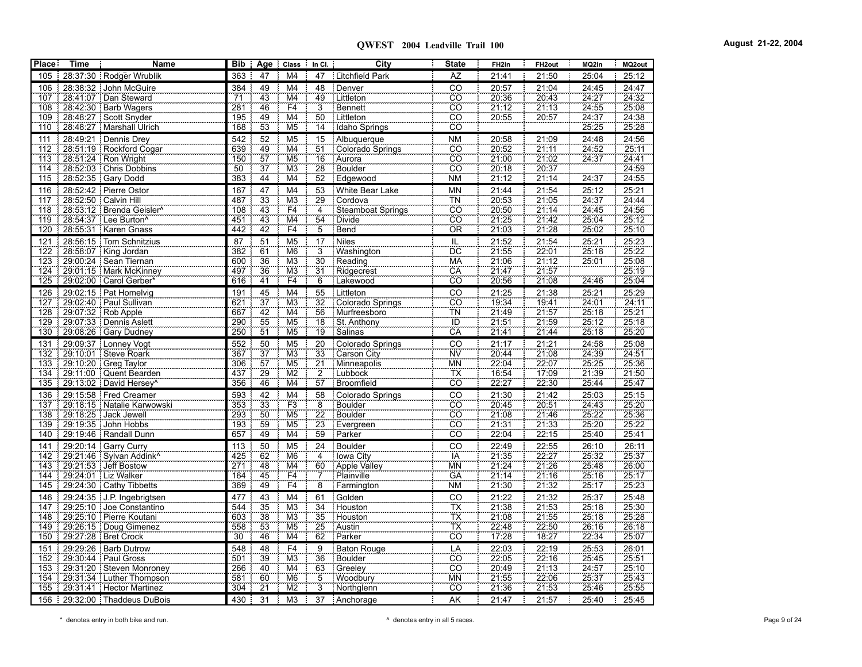**QWEST 2004 Leadville Trail 100 August 21-22, 2004**

| <b>Place</b> | <b>Time</b> | <b>Name</b>                                         |            |                                    | Bib   Age   Class   In Cl.               |                 | City                        | <b>State</b>               | FH <sub>2in</sub>                                                           | FH <sub>2out</sub>                                     | MQ2in                 | MQ2out                |
|--------------|-------------|-----------------------------------------------------|------------|------------------------------------|------------------------------------------|-----------------|-----------------------------|----------------------------|-----------------------------------------------------------------------------|--------------------------------------------------------|-----------------------|-----------------------|
| 105          |             | 28:37:30 Rodger Wrublik                             | 363        | 47                                 | M4                                       | 47              | Litchfield Park             | AZ                         | 21:41                                                                       | 21:50                                                  | 25:04                 | 25:12                 |
| 106          |             | 28:38:32 John McGuire                               | 384        | 49                                 | M <sub>4</sub>                           | 48              | Denver                      | $\overline{c}$             | 20:57                                                                       | 21:04                                                  | 24:45                 | 24:47                 |
| 107          |             | 28:41:07 Dan Steward                                | 71         | 43                                 | $\overline{\mathsf{M4}}$                 | 49              | Littleton                   | $\overline{co}$            | 20:36                                                                       | 20.43                                                  | 24.27                 | 24:32                 |
| 108          |             | 28.42.30 Barb Wagers                                | 281        | $\frac{46}{49}$                    | F4                                       | $\overline{3}$  | Bennett                     | $\overline{CO}$            | $\frac{21.12}{20.55}$                                                       | $\frac{21.13}{20.57}$                                  | 24.55                 | 25.08                 |
| 109          |             | 28:48:27 Scott Snyder                               | 195        |                                    | M <sub>4</sub>                           | 50              | Littleton                   | CO                         |                                                                             |                                                        | 24:37                 | 24:38                 |
| 110          |             | 28.48.27 Marshall Ulrich                            | 168        | 53                                 | M <sub>5</sub>                           | 14              | Idaho Springs               | CO                         |                                                                             |                                                        | 25.25                 | 25:28                 |
| 111          | 28:49:21    | Dennis Drey                                         | 542        | 52                                 | M <sub>5</sub>                           | 15              | Albuquerque                 | <b>NM</b>                  | 20:58                                                                       | 21:09                                                  | 24:48                 | 24:56                 |
| 112          |             | 28.51.19 Rockford Cogar                             | 639        | $\frac{1}{49}$<br>$\frac{57}{37}$  | $\overline{\text{M4}}$                   | $\overline{51}$ | Colorado Springs            | cö                         | 20.52                                                                       | $\frac{1}{21.11}$                                      | $\frac{74.52}{24.37}$ | 25:11                 |
| 113          |             | 28:51:24   Ron Wright                               | 150        |                                    | M <sub>5</sub>                           | 16              | Aurora                      | $rac{1}{100}$              | $\frac{21.00}{20.18}$                                                       | $\frac{21.02}{20.37}$                                  |                       | $\frac{24.41}{24.59}$ |
| 114          |             | 28.52.03 Chris Dobbins                              | 50         |                                    | M <sub>3</sub>                           | 28              | Boulder                     |                            |                                                                             |                                                        |                       |                       |
| 115          |             | 28.52.35 Gary Dodd                                  | 383        | $\overline{44}$                    | $\overline{\mathsf{M4}}$                 | $\overline{52}$ | Edgewood                    | <b>NM</b>                  | 21:12                                                                       | $\frac{1}{21.14}$                                      | 24:37                 | 24 55                 |
| 116          |             | 28:52:42 Pierre Ostor                               | 167        | 47                                 | M <sub>4</sub>                           | 53              | White Bear Lake             | <b>MN</b>                  | 21:44<br>20:53                                                              | 21:54                                                  | 25:12                 | 25:21                 |
| 117          |             | 28:52:50   Calvin Hill                              | 487        | 33                                 | M3                                       | 29              | Cordova                     | TN                         |                                                                             | $\frac{1}{21.05}$                                      | $\frac{1}{24.37}$     | 24.44                 |
| 118          |             | 28:53:12 Brenda Geisler^                            | 108        |                                    | F4                                       | 4               | Steamboat Springs           | CO                         | 20.50                                                                       |                                                        | 24.45                 | 24:56                 |
| 119          |             | 28:54:37   Lee Burton^                              | 451        | $\frac{43}{43}$<br>$\frac{43}{42}$ | $\overline{\mathsf{M4}}$<br>F4           | $\overline{54}$ | Divide                      | CÖ                         | 21.25<br>$\frac{1}{21.03}$                                                  | $\frac{21:14}{21.42}$<br>21.42                         | 25:04                 | $\frac{25.12}{25.10}$ |
| 120          |             | 28:55:31   Karen Gnass                              | 442        |                                    |                                          | $\overline{5}$  | Bend                        | ÖR                         |                                                                             |                                                        | 25:02                 |                       |
| 121          |             | 28:56:15 Tom Schnitzius                             | 87         | 51                                 | M <sub>5</sub>                           | 17              | Niles                       | π                          | 21:52                                                                       | 21:54                                                  | 25:21                 | 25:23                 |
| 122          |             | 28:58:07 King Jordan                                | 382        | 61                                 | M <sub>6</sub>                           | $\frac{3}{30}$  | Washington                  | <b>DC</b>                  | 21.55                                                                       | $\frac{1}{22.01}$                                      | $\frac{1}{25.18}$     | 25:22                 |
| 123          |             | 29:00:24   Sean Tiernan                             | 600<br>497 | 36<br>36                           | $\overline{\text{M3}}$<br>M <sub>3</sub> | 31              | Reading<br>Ridgecrest       | <b>MA</b><br>CA            | 21:06<br>21.47                                                              | 21:12<br>21.57                                         | 25.01                 | 25.08<br>25:19        |
| 124<br>125   |             | 29:01:15   Mark McKinney<br>29.02.00 Carol Gerber*  | 616        | $\overline{41}$                    | F4                                       | 6               | Lakewood                    | $\overline{CO}$            | 20.56                                                                       | $\frac{1}{21.08}$                                      | 24.46                 | 25:04                 |
|              |             |                                                     |            |                                    |                                          |                 |                             |                            |                                                                             |                                                        |                       |                       |
| 126          |             | 29.02.15 Pat Homelvig<br>127 29:02:40 Paul Sullivan | 191        | 45<br>$\overline{37}$              | M4<br>M <sub>3</sub>                     | $\frac{55}{32}$ | Littleton                   | $rac{1}{100}$              | 21:25<br>19.34                                                              | 21:38<br>19.41                                         | 25:21<br>24.01        | 25:29<br>24:11        |
| 128          |             | 29:07:32 Rob Apple                                  | 621<br>667 |                                    | $\overline{\mathsf{M4}}$                 | 56              | Colorado Springs            |                            |                                                                             |                                                        | 25:18                 | 25.21                 |
| 129          |             | 29:07:33 Dennis Aslett                              | 290        |                                    | M <sub>5</sub>                           | $\overline{18}$ | Murfreesboro<br>St. Anthony | TN<br>TD                   | $\frac{21.49}{21.51}$                                                       | $\frac{21.57}{21.59}$                                  | 25.12                 | 25:18                 |
| 130          |             | 29:08:26   Gary Dudney                              | 250        | $\frac{42}{55}$                    | M <sub>5</sub>                           | 19              | Salinas                     | CA                         | 21.41                                                                       | $\frac{1}{21.44}$                                      | $\frac{1}{25.18}$     | 25.20                 |
| 131          |             | 29.09.37 Lonney Vogt                                | 552        | 50                                 | M <sub>5</sub>                           | 20              | Colorado Springs            | CO                         | 21:17                                                                       | 21:21                                                  | 24:58                 | 25:08                 |
| 132          |             | 29.10.01 Steve Roark                                | 367        |                                    | $\overline{M3}$                          | 33              | Carson City                 | <b>NV</b>                  | 20.44                                                                       | $\frac{1}{21.08}$                                      | $\frac{1}{24.39}$     | 24.51                 |
| 133          |             | 29:10:20 Greg Taylor                                | 306        |                                    | $\overline{M5}$                          |                 | Minneapolis                 | <b>MN</b>                  | 22:04                                                                       |                                                        | 25.25                 | 25:36                 |
|              |             | 134 29:11:00 Quent Bearden                          | 437        |                                    | $\overline{\text{M2}}$                   |                 | Lubbock                     |                            |                                                                             |                                                        |                       | 21.50                 |
| 135          |             | 29.13.02 David Hersey <sup>^</sup>                  | 356        | $\frac{37}{57}$<br>$\frac{29}{46}$ | M4                                       | $\frac{21}{2}$  | Broomfield                  | $\frac{1}{100}$            | $\frac{77.64}{16.54}$                                                       | $\begin{array}{r} 22.07 \\ 17.09 \\ 22.30 \end{array}$ | $\frac{21.39}{25.44}$ | 25:47                 |
| 136          |             | $\frac{1}{2}$ 29:15:58 Fred Creamer                 | 593        | 42                                 | M4                                       | 58              | Colorado Springs            | $\overline{CO}$            | 21:30                                                                       | 21:42                                                  | 25:03                 | 25:15                 |
|              |             | 137 29:18:15 Natalie Karwowski                      | 353        | $\overline{33}$                    | F3                                       |                 | Boulder                     | $\overline{c}\overline{o}$ | 20.45                                                                       | $\frac{1}{20.51}$                                      | 24.43                 | 25.20                 |
| 138          |             | 29:18:25 Jack Jewell                                | 293        | 50                                 | M <sub>5</sub>                           | $\frac{8}{22}$  | Boulder                     | $\overline{CO}$            | 21.08                                                                       |                                                        | 25:22                 | 25:36                 |
|              |             | 139 29:19:35 John Hobbs                             | 193        | $\frac{59}{49}$                    | M <sub>5</sub>                           | 23              | Evergreen                   | $\overline{CO}$            | $\frac{21.31}{22.04}$                                                       |                                                        | 25:20                 | $\frac{25.22}{25.41}$ |
| 140          |             | 29:19:46 Randall Dunn                               | 657        |                                    | $\overline{\mathsf{M4}}$                 | 59              | Parker                      | $\overline{co}$            |                                                                             | $\frac{21.46}{21.33}$ $\frac{22.15}{22.15}$            | 25:40                 |                       |
| 141          |             | 29:20:14 Garry Curry                                | 113        | 50                                 | M <sub>5</sub>                           | $\frac{24}{4}$  | Boulder                     | $rac{CO}{IA}$              | 22:49                                                                       | 22:55                                                  | 26:10<br>25:32        | 26:11                 |
| 142          |             | 29.21.46 Sylvan Addink <sup>^</sup>                 | 425        | 62                                 | M <sub>6</sub>                           |                 | Iowa City                   |                            | $\begin{array}{r} 21.35 \\ 21.24 \\ 21.14 \\ 21.14 \\ 21.30 \\ \end{array}$ | $\frac{22:27}{21:26}$                                  |                       | 25:37                 |
| 143          |             | 29.21.53 Jeff Bostow                                | 271        |                                    | $\overline{\mathsf{M4}}$                 | $\frac{1}{60}$  | Apple Valley                | <b>MN</b>                  |                                                                             |                                                        | 25.48                 | 26:00                 |
|              |             | 144   29:24:01   Liz Walker                         | 164        | $\frac{48}{45}$<br>$\frac{45}{49}$ | $rac{F4}{F4}$                            |                 | Plainville                  | GÄ                         |                                                                             |                                                        | $\frac{25.16}{25.17}$ | $\frac{25.17}{25.23}$ |
| 145          |             | 29:24:30 Cathy Tibbetts                             | 369        |                                    |                                          | 8               | Farmington                  | <b>NM</b>                  |                                                                             | $\frac{1}{21.32}$                                      |                       |                       |
| 146          |             | 29.24.35 J.P. Ingebrigtsen                          | 477        | 43                                 | M4                                       | 61              | Golden                      | CO                         | 21:22<br>21:38                                                              | $\frac{21.32}{21.53}$                                  | 25.37<br>25.18        | 25:48<br>25:30        |
| 147          |             | 29.25.10 Joe Constantino                            | 544        | $\overline{35}$                    | $\overline{M3}$                          | $\overline{34}$ | Houston                     | <b>TX</b>                  |                                                                             |                                                        |                       |                       |
| 148          |             | 29.25.10 Pierre Koutani                             | 603        | $\frac{38}{53}$                    | M <sub>3</sub>                           | $\overline{35}$ | Houston                     | $\frac{TX}{TX}$            | 21.08                                                                       | $\frac{21.55}{22.50}$                                  | 25.18                 | 25 28                 |
|              |             | 149 29:26:15 Doug Gimenez                           | 558        |                                    | $\overline{M5}$                          | $\overline{25}$ | Austin                      |                            | $\frac{22.48}{17.28}$                                                       |                                                        | 26.16                 | 26.18                 |
| 150          |             | 29.27.28   Bret Crock                               | 30         | 46                                 | M <sub>4</sub>                           | 62              | Parker                      | CÖ                         |                                                                             |                                                        | 22:34                 | 25:07                 |
| 151          |             | 29:29:26   Barb Dutrow                              | 548        | 48                                 | F4                                       | 9               | <b>Baton Rouge</b>          | LA                         | 22:03                                                                       | 22:19                                                  | $\frac{25.53}{25.45}$ | 26:01                 |
| 152          |             | 29:30:44 Paul Gross                                 | 501        | 39                                 | $\overline{\text{M3}}$                   | $\overline{36}$ | Boulder                     | CO                         | 22.05                                                                       | 22.16                                                  |                       | 25:51                 |
| 153          |             | 29:31:20 Steven Monroney                            | 266        | 40<br>60                           | M4                                       | 63              | Greeley                     | CO                         | 20:49                                                                       | 21.13                                                  | 24.57                 | 25.10                 |
|              |             | 154   29:31:34   Luther Thompson                    | 581<br>304 | $\overline{21}$                    | M <sub>6</sub><br>M2                     | $\frac{5}{3}$   | Woodbury                    | <b>MN</b><br>CÔ            | $\frac{21.55}{21.36}$                                                       | $\frac{22:06}{21.53}$                                  | 25.37<br>25.46        | $\frac{25.43}{25.55}$ |
|              |             | 155   29:31:41   Hector Martinez                    |            |                                    |                                          |                 | Northglenn                  |                            |                                                                             |                                                        |                       |                       |
|              |             | 156 29:32:00 Thaddeus DuBois                        | 430        | 31                                 | M <sub>3</sub>                           | 37              | Anchorage                   | <b>AK</b>                  | 21:47                                                                       | 21:57                                                  | 25:40                 | 25:45                 |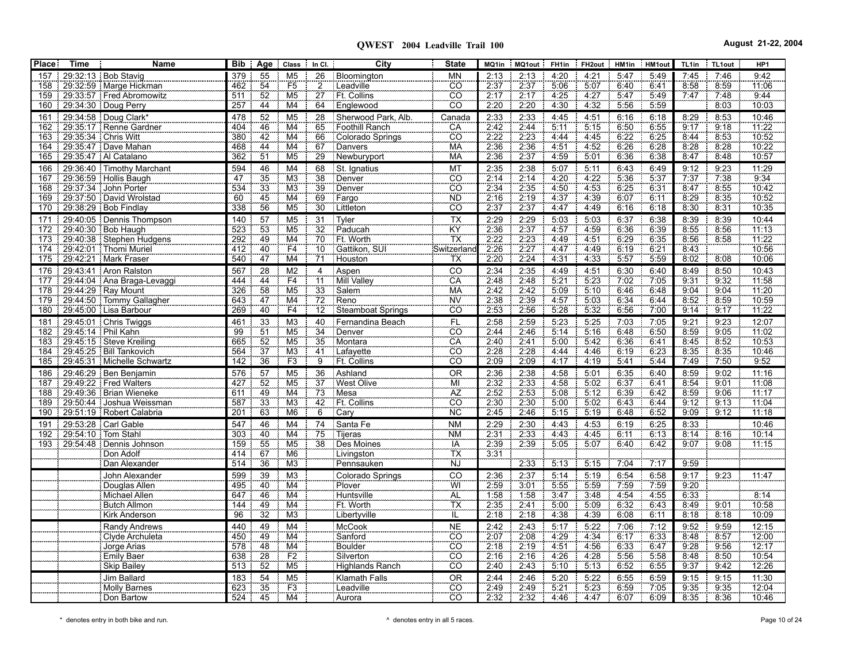| <b>Place:</b> | <b>Time</b>            | Name                                               | <b>Bib</b> | Age<br>Class                                         |                | $\parallel$ In CI.    | City                          | <b>State</b>                       |              | MQ1in MQ1out              | FH1in             | FH2out HM1in HM1out |              |              | TL1in        | TL1out       | HP <sub>1</sub> |
|---------------|------------------------|----------------------------------------------------|------------|------------------------------------------------------|----------------|-----------------------|-------------------------------|------------------------------------|--------------|---------------------------|-------------------|---------------------|--------------|--------------|--------------|--------------|-----------------|
| 157           |                        | 29:32:13   Bob Stavig                              | 379        | 55<br>M <sub>5</sub>                                 |                | 26                    | Bloomington                   | <b>MN</b>                          | 2:13         | 2:13                      | 4:20              | 4:21                | 5:47         | 5:49         | 7:45         | 7:46         | 9:42            |
| 158           |                        | 29:32:59   Marge Hickman                           | 462        | F5<br>54                                             |                | $\overline{2}$        | : Leadville                   | $\overline{CO}$                    | 2:37         | 2:37                      | 5:06              | 5:07                | 6:40         | 6:41         | 8:58         | 8:59         | 11:06           |
| 159           |                        | 29:33:57 Fred Abromowitz                           | 511        | 52<br>$\overline{M5}$                                |                | 27                    | Ft. Collins                   | $\overline{CO}$                    | 2:17         | 2.17                      | 4.25              | 4.27                | 5.47         | 5:49         | 7.47         | 7:48         | 9:44            |
| 160           |                        | 29:34:30 Doug Perry                                | 257        | 44<br>M <sub>4</sub>                                 |                | 64                    | Englewood                     | CO                                 | 2:20         | 2.20                      | 4:30              | 4.32                | 5:56         | 5:59         |              | 8.03         | 10:03           |
| 161           |                        | 29:34:58   Doug Clark*                             | 478        | 52<br>M <sub>5</sub>                                 |                | 28                    | Sherwood Park, Alb.           | Canada                             | 2:33         | 2:33                      | 4:45              | 4:51                | 6:16         | 6:18         | 8:29         | 8:53         | 10:46           |
| 162           |                        | 29:35:17 Renne Gardner                             | 404        | M <sub>4</sub><br>46                                 |                | 65                    | Foothill Ranch                | CA                                 | 2.42         | 2:44                      | 5:11              | 5:15                | 6.50         | 6:55         | 9:17         | 9.18         | 11:22           |
| 163           |                        | 29:35:34 Chris Witt                                | 380        | 42<br>$\overline{\mathsf{M}}$ 4                      |                | 66                    | Colorado Springs              | CÖ                                 | 2:22         | 2.23                      | 4:44              | 4.45                | 6:22         | 6:25         | 8.44         | 8:53         | 10:52           |
| 164<br>165    |                        | 29:35:47   Dave Mahan<br>29.35.47   Al Catalano    | 468<br>362 | 44<br>M <sub>4</sub><br>51<br>M <sub>5</sub>         |                | 67<br>29              | <b>Danvers</b><br>Newburyport | <b>MA</b><br><b>MA</b>             | 2:36<br>2:36 | 2:36<br>2:37              | 4:51<br>4:59      | 4.52<br>5.01        | 6:26<br>6:36 | 6:28<br>6:38 | 8:28<br>8:47 | 8:28<br>8:48 | 10:22<br>10:57  |
|               |                        |                                                    |            |                                                      |                |                       |                               |                                    |              |                           |                   |                     |              |              |              |              |                 |
| 166<br>167    |                        | 29:36:40 Timothy Marchant<br>29:36:59 Hollis Baugh | 594<br>47  | 46<br>M <sub>4</sub><br>35<br>$\overline{\text{M3}}$ |                | 68<br>$\overline{38}$ | St. Ignatius<br>Denver        | MT<br>$\overline{CO}$              | 2:35<br>2:14 | 2:38<br>2:14              | 5:07<br>4.20      | 5:11<br>4.22        | 6:43<br>5.36 | 6:49<br>5:37 | 9:12<br>7.37 | 9:23<br>7:38 | 11:29<br>9:34   |
| 168           |                        | 29.37.34 John Porter                               | 534        | 33<br>M <sub>3</sub>                                 |                | 39                    | Denver                        | CÖ                                 | 2:34         | 2:35                      | 4:50              | 4:53                | 6.25         | 6:31         | 8:47         | 8:55         | 10:42           |
| 169           |                        | 29:37:50 David Wrolstad                            | 60         | M <sub>4</sub><br>45                                 |                | 69                    | Fargo                         | <b>ND</b>                          | 2:16         | 2.19                      | 4.37              | 4:39                | 6.07         | 6:11         | 8:29         | 8.35         | 10:52           |
| 170           |                        | 29:38:29 Bob Findlay                               | 338        | 56<br>M <sub>5</sub>                                 |                | $\overline{30}$       | <b>Littleton</b>              | ĈÖ                                 | 2:37         | 2:37                      | 4.47              | 4:49                | 6:16         | 6:18         | 8:30         | 8:31         | 10:35           |
| 171           |                        | 29:40:05   Dennis Thompson                         | 140        | 57<br>M <sub>5</sub>                                 |                | 31                    | Tyler                         | $\overline{TX}$                    | 2:29         | 2:29                      | 5:03              | 5:03                | 6:37         | 6:38         | 8:39         | 8:39         | 10:44           |
| 172           |                        | 29:40:30 Bob Haugh                                 | 523        | M <sub>5</sub><br>$\overline{53}$                    |                | 32                    | Paducah                       | KŸ                                 | 2:36         | 2.37                      | 4.57              | 4 5 9               | 6.36         | 6.39         | 8.55         | 8.56         | 11:13           |
| 173           |                        | 29:40:38   Stephen Hudgens                         | 292        | 49<br>M4                                             |                | 70                    | Ft. Worth                     | TX                                 | 2.22         | 2.23                      | 4:49              | 4:51                | 6.29         | 6:35         | 8:56         | 8:58         | 11:22           |
| 174           |                        | 29:42:01   Thomi Muriel                            | 412        | $\frac{F4}{M4}$<br>40                                |                | $10^{-}$              | Gattikon, SUI                 | Switzerlan                         | 2:26         | 2:27                      | 4.47              | 4:49                | 6:19         | 6:21         | 8:43         |              | 10.56           |
|               |                        | 175 29:42:21 Mark Fraser                           | 540        | 47                                                   |                | 71                    | Houston                       | ТX                                 | 2.20         | 2:24                      | 4:31              | 4:33                | 5:57         | 5:59         | 8:02         | 8:08         | 10:06           |
| 176           |                        | 29:43:41 Aron Ralston                              | 567        | 28<br>M <sub>2</sub>                                 |                | 4                     | Aspen                         | $\overline{c}$                     | 2:34         | 2:35                      | 4:49              | 4:51                | 6:30         | 6:40         | 8:49         | 8:50         | 10:43           |
| 177           |                        | 29:44:04 Ana Braga-Levaggi                         | 444        | F4<br>44                                             |                | 11                    | Mill Valley                   | <b>CA</b>                          | 2:48         | 2:48                      | 5.21              | 5.23                | 7.02         | 7:05         | 9.31         | 9:32         | 11:58           |
| 178           |                        | 29:44:29 Ray Mount                                 | 326        | 58<br>M <sub>5</sub>                                 |                | $\overline{33}$       | Salem                         | <b>MA</b>                          | 2:42         | 2:42                      | 5:09              | 5:10                | 6:46         | 6:48         | 9:04         | 9:04         | 11:20           |
| 179           |                        | 29.44.50 Tommy Gallagher                           | 643        | $\overline{\mathsf{M}}$ 4<br>47                      |                | 72                    | Reno                          | <b>NV</b>                          | 2:38         | 2:39                      | 4.57              | 5:03                | 6:34         | 6:44         | 8:52         | 8:59         | 10:59           |
|               |                        | 180   29:45:00   Lisa Barbour                      | 269        | 40<br>F4                                             |                | 12                    | Steamboat Springs             | $\overline{co}$                    | 2:53         | 2:56                      | 5:28              | 5:32                | 6:56         | 7:00         | 9:14         | 9:17         | 11:22           |
| 181           |                        | 29:45:01 Chris Twiggs                              | 461        | 33<br>M <sub>3</sub>                                 |                | 40                    | Fernandina Beach              | FL                                 | 2:58         | 2:59                      | 5:23              | 5:25                | 7:03         | 7:05         | 9:21         | 9:23         | 12:07           |
| 182           | 29.45:14 Phil Kahn     |                                                    | 99         | $\overline{51}$<br>M5                                |                | $\overline{34}$       | Denver                        | cō                                 | 2:44         | 2.46                      | $\frac{34}{5.14}$ | 5.16                | 6.48         | 6:50         | 8.59         | 9.05         | 71.02           |
| 183           |                        | 29:45:15   Steve Kreiling                          | 665        | $\overline{52}$<br>M <sub>5</sub>                    |                | 35                    | Montara                       | CA                                 | 2:40         | 2:41                      | 5:00              | 5:42                | 6:36         | 6:41         | 8:45         | 8:52         | 10:53           |
| 184           |                        | 29:45:25   Bill Tankovich                          | 564        | M3<br>$\overline{37}$<br>F3                          |                | $\overline{9}$        | 41 Lafayette                  | $\overline{CO}$<br>$\overline{CO}$ | 2.28         | 2:28                      | 4.44              | 4:46                | 6:19         | 6:23         | 8:35<br>7.49 | 8:35         | 10:46           |
|               |                        | 185   29:45:31   Michelle Schwartz                 | 142        | 36                                                   |                |                       | Ft. Collins                   |                                    | 2:09         | 2:09                      | 4:17              | 4:19                | 5:41         | 5:44         |              | 7:50         | 9:52            |
| 186           |                        | 29.46.29 Ben Benjamin                              | 576        | 57<br>M <sub>5</sub><br>52<br>$\overline{M5}$        |                | 36                    | Ashland<br>West Olive         | <b>OR</b>                          | 2:36         | 2:38                      | 4:58              | 5:01                | 6:35         | 6:40         | 8:59         | 9:02         | 11:16           |
| 187<br>188    |                        | 29.49.22 Fred Walters<br>29:49:36   Brian Wieneke  | 427<br>611 | M4<br>49                                             |                | $\overline{37}$<br>73 | Mesa                          | MI<br>AZ                           | 2:32<br>2:52 | 2:33<br>2:53              | 4:58<br>5:08      | 5.02<br>5:12        | 6:37<br>6.39 | 6:41<br>6:42 | 8:54<br>8.59 | 9.01<br>9:06 | 11:08<br>11:17  |
| 189           |                        | 29.50.44 Joshua Weissman                           | 587        | 33<br>$\overline{\mathsf{M}}3$                       |                | 42                    | Ft. Collins                   | $\overline{c\overline{o}}$         | 2:30         | 2.30                      | 5:00              | 5.02                | 6:43         | 6:44         | 9:12         | 9.13         | 11:04           |
|               |                        | 190 29:51:19 Robert Calabria                       | 201        | 63<br>M <sub>6</sub>                                 |                | 6                     | Cary                          | <b>NC</b>                          | 2:45         | 2:46                      | 5:15              | 5:19                | 6:48         | 6:52         | 9:09         | 9:12         | 11:18           |
| 191           |                        | 29.53.28 Carl Gable                                | 547        | 46<br>M <sub>4</sub>                                 |                | 74                    | : Santa Fe                    | <b>NM</b>                          | 2:29         | 2:30                      | 4:43              | 4:53                | 6:19         | 6:25         | 8:33         |              | 10:46           |
|               | 192 29:54:10 Tom Stahl |                                                    | 303        | 40<br>$\overline{M4}$                                |                | 75                    | Tijeras                       | <b>NM</b>                          | 2:31         | 2:33                      | 4 4 3             | 4:45                | 6:11         | 6:13         | 8:14         | 8:16         | 10:14           |
|               |                        | 193 29:54:48 Dennis Johnson                        | 159        | M <sub>5</sub><br>55                                 |                | 38                    | Des Moines                    | IA                                 | 2:39         | 2:39                      | 5.05              | 5:07                | 6.40         | 6:42         | 9.07         | 9:08         | 11:15           |
|               |                        | Don Adolf                                          | 414        | M <sub>6</sub><br>67                                 |                |                       | Livingston                    | <b>TX</b>                          | 3.31         |                           |                   |                     |              |              |              |              |                 |
|               |                        | Dan Alexander                                      | 514        | 36<br>M3                                             |                |                       | Pennsauken                    | NJ                                 |              | 2:33                      | 5:13              | 5:15                | 7:04         | 7.17         | 9.59         |              |                 |
|               |                        | John Alexander                                     | 599        | 39<br>M <sub>3</sub>                                 |                |                       | Colorado Springs              | CO                                 | 2:36         | 2:37                      | 5:14              | 5:19                | 6:54         | 6:58         | 9:17         | 9:23         | 11:47           |
|               |                        | Douglas Allen                                      | 495        | 40<br>$\overline{\mathsf{M4}}$                       |                |                       | Plover                        | WÏ                                 | 2:59         | 3.01                      | 5.55              | 5.59                | 7.59         | 7.59         | 9.20         |              |                 |
|               |                        | Michael Allen                                      | 647        | 46<br>M <sub>4</sub>                                 |                |                       | Huntsville                    | AL <sup></sup>                     | 1:58         | 1.58                      | 3:47              | 3:48                | 4.54         | 4:55         | 6.33         |              | 8:14            |
|               |                        | Butch Allmon                                       | 144        | M4<br>49                                             |                |                       | Ft. Worth                     | тä                                 | 2:35         | 2:41                      | 5:00              | 5:09                | 6:32         | 6:43         | 8.49         | 9:01         | 10:58           |
|               |                        | Kirk Anderson                                      | 96         | 32<br>M <sub>3</sub>                                 |                |                       | Libertyville                  | ΪĹ                                 | 2:18         | 2:18                      | 4:38              | 4:39                | 6:08         | 6:11         | 8:18         | 8.18         | 10:09           |
|               |                        | <b>Randy Andrews</b>                               | 440        | M4<br>49                                             |                |                       | McCook                        | <b>NE</b>                          | 2:42         | 2:43                      | 5:17              | 5:22                | 7:06         | 7:12         | 9:52         | 9:59         | 12:15           |
|               |                        | Clyde Archuleta                                    | 450        | 49<br>$\overline{\mathsf{M4}}$                       |                |                       | Sanford                       | $\overline{CO}$                    | 2:07         | 2:08                      | 4 2 9             | 4:34                | 6.17         | 6:33         | 8.48         | 8.57         | 12:00           |
|               |                        | Jorge Arias                                        | 578        | 48<br>$\overline{M4}$                                |                |                       | <b>Boulder</b>                | $\overline{CO}$                    | 2:18         | 2:19                      | 4.51              | 4.56                | 6:33         | 6:47         | 9.28         | 9.56         | 12:17           |
|               |                        | <b>Emily Baer</b>                                  | 638        | F2<br>28                                             |                |                       | Silverton                     | cö                                 | 2:16         | 2:16                      | 4:26              | 4:28                | 5.56         | 5:58         | 8:48         | 8:50         | 10:54           |
|               |                        | <b>Skip Bailey</b>                                 | 513        | 52                                                   | M <sub>5</sub> |                       | <b>Highlands Ranch</b>        | CÖ                                 | 2:40         | 2:43                      | 5:10              | 5:13                | 6.52         | 6:55         | 9:37         | 9.42         | 12:26           |
|               |                        | Jim Ballard                                        | 183        | 54<br>M <sub>5</sub><br>F3                           |                |                       | <b>Klamath Falls</b>          | <b>OR</b>                          | 2:44         | 2:46                      | 5:20              | 5:22                | 6:55         | 6:59         | 9:15         | 9:15         | 11:30           |
|               |                        | <b>Molly Barnes</b><br>Don Bartow                  | 623<br>524 | 35<br>M4<br>45                                       |                |                       | Leadville                     | CO <sup>-</sup><br>CÖ              | 2:49         | 2:49<br>2:32<br>-1<br>- 8 | 5:21<br>4:46      | 5:23                | 6:59<br>6:07 | 7:05<br>6:09 | 9:35         | 9:35<br>8:36 | 12:04<br>10:46  |
|               |                        |                                                    |            |                                                      |                |                       | Aurora                        |                                    | 2:32         |                           |                   | 447                 |              |              | 8:35         |              |                 |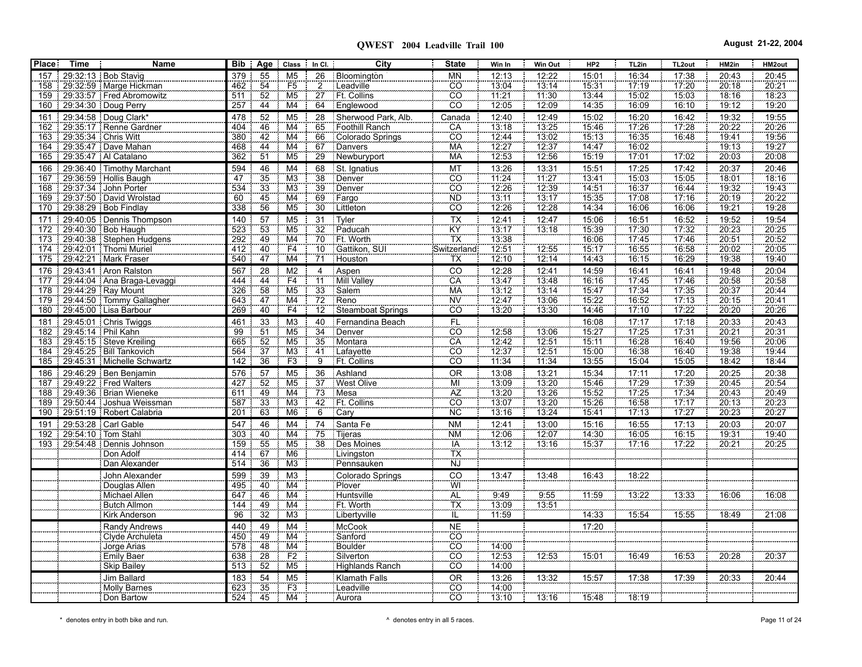| <b>Place</b> | <b>Time</b>          | <b>Name</b>                                         |            |                 | Bib   Age   Class   In Cl. |                 | City                     | <b>State</b>                 | Win In         | Win Out        | HP <sub>2</sub> | TL2in          | TL <sub>2out</sub> | HM2in                 | HM2out         |
|--------------|----------------------|-----------------------------------------------------|------------|-----------------|----------------------------|-----------------|--------------------------|------------------------------|----------------|----------------|-----------------|----------------|--------------------|-----------------------|----------------|
| 157          |                      | 29:32:13   Bob Stavig                               | 379        | 55              | M <sub>5</sub>             | 26              | Bloomington              | <b>MN</b>                    | 12:13          | 12:22          | 15:01           | 16:34          | 17:38              | 20:43                 | 20:45          |
| 158          |                      | 29:32:59   Marge Hickman                            | 462        | 54              | F <sub>5</sub>             | $\overline{2}$  | Leadville                | $rac{1}{100}$                | 13:04          | 13:14          | 15.31           | 17:19          | 17:20              | 20:18                 | 20.21          |
| 159          |                      | 29:33:57 Fred Abromowitz                            | 511        | 52              | M <sub>5</sub>             | 27              | Ft. Collins              |                              | 11:21          | 11:30          | 13:44           | 15:02          | 15:03              | 18:16                 | 18:23          |
| 160          |                      | 29:34:30 Doug Perry                                 | 257        | 44              | M4                         | 64              | Englewood                | $\overline{co}$              | 12:05          | 12:09          | 14:35           | 16:09          | 16:10              | 19:12                 | 19:20          |
| 161          |                      | 29:34:58 Doug Clark*                                | 478        | 52              | M <sub>5</sub>             | 28              | Sherwood Park, Alb.      | Canada                       | 12:40          | 12:49          | 15:02           | 16:20          | 16:42              | 19:32                 | 19:55          |
| 162          |                      | 29:35:17 Renne Gardner                              | 404        | 46              | M4                         | 65              | Foothill Ranch           | CA                           | 13:18          | 13:25          | 15:46           | 17:26          | 17:28              | 20:22                 | 20:26          |
| 163          |                      | 29:35:34   Chris Witt                               | 380        | 42              | $\overline{M4}$            | 66              | Colorado Springs         | $\overline{c}$               | 12.44          | 13:02          | 15:13           | 16:35          | 16:48              | 19.41                 | 19.56          |
| 164          |                      | 29:35:47   Dave Mahan                               | 468        | 44              | M4                         | 67              | Danvers                  | <b>MA</b>                    | 12:27          | 12:37          | 14:47           | 16:02          |                    | 19.13                 | 19.27          |
| 165          |                      | 29:35:47   Al Catalano                              | 362        | 51              | M <sub>5</sub>             | 29              | Newburyport              | <b>MA</b>                    | 12:53          | 12:56          | 15:19           | 17:01          | 17:02              | 20:03                 | 20:08          |
| 166          |                      | 29:36:40 Timothy Marchant                           | 594        | 46              | M <sub>4</sub>             | 68              | St. Ignatius             | MT                           | 13:26          | 13:31          | 15:51           | 17:25          | 17:42              | 20:37                 | 20:46          |
| 167          |                      | 29:36:59 Hollis Baugh                               | 47         | 35              | M3                         | 38              | Denver                   | <b>CO</b>                    | 11.24          | 11.27          | 13.41           | 15:03          | 15:05              | 18.01                 | 18:16          |
| 168          |                      | 29.37.34 John Porter                                | 534        | $\frac{55}{33}$ | M <sub>3</sub>             | 39              | Denver                   | $\overline{CO}$              | 12.26          | 12:39<br>13:17 | 14.51           | 16:37          | 16:44              | 19:32                 | 19:43<br>20:22 |
| 169          |                      | 29.37.50 David Wrolstad                             | 60         | 45              | $\overline{\mathsf{M4}}$   | 69              | Fargo                    | <b>ND</b><br>$\overline{CO}$ | 13:11          |                | 15:35           | 17:08          | 17:16              | 20.19                 |                |
| 170          |                      | $\frac{1}{29.38.29}$ Bob Findlay                    | 338        | 56              | M <sub>5</sub>             | $\overline{30}$ | <b>Littleton</b>         |                              | 12:26          | 12:28          | 14:34           | 16:06          | 16:06              | 19:21                 | 19:28          |
| 171          |                      | 29:40:05 Dennis Thompson                            | 140        | 57              | M <sub>5</sub>             | 31              | Tyler                    | $\frac{TX}{KY}$              | 12:41          | 12:47          | 15:06           | 16:51          | 16:52              | $\frac{19.52}{20.23}$ | 19:54          |
| 172          |                      | 29.40.30 Bob Haugh                                  | 523        | $\frac{53}{49}$ | M <sub>5</sub>             | 32              | Paducah                  |                              | 13.17          | 73:18          | 15:39           | 17.30          | 17.32              |                       | 20:25          |
| 173<br>174   |                      | 29:40:38   Stephen Hudgens<br>29.42.01 Thomi Muriel | 292        | 40              | M4<br>F4                   | 70<br>$10^{-}$  | Ft. Worth                |                              | 13.38<br>12.51 |                | 16:06<br>15.17  | 17.45          | 17:46              | 20:51<br>20.02        | 20:52<br>20:05 |
|              |                      | 175   29.42.21   Mark Fraser                        | 412<br>540 | 47              | M <sub>4</sub>             | 71              | Gattikon, SUI<br>Houston | Switzerland:<br>TX           | 12:10          | 12:55<br>12:14 | 14:43           | 16.55<br>16:15 | 16:58<br>16:29     | 19:38                 | 19:40          |
|              |                      |                                                     |            |                 |                            |                 |                          |                              |                |                |                 |                |                    |                       |                |
| 176          |                      | 29:43:41 Aron Ralston                               | 567        | 28<br>44        | M <sub>2</sub><br>F4       | 4<br>11         | Aspen<br>Mill Valley     | CO<br>CA                     | 12:28<br>13:47 | 12:41<br>13:48 | 14:59<br>16:16  | 16:41<br>17:45 | 16:41<br>17:46     | 19:48<br>20:58        | 20:04<br>20:58 |
| 177<br>178   |                      | 29.44.04 Ana Braga-Levaggi<br>29:44:29 Ray Mount    | 444<br>326 | 58              | M <sub>5</sub>             | 33              | Salem                    | <b>MA</b>                    | 13:12          | 13:14          | 15.47           | 17.34          | 17:35              | 20:37                 | 20:44          |
| 179          |                      | 29.44.50 Tommy Gallagher                            | 643        | 47              | M <sub>4</sub>             | 72              | Reno                     | <b>NV</b>                    | 12:47          | 13:06          | 15:22           | 16:52          | 17:13              | 20:15                 | 20:41          |
| 180          |                      | 29.45.00 Lisa Barbour                               | 269        | 40              | F4                         | 12              | Steamboat Springs        | $\overline{CO}$              | 13:20          | 13:30          | 14:46           | 17:10          | 17:22              | 20:20                 | 20:26          |
| 181          |                      | 29:45:01 Chris Twiggs                               | 461        | 33              | M <sub>3</sub>             | 40              | Fernandina Beach         |                              |                |                | 16:08           | 17:17          | 17:18              |                       | 20:43          |
| 182          | 29:45:14   Phil Kahn |                                                     | 99         | $\frac{5}{51}$  | M <sub>5</sub>             | $\overline{34}$ | Denver                   | $rac{FL}{CO}$                | 12.58          | 13:06          | 15.27           | 17.25          | 17:31              | $\frac{20:33}{20:21}$ | 20:31          |
| 183          |                      | 29:45:15   Steve Kreiling                           | 665        | $\overline{52}$ | M <sub>5</sub>             | 35              | Montara                  | CÄ                           | 12.42          | 12.51          | 15:11           | 16:28          | 16:40              | 19:56                 | 20:06          |
| 184          |                      | 29:45:25   Bill Tankovich                           | 564        | $\overline{37}$ | M <sub>3</sub>             | 41              | Lafayette                | CO                           | 12:37          | 12:51          | 15:00           | 16:38          | 16:40              | 19:38                 | 19:44          |
| 185          |                      | 29:45:31 Michelle Schwartz                          | 142        | 36              | F <sub>3</sub>             | $\overline{9}$  | Ft. Collins              | <b>CO</b>                    | 11:34          | 11:34          | 13:55           | 15:04          | 15:05              | 18:42                 | 18:44          |
| 186          |                      | 29.46.29 Ben Benjamin                               | 576        | 57              | M <sub>5</sub>             | 36              | Ashland                  | <b>OR</b>                    | 13:08          | 13:21          | 15:34           | 17:11          | 17:20              | 20:25                 | 20:38          |
|              |                      | 187   29:49:22   Fred Walters                       | 427        | 52              | M <sub>5</sub>             | 37              | West Olive               | Mİ                           | 13:09          | 13:20          | 15:46           | 17:29          | 17:39              | 20:45                 | 20:54          |
| 188          |                      | 29:49:36   Brian Wieneke                            | 611        | 49              | M4                         | 73              | Mesa                     | AZ                           | 13.20          | 13:26          | 15.52           | 17.25          | 17.34              | 20.43                 | 20:49          |
| 189          |                      | 29:50:44 Joshua Weissman                            | 587        | $\overline{33}$ | M <sub>3</sub>             | 42              | Ft. Collins              | cō                           | 13:07          | 13:20          | 15:26           | 16:58          | 17:17              | 20:13                 | 20:23          |
| 190          |                      | 29:51:19 Robert Calabria                            | 201        | 63              | M <sub>6</sub>             | $\overline{6}$  | Cary                     | <b>NC</b>                    | 13:16          | 13:24          | 15:41           | 17:13          | 17:27              | 20:23                 | 20:27          |
| 191          |                      | 29.53.28 Carl Gable                                 | 547        | 46              | M <sub>4</sub>             | 74              | Santa Fe                 | <b>NM</b>                    | 12:41          | 13:00          | 15:16           | 16:55          | 17:13              | 20:03                 | 20:07          |
| 192          | 29.54.10 Tom Stahl   |                                                     | 303        | 40              | $\overline{M4}$            | 75              | Tijeras                  | <b>NM</b>                    | 12:06          | 12:07          | 14:30           | 16:05          | 16:15              | 19:31                 | 19:40          |
|              |                      | 193 29:54:48 Dennis Johnson                         | 159        | 55              | M <sub>5</sub>             | $\overline{38}$ | Des Moines               | <b>IA</b>                    | 13:12          | 13.16          | 15.37           | 17:16          | 17:22              | 20.21                 | 20:25          |
|              |                      | Don Adolf                                           | 414        | 67              | M <sub>6</sub>             |                 | Livingston               | TX                           |                |                |                 |                |                    |                       |                |
|              |                      | Dan Alexander                                       | 514        | 36              | M3                         |                 | Pennsauken               | <b>NJ</b>                    |                |                |                 |                |                    |                       |                |
|              |                      | John Alexander                                      | 599        | 39              | M <sub>3</sub>             |                 | Colorado Springs         | CO                           | 13:47          | 13:48          | 16:43           | 18:22          |                    |                       |                |
|              |                      | Douglas Allen                                       | 495        | 40              | M4                         |                 | Plover                   | $\frac{W}{AL}$               |                |                |                 |                |                    |                       |                |
|              |                      | Michael Allen                                       | 647        | 46              | $\overline{M4}$            |                 | Huntsville               |                              | 9:49           | 9.55           | 11:59           | 13:22          | 13:33              | 16:06                 | 16:08          |
|              |                      | Butch Allmon                                        | 144        | $\frac{49}{32}$ | M4                         |                 | Ft. Worth                | TX<br>IL                     | 13:09          | 13.51          |                 |                |                    |                       |                |
|              |                      | <b>Kirk Anderson</b>                                | 96         |                 | $\overline{\text{M3}}$     |                 | Libertyville             |                              | 11:59          |                | 14:33           | 15.54          | 15:55              | 18:49                 | 21:08          |
|              |                      | Randy Andrews                                       | 440        | 49              | M4                         |                 | McCook                   | $\overline{NE}$              |                |                | 17:20           |                |                    |                       |                |
|              |                      | Clyde Archuleta                                     | 450        | 49              | M4                         |                 | Sanford                  | $\overline{co}$              |                |                |                 |                |                    |                       |                |
|              |                      | Jorge Arias                                         | 578        | 48              | M4                         |                 | Boulder                  | cŏ                           | 14:00          |                |                 |                |                    |                       |                |
|              |                      | <b>Emily Baer</b>                                   | 638        | $\overline{28}$ | F2                         |                 | Silverton                | <b>CO</b>                    | 12:53          | 12:53          | 15:01           | 16:49          | 16:53              | 20:28                 | 20:37          |
|              |                      | <b>Skip Bailey</b>                                  | 513        | 52              | M <sub>5</sub>             |                 | Highlands Ranch          | cö                           | 14:00          |                |                 |                |                    |                       |                |
|              |                      | Jim Ballard                                         | 183        | 54              | M <sub>5</sub>             |                 | <b>Klamath Falls</b>     | <b>OR</b>                    | 13:26          | 13:32          | 15:57           | 17:38          | 17:39              | 20:33                 | 20:44          |
|              |                      | Molly Barnes                                        | 623        | $\overline{35}$ | F3                         |                 | Leadville                | $\overline{c}\overline{o}$   | 14:00          |                |                 |                |                    |                       |                |
|              |                      | Don Bartow                                          | 524        | 45              | M4                         |                 | Aurora                   | CO                           | 13:10          | 13:16          | 15:48           | 18:19          |                    |                       |                |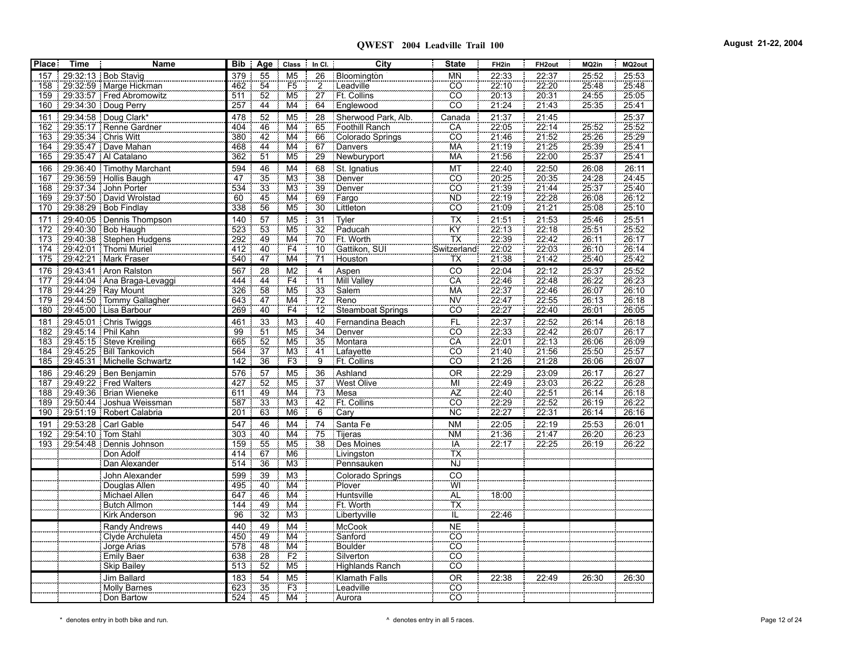**QWEST 2004 Leadville Trail 100 August 21-22, 2004**

| <b>Place</b> | <b>Time</b>    | <b>Name</b>                        |     |                                    | Bib   Age   Class        | $In Cl.$        | City                     | <b>State</b>               | FH <sub>2in</sub>     | FH <sub>2out</sub>             | MQ2in                 | MQ2out |
|--------------|----------------|------------------------------------|-----|------------------------------------|--------------------------|-----------------|--------------------------|----------------------------|-----------------------|--------------------------------|-----------------------|--------|
| 157          |                | 29:32:13 Bob Stavig                | 379 | 55                                 | M <sub>5</sub>           | 26              | Bloomington              | МŃ                         | 22:33                 | 22:37                          | 25:52                 | 25:53  |
|              |                | 158 29:32:59 Marge Hickman         | 462 | 54                                 | F <sub>5</sub>           | $\overline{2}$  | Leadville                | $\overline{CO}$            | 22.10                 | 22.20                          | 25.48                 | 25:48  |
|              |                | 159   29:33:57   Fred Abromowitz   | 511 | 52                                 | M <sub>5</sub>           | $\overline{27}$ | Ft. Collins              | $\overline{CO}$            | 20:13                 | 20.31                          | 24.55                 | 25:05  |
| 160          |                | 29:34:30 Doug Perry                | 257 | 44                                 | M4                       | 64              | Englewood                | CÔ                         | 21:24                 | 21:43                          | 25:35                 | 25:41  |
| 161          |                | 29:34:58 Doug Clark*               | 478 | 52                                 | M <sub>5</sub>           | 28              | Sherwood Park, Alb.      | Canada                     | 21:37                 | 21:45                          |                       | 25:37  |
|              |                | 162 29:35:17 Renne Gardner         | 404 | 46                                 | M4                       | 65              | Foothill Ranch           | CA                         | 22.05                 | 22.14                          | 25.52                 | 25.52  |
|              |                | 163 29:35:34 Chris Witt            | 380 | 42                                 | M4                       | 66              | Colorado Springs         | CO                         | 21:46                 |                                | 25.26                 | 25.29  |
|              |                | 164 29:35:47 Dave Mahan            | 468 | $\frac{44}{51}$                    | M4                       | 67              | Danvers                  | <b>MA</b>                  | 21:19                 | $\frac{21.52}{21.25}$<br>21.25 | 25:39                 | 25.41  |
|              |                | 165 29:35:47   Al Catalano         | 362 |                                    | M <sub>5</sub>           | 29              | Newburyport              | <b>MA</b>                  | 21.56                 |                                | 25:37                 | 25:41  |
| 166          |                | 29:36:40 Timothy Marchant          | 594 | 46                                 | M4                       | 68              | St. Ignatius             | MT                         | 22:40                 | 22:50                          | 26:08                 | 26:11  |
|              |                | 167 29:36:59 Hollis Baugh          | 47  | $\overline{35}$                    | $\overline{M3}$          | $\overline{38}$ | Denver                   | $\overline{CO}$            | 20:25                 | $\frac{1}{20.35}$              | 24.28                 | 24.45  |
|              |                | 168 29:37:34 John Porter           | 534 | $\overline{33}$                    | M <sub>3</sub>           | 39              | Denver                   | <u>co</u>                  | 21:39                 | $\frac{21:44}{22:28}$          | $\frac{25.37}{26.08}$ | 25:40  |
|              |                | 169   29:37:50   David Wrolstad    | 60  | 45                                 | $\overline{\mathsf{M4}}$ | 69              | Fargo                    | <b>ND</b>                  | 22:19                 |                                |                       | 26:12  |
|              |                | 170 29:38:29 Bob Findlay           | 338 | 56                                 | M <sub>5</sub>           | $\overline{30}$ | Littleton                | CÔ                         | 21:09                 |                                | 25:08                 | 25:10  |
| 171          |                | 29:40:05 Dennis Thompson           | 140 | $\frac{57}{49}$                    | M <sub>5</sub>           | 31              | Tyler                    | $\frac{TX}{KY}$            | 21:51                 | $\frac{21:53}{22:18}$          | 25:46<br>25:51        | 25:51  |
|              |                | 172 29:40:30 Bob Haugh             | 523 |                                    | M <sub>5</sub>           | $\overline{32}$ | Paducah                  |                            | $\frac{1}{22}.13$     |                                |                       | 25.52  |
|              |                | 173 29:40:38 Stephen Hudgens       | 292 |                                    | M4                       | 70              | Ft. Worth                | TX                         | 22:39                 | $\frac{1}{22.42}$              | 26:11                 | 26:17  |
|              |                | 174 29:42:01 Thomi Muriel          | 412 | 40                                 | $\frac{F4}{M4}$          | 10              | Gattikon, SUI            | Switzerland                | 22:02                 | $\frac{22:03}{21:42}$          | 26:10                 | 26:14  |
|              |                | 175   29.42.21   Mark Fraser       | 540 | $\overline{47}$                    |                          | 71              | Houston                  | TX                         | 21:38                 |                                | 25:40                 | 25.42  |
|              |                | 176 29:43:41 Aron Ralston          | 567 | 28                                 | M <sub>2</sub>           | 4               | Aspen                    | CO                         | 22:04                 | $\frac{22:12}{22:48}$          | 25:37                 | 25:52  |
|              |                | 177   29:44:04   Ana Braga-Levaggi | 444 | $\frac{1}{44}$                     | F4                       | $\overline{11}$ | Mill Valley              | CA                         | 22:46                 |                                | 26:22                 | 26:23  |
|              |                | 178 29:44:29 Ray Mount             | 326 | 58                                 | M <sub>5</sub>           | 33              | Salem                    | <b>MA</b>                  | 22:37                 | 22:46                          | 26:07                 | 26:10  |
| 179          |                | 29:44:50 Tommy Gallagher           | 643 | 47                                 | M4                       | 72              | Reno                     | <b>NV</b>                  | $\frac{22.47}{22.27}$ | $\frac{22.55}{22.40}$          | 26:13                 | 26.18  |
| 180          |                | 29.45.00 Lisa Barbour              | 269 | 40                                 | F4                       | $\overline{12}$ | <b>Steamboat Springs</b> | $\overline{co}$            |                       |                                | 26:01                 | 26:05  |
| 181          |                | 29:45:01 Chris Twiggs              | 461 | 33                                 | M <sub>3</sub>           | 40              | Fernandina Beach         | FL                         | 22:37<br>22:33        | 22:52<br>22:42                 | 26:14                 | 26:18  |
|              |                | 182 29:45:14 Phil Kahn             | 99  | $\frac{1}{51}$                     | M <sub>5</sub>           | $\overline{34}$ | Denver                   | $\overline{c}\overline{o}$ |                       |                                | 26:07                 | 26:17  |
| 183          |                | 29.45.15 Steve Kreiling            | 665 | $\overline{52}$                    | M <sub>5</sub>           | $\overline{35}$ | Montara                  | CA                         | 22:01                 | 22.13                          | 26:06                 | 26:09  |
|              |                | 184   29:45:25   Bill Tankovich    | 564 | $\frac{1}{37}$                     | M <sub>3</sub>           | 41              | Lafayette                | $\overline{CO}$            | 21.40                 | $\frac{77.156}{21.28}$         | 25.50                 | 25.57  |
| 185          |                | 29:45:31 Michelle Schwartz         | 142 | 36                                 | F3                       | $\overline{9}$  | Ft. Collins              | $\overline{CO}$            | 21.26                 |                                | 26:06                 | 26:07  |
| 186          |                | 29.46.29 Ben Benjamin              | 576 | 57                                 | M <sub>5</sub>           | 36              | Ashland                  | <b>OR</b>                  | 22:29                 | 23:09                          | 26:17                 | 26:27  |
|              |                | 187 29:49:22 Fred Walters          | 427 | 52                                 | M <sub>5</sub>           | $\overline{37}$ | West Olive               | MÏ                         | 22:49                 | 23.03                          | 26:22                 | 26:28  |
| 188          |                | 29.49.36 Brian Wieneke             | 611 | 49                                 | M4                       | 73              | Mesa                     | AZ                         | 22.40                 | 22.51                          | 26:14                 | 26:18  |
|              |                | 189   29:50:44   Joshua Weissman   | 587 | $\overline{33}$                    | M <sub>3</sub>           | 42              | Ft. Collins              | CO                         | 22:29                 | 22.52                          | 26.19                 | 26:22  |
|              |                | 190 29:51:19   Robert Calabria     | 201 | 63                                 | M <sub>6</sub>           | $\overline{6}$  | Cary                     | <b>NC</b>                  | 22.27                 | 22.31                          | 26:14                 | 26:16  |
| 191          |                | 29:53:28 Carl Gable                | 547 | 46                                 | M4                       | 74              | Santa Fe                 | <b>NM</b>                  | 22:05                 | 22:19                          | 25:53                 | 26:01  |
|              |                | 192 29:54:10 Tom Stahl             | 303 | 40                                 | $\overline{M4}$          | 75              | <b>Tijeras</b>           | <b>NM</b>                  | 21:36                 | 21:47                          | 26:20                 | 26.23  |
|              | 193   29.54.48 | : Dennis Johnson                   | 159 | 55                                 | M <sub>5</sub>           | 38              | Des Moines               | <b>IA</b>                  | 22.17                 | 22.25                          | 26:19                 | 26.22  |
|              |                | Don Adolf                          | 414 | 67                                 | M <sub>6</sub>           |                 | Livingston               | ΤΧ                         |                       |                                |                       |        |
|              |                | Dan Alexander                      | 514 | 36                                 | M3                       |                 | Pennsauken               | <b>NJ</b>                  |                       |                                |                       |        |
|              |                | John Alexander                     | 599 | 39                                 | M <sub>3</sub>           |                 | Colorado Springs         | CO                         |                       |                                |                       |        |
|              |                | Douglas Allen                      | 495 | 40                                 | $\overline{M4}$          |                 | Plover                   | WÏ                         |                       |                                |                       |        |
|              |                | Michael Allen                      | 647 | 46                                 | $\overline{\text{M4}}$   |                 | Huntsville               |                            | 18:00                 |                                |                       |        |
|              |                | Butch Allmon                       | 144 | $\frac{49}{32}$                    | M4                       |                 | Ft. Worth                | $\frac{AL}{IL}$            |                       |                                |                       |        |
|              |                | Kirk Anderson                      | 96  |                                    | M <sub>3</sub>           |                 | Libertyville             |                            | 22.46                 |                                |                       |        |
|              |                | Randy Andrews                      | 440 | $\frac{49}{49}$<br>$\frac{49}{48}$ | M <sub>4</sub>           |                 | <b>McCook</b>            | <b>NE</b>                  |                       |                                |                       |        |
|              |                | Clyde Archuleta                    | 450 |                                    | M <sub>4</sub>           |                 | Sanford                  | co                         |                       |                                |                       |        |
|              |                | Jorge Arias                        | 578 |                                    | M4                       |                 | <b>Boulder</b>           | $\overline{co}$            |                       |                                |                       |        |
|              |                | Emily Baer                         | 638 | 28                                 | F2                       |                 | Silverton                | co                         |                       |                                |                       |        |
|              |                | <b>Skip Bailey</b>                 | 513 | 52                                 | M5                       |                 | <b>Highlands Ranch</b>   | CO                         |                       |                                |                       |        |
|              |                | Jim Ballard                        | 183 | 54                                 | M <sub>5</sub>           |                 | <b>Klamath Falls</b>     | <b>OR</b>                  | 22:38                 | 22:49                          | 26:30                 | 26:30  |
|              |                | <b>Molly Barnes</b>                | 623 | $\overline{35}$                    | F3                       |                 | Leadville                | $\overline{CO}$            |                       |                                |                       |        |
|              |                | Don Bartow                         | 524 | 45                                 | M4                       |                 | Aurora                   | CO                         |                       |                                |                       |        |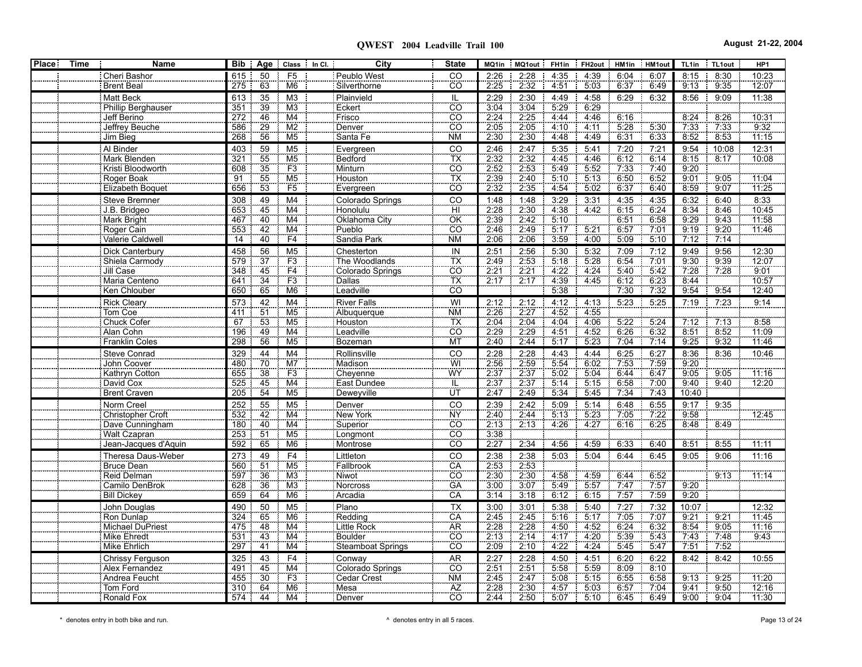| <b>Place:</b> | Time | Name                      | Bib i           | Age Class In Cl.                  | City                     | <b>State</b>    | MQ1in               | MQ1out | FH1in | FH2out HM1in |       | HM1out | TL1in      | TL1out | HP1   |
|---------------|------|---------------------------|-----------------|-----------------------------------|--------------------------|-----------------|---------------------|--------|-------|--------------|-------|--------|------------|--------|-------|
|               |      | Cheri Bashor              | 615             | 50<br>F <sub>5</sub>              | Peublo West              | CO              | 2:26                | 2:28   | 4:35  | 4:39         | 6:04  | 6:07   | 8:15       | 8:30   | 10:23 |
|               |      | <b>Brent Beal</b>         | 275             | M <sub>6</sub><br>63              | Silverthorne             | CO              | 2:25                | 2:32   | 4.51  | 5.03         | 6:37  | 6:49   | 9:13       | 9:35   | 12:07 |
|               |      | Matt Beck                 | 613             | 35<br>M <sub>3</sub>              | Plainvield               | IL              | 2:29                | 2:30   | 4:49  | 4:58         | 6:29  | 6:32   | 8:56       | 9:09   | 11:38 |
|               |      | <b>Phillip Berghauser</b> | 351             | 39<br>M <sub>3</sub>              | Eckert                   | $\overline{CO}$ | 3:04                | 3:04   | 5.29  | 6:29         |       |        |            |        |       |
|               |      | Jeff Berino               | 272             | 46<br>M4                          | Frisco                   | $\overline{CO}$ | 2.24                | 2:25   | 4:44  | 4:46         | 6:16  |        | 8:24       | 8:26   | 10:31 |
|               |      | Jeffrey Beuche            | 586             | M <sub>2</sub><br>29              | Denver                   | $\overline{CO}$ | 2.05                | 2:05   | 4:10  | 4:11         | 5:28  | 5.30   | 7:33       | 7:33   | 9:32  |
|               |      | Jim Bieg                  | 268             | 56<br>M <sub>5</sub>              | Santa Fe                 | ΝM              | 2:30                | 2:30   | 4:48  | 4:49         | 6:31  | 6:33   | 8:52       | 8:53   | 11:15 |
|               |      | Al Binder                 | 403             | 59<br>M <sub>5</sub>              | Evergreen                |                 |                     | 2:47   | 5:35  | 5:41         | 7:20  | 7:21   | 9:54       | 10:08  | 12:31 |
|               |      | Mark Blenden              | 32 <sup>7</sup> | 55<br>M <sub>5</sub>              | Bedford                  | CO<br>TX<br>CO  | $\frac{2.46}{2.32}$ | 2:32   | 4.45  | 4.46         | 6:12  | 6:14   | 8:15       | 8.17   | 10:08 |
|               |      | Kristi Bloodworth         | 608             | $\overline{35}$<br>F <sub>3</sub> | Minturn                  |                 | 2:52                | 2:53   | 5.49  | 5.52         | 7:33  | 7:40   | 9:20       |        |       |
|               |      | Roger Boak                | $\overline{91}$ | M <sub>5</sub><br>55              | Houston                  | ТX              | 2:39                | 2:40   | 5:10  | 5:13         | 6:50  | 6:52   | 9:01       | 9:05   | 11:04 |
|               |      | Elizabeth Boquet          | 656             | $\overline{53}$<br>F5             | Evergreen                | $\overline{CO}$ | 2.32                | 2:35   | 4:54  | 5:02         | 6:37  | 6:40   | 8:59       | 9:07   | 11:25 |
|               |      | Steve Bremner             | 308             | M <sub>4</sub><br>49              | Colorado Springs         | CO              | 1:48                | 1:48   | 3:29  | 3:31         | 4:35  | 4:35   | 6:32       | 6:40   | 8:33  |
|               |      | J.B. Bridgeo              | 653             | 45<br>M4                          | Honolulu                 | ΉÏ              | 2.28                | 2:30   | 4.38  | 4.42         | 6:15  | 6:24   | 8:34       | 8:46   | 10:45 |
|               |      | Mark Bright               | 467             | 40<br>M4                          | Oklahoma City            | ÖK              | 2:39                | 2:42   | 5:10  |              | 6:51  | 6:58   | 9:29       | 9:43   | 11:58 |
|               |      | Roger Cain                | 553             | M4<br>42                          | Pueblo                   | CÖ              | 2.46                | 2:49   | 5:17  | 5:21         | 6:57  | 7.01   | 9:19       | 9:20   | 11:46 |
|               |      | Valerie Caldwell          | 14              | 40<br>F4                          | Sandia Park              | NM              | 2:06                | 2:06   | 3:59  | 4.00         | 5:09  | 5:10   | 7:12       | 7:14   |       |
|               |      | Dick Canterbury           | 458             | 56<br>M <sub>5</sub>              | Chesterton               | IN              | 2:51                | 2:56   | 5:30  | 5:32         | 7:09  | 7:12   | 9:49       | 9:56   | 12:30 |
|               |      | Shiela Carmody            | 579             | $\overline{37}$<br>F <sub>3</sub> | The Woodlands            | TX              | 2:49                | 2:53   | 5:18  | 5:28         | 6:54  | 7.01   | 9:30       | 9.39   | 12:07 |
|               |      | Jill Case                 | 348             | F4<br>45                          | Colorado Springs         | CO              | 2:21                | 2:21   | 4:22  | 4:24         | 5.40  | 5:42   | 7.28       | 7.28   | 9:01  |
|               |      | Maria Centeno             | 641             | F3<br>34                          | <b>Dallas</b>            | <b>TX</b>       | 2:17                | 2:17   | 4:39  | 4.45         | 6:12  | 6:23   | 8:44       |        | 10:57 |
|               |      | Ken Chlouber              | 650             | 65<br>M <sub>6</sub>              | Leadville                | $\overline{CO}$ |                     |        | 5:38  |              | 7:30  | 7:32   | 9:54       | 9:54   | 12:40 |
|               |      | Rick Cleary               | 573             | 42<br>M <sub>4</sub>              | <b>River Falls</b>       | WI              | 2:12                | 2:12   | 4:12  | 4:13         | 5:23  | 5:25   | 7:19       | 7:23   | 9:14  |
|               |      | Tom Coe                   | 411             | $\overline{51}$<br>M <sub>5</sub> | Albuguerque              | <b>NM</b>       | 2.26                | 2.27   | 4.52  | 4 5 5        |       |        |            |        |       |
|               |      | Chuck Cofer               | 67              | 53<br>M <sub>5</sub>              |                          | ТX              | 2:04                | 2:04   | 4.04  | 4:06         | 5:22  | 5:24   | 7:12       | 7:13   | 8:58  |
|               |      | Alan Cohn                 | 196             | 49<br>$\overline{M4}$             | Houston<br>Leadville     | <u>CO</u>       | 2.29                | 2.29   | 4:51  | 4:52         | 6.26  | 6:32   | 8:51       | 8:52   | 11:09 |
|               |      | Franklin Coles            | 298             | 56<br>M <sub>5</sub>              | Bozeman                  | МT              | 2:40                | 2:44   | 5:17  | 5:23         | 7:04  | 7:14   | 9:25       | 9:32   | 11:46 |
|               |      | Steve Conrad              | 329             | 44<br>M <sub>4</sub>              | Rollinsville             | CO              | 2:28                | 2:28   | 4:43  | 4:44         | 6:25  | 6:27   | 8:36       | 8:36   | 10:46 |
|               |      | John Coover               | 480             | 70<br>M <sub>7</sub>              | Madison                  | WI              | 2:56                | 2:59   | 5.54  | 6:02         | 7.53  | 7:59   | 9.20       |        |       |
|               |      | Kathryn Cotton            | 655             | 38<br>F3                          | Cheyenne                 | WY              | 2.37                | 2:37   | 5:02  | 5:04         | 6.44  | 6:47   | 9:05       | 9:05   | 11:16 |
|               |      | David Cox                 | 525             | 45<br>M4                          | East Dundee              | IL              | 2.37                | 2:37   | 5:14  | 5:15         | 6:58  | 7:00   | 9.40       | 9:40   | 12:20 |
|               |      | Brent Craven              | 205             | 54<br>M <sub>5</sub>              | Deweyville               | ÜT              | 2.47                | 2:49   | 5:34  | 5.45         | 7:34  | 7:43   | 10:40      |        |       |
|               |      | Norm Creel                | 252             | 55<br>M <sub>5</sub>              | Denver                   | CO              | 2:39                | 2:42   | 5:09  | 5:14         | 6:48  | 6:55   | 9:17       | 9:35   |       |
|               |      | Christopher Croft         | 532             | 42<br>M <sub>4</sub>              | <b>New York</b>          | <b>NY</b>       | 2:40                | 2:44   | 5:13  | 5.23         | 7:05  | 7:22   | 9:58       |        | 12:45 |
|               |      | Dave Cunningham           | 180             | 40<br>M4                          | Superior                 | $\overline{CO}$ | 2.13                | 2:13   | 4:26  | 4.27         | 6:16  | 6.25   | 8.48       | 8:49   |       |
|               |      | <b>Walt Czapran</b>       | 253             | $\overline{51}$<br>M <sub>5</sub> | Longmont                 | ĈÖ              | 3:38                |        |       |              |       |        |            |        |       |
|               |      | Jean-Jacques d'Aquin      | 592             | 65<br>M <sub>6</sub>              | <b>Montrose</b>          | CÖ.             | 2:27                | 2:34   | 4:56  | 4:59         | 6:33  | 6:40   | 8:51       | 8:55   | 11:11 |
|               |      | Theresa Daus-Weber        | 273             | F4<br>49                          | Littleton                | CO              | 2:38                | 2:38   | 5:03  | 5:04         | 6:44  | 6:45   | 9:05       | 9:06   | 11:16 |
|               |      | Bruce Dean                | 560             | $\overline{51}$<br>M <sub>5</sub> | Fallbrook                | CÄ              | 2:53                | 2:53   |       |              |       |        |            |        |       |
|               |      | Reid Delman               | 597             | $\overline{36}$<br>M <sub>3</sub> |                          | CO              | 2:30                | 2:30   | 4:58  | 4:59         | 6:44  | 6.52   |            | 9:13   | 11:14 |
|               |      | Camilo DenBrok            | 628             | 36<br>M <sub>3</sub>              | Niwot<br>Norcross        | GÄ              | 3:00                | 3:07   | 5.49  | 5:57         | 7.47  | 7.57   | 9:20       |        |       |
|               |      | <b>Bill Dickey</b>        | 659             | 64<br>M <sub>6</sub>              | Arcadia                  | CA              | 3.14                | 3:18   | 6:12  | 6:15         | 7.57  | 7:59   | 9:20       |        |       |
|               |      | John Douglas              | 490             | 50<br>M <sub>5</sub>              | Plano                    | $\overline{TX}$ | 3:00                | 3:01   | 5:38  | 5:40         | 7:27  | 7:32   | 10:07      |        | 12:32 |
|               |      | Ron Dunlap                | 324             | 65<br>M <sub>6</sub>              | Redding                  | CA              | 2.45                | 2:45   | 5:16  | 5:17         | 7.05  | 7:07   | 9:21       | 9.21   | 11:45 |
|               |      | <b>Michael DuPriest</b>   | 475             | 48<br>M4                          | Little Rock              | AR              | 2:28                | 2.28   | 4:50  | 4:52         | 6:24  | 6:32   | 8:54       | 9:05   | 11:16 |
|               |      | Mike Ehredt               | 531             | 43<br>M4                          | Boulder                  | $\overline{CO}$ | 2:13                | 2:14   | 4:17  | 4:20         | 5.39  | 5:43   | 7:43       | 7:48   | 9:43  |
|               |      | Mike Ehrlich              | 297             | $\overline{41}$<br>M4             | <b>Steamboat Springs</b> | CÖ <sup>"</sup> | 2:09                | 2:10   | 4:22  | 4.24         | 5:45  | 5:47   | 7:51       | 7:52   |       |
|               |      | <b>Chrissy Ferguson</b>   | 325             | 43<br>F4                          | Conway                   | AR              | 2:27                | 2:28   | 4:50  | 4:51         | 6:20  | 6:22   | 8:42       | 8:42   | 10:55 |
|               |      | Alex Fernandez            | 491             | 45<br>M4                          | Colorado Springs         | $\overline{CO}$ | 2:51                | 2:51   | 5.58  | 5:59         | 8:09  | 8:10   |            |        |       |
|               |      | Andrea Feucht             | 455             | F <sub>3</sub><br>30              | Cedar Crest              | <b>NM</b>       | 2:45                | 2:47   | 5.08  | 5:15         | 6 5 5 | 6:58   | 9:13       | 9:25   | 11:20 |
|               |      | Tom Ford                  | 310             | 64<br>M <sub>6</sub>              | Mesa                     | AZ              | 2:28                | 2:30   | 4:57  | 5:03         | 6:57  | 7:04   | 9:41       | 9:50   | 12:16 |
|               |      | Ronald Fox                | 574             | M4<br>44                          | Denver                   | $\overline{CO}$ | 2:44                | 2:50   | 5:07  | 5:10         | 6.45  | 6:49   | 9:00<br>-8 | 9:04   | 11:30 |

\* denotes entry in both bike and run. ^ denotes entry in all 5 races. Page 13 of 24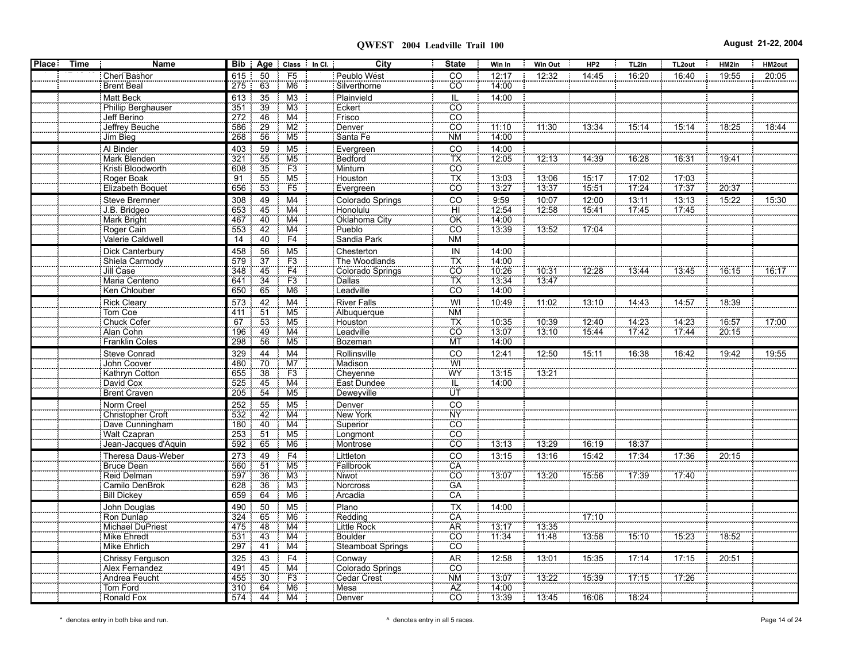| <b>Place</b> | <b>Time</b> | Name                             |                 |                       | Bib   Age   Class   In Cl. | City                      | <b>State</b>               | Win In                | Win Out               | HP2   | TL2in                 | TL <sub>2out</sub> | HM2in | HM2out |
|--------------|-------------|----------------------------------|-----------------|-----------------------|----------------------------|---------------------------|----------------------------|-----------------------|-----------------------|-------|-----------------------|--------------------|-------|--------|
|              |             | Cheri Bashor                     | 615             | 50                    | F <sub>5</sub>             | Peublo West               | CO                         | 12:17                 | 12:32                 | 14:45 | 16:20                 | 16:40              | 19:55 | 20:05  |
|              |             | <b>Brent Beal</b>                | 275             | 63                    | M <sub>6</sub>             | Silverthorne              | cō                         | 14:00                 |                       |       |                       |                    |       |        |
|              |             | Matt Beck                        | 613             | 35                    | M <sub>3</sub>             | Plainvield                | IL                         | 14:00                 |                       |       |                       |                    |       |        |
|              |             | Phillip Berghauser               | 351             | 39                    | M3                         | Eckert                    | CO                         |                       |                       |       |                       |                    |       |        |
|              |             | Jeff Berino                      | 272             | 46                    | M4                         | Frisco                    | $\overline{c}\overline{o}$ |                       |                       |       |                       |                    |       |        |
|              |             | Jeffrey Beuche                   | 586             | 29                    | $\overline{\mathsf{M2}}$   | Denver                    | $\overline{co}$            | 11:10                 | 11:30                 | 13:34 | 15:14                 | 15:14              | 18:25 | 18:44  |
|              |             | Jim Bieg                         | 268             | 56                    | M <sub>5</sub>             | Santa Fe                  | <b>NM</b>                  | 14:00                 |                       |       |                       |                    |       |        |
|              |             | Al Binder                        | 403             | 59                    | M <sub>5</sub>             | Evergreen                 | CO<br>TX<br>CO             | 14:00                 |                       |       |                       |                    |       |        |
|              |             | Mark Blenden                     | 321             | 55                    | $\frac{M5}{F3}$            | Bedford                   |                            | 12.05                 | 12:13                 | 14:39 | 16:28                 | 16:31              | 19:41 |        |
|              |             | Kristi Bloodworth                | 608             | 35                    |                            | Minturn                   |                            |                       |                       |       |                       |                    |       |        |
|              |             | Roger Boak                       | $\overline{91}$ | 55                    | M <sub>5</sub>             | Houston                   | TX                         | 13:03                 | 13:06                 | 15.17 | 17:02                 | 17:03              |       |        |
|              |             | Elizabeth Boquet                 | 656             | 53                    | F5                         | Evergreen                 | CÖ                         | 13:27                 | 13:37                 | 15:51 | 17:24                 | 17:37              | 20:37 |        |
|              |             | Steve Bremner                    | 308             | 49                    | M4                         | Colorado Springs          | CO                         | 9:59                  | 10:07                 | 12:00 | 13:11                 | 13:13              | 15:22 | 15:30  |
|              |             | J.B. Bridgeo                     | 653             | 45                    | M4                         | Honolulu                  | ΪĤ                         | 12.54                 | 12:58                 | 15.41 | 17:45                 | 17.45              |       |        |
|              |             | Mark Bright                      | 467             | 40                    | M4                         | Oklahoma City             | OK                         | 14.00                 |                       |       |                       |                    |       |        |
|              |             | Roger Cain                       | 553             | 42                    | M4                         | Pueblo                    | $\overline{c}\overline{o}$ | 13.39                 | 13:52                 | 17.04 |                       |                    |       |        |
|              |             | Valerie Caldwell                 | 14              | $40^{\circ}$          | F4                         | Sandia Park               | NM                         |                       |                       |       |                       |                    |       |        |
|              |             | Dick Canterbury                  | 458             | 56                    | M <sub>5</sub>             | Chesterton                | IN                         | 14:00                 |                       |       |                       |                    |       |        |
|              |             | Shiela Carmody                   | 579             | 37                    | F3                         | The Woodlands             | $\overline{\mathsf{TX}}$   | 14:00                 |                       |       |                       |                    |       |        |
|              |             | Jill Case                        | 348             | 45                    | $\frac{F4}{F3}$            | Colorado Springs          | $\overline{co}$            | 10:26                 | 10:31                 | 12:28 | 13:44                 | 13:45              | 16:15 | 16:17  |
|              |             | Maria Centeno                    | 641             | 34                    |                            | <b>Dallas</b>             | $\overline{TX}$            | 13:34                 | 13:47                 |       |                       |                    |       |        |
|              |             | Ken Chlouber                     | 650             | 65                    | M <sub>6</sub>             | Leadville                 | CO                         | 14:00                 |                       |       |                       |                    |       |        |
|              |             | <b>Rick Cleary</b>               | 573             | 42                    | M <sub>4</sub>             | <b>River Falls</b>        | WI                         | 10:49                 | 11:02                 | 13:10 | 14:43                 | 14:57              | 18:39 |        |
|              |             | Tom Coe<br>Chuck Cofer           | 411             | $\overline{51}$       | M <sub>5</sub>             | Albuquerque               | <b>NM</b>                  |                       |                       |       |                       |                    |       |        |
|              |             |                                  | 67              | 53<br>$\frac{1}{49}$  | M <sub>5</sub>             | Houston                   | TX<br>CO                   | 10:35                 | $\frac{10.39}{13.10}$ | 12.40 | $\frac{14.23}{17.42}$ | 14.23              | 16.57 | 17:00  |
|              |             | Alan Cohn                        | 196             | 56                    | $\overline{M4}$            | Leadville <sup>1</sup>    | MT                         | 13:07                 |                       | 15:44 |                       | 17.44              | 20.15 |        |
|              |             | Franklin Coles                   | 298             |                       | M <sub>5</sub>             | Bozeman                   |                            | 14:00                 |                       |       |                       |                    |       |        |
|              |             | Steve Conrad                     | 329             | 44                    | M <sub>4</sub>             | Rollinsville              | $\overline{C}$             | 12:41                 | 12:50                 | 15:11 | 16:38                 | 16:42              | 19:42 | 19:55  |
|              |             | <b>John Coover</b>               | 480             | 70                    | M7                         | Madison                   | WI<br>WY                   |                       |                       |       |                       |                    |       |        |
|              |             | Kathryn Cotton                   | 655             | $\frac{38}{36}$       | F3                         | Cheyenne                  |                            | 13:15                 | 13.21                 |       |                       |                    |       |        |
|              |             | David Cox<br>Brent Craven        | 525<br>205      | 45<br>54              | M4<br>M <sub>5</sub>       | East Dundee<br>Deweyville | IL<br>ΰī                   | 14:00                 |                       |       |                       |                    |       |        |
|              |             |                                  |                 |                       |                            |                           |                            |                       |                       |       |                       |                    |       |        |
|              |             | Norm Creel                       | 252             | 55                    | M <sub>5</sub>             | Denver                    | CO                         |                       |                       |       |                       |                    |       |        |
|              |             | Christopher Croft                | 532<br>180      | 42                    | M4<br>M4                   | New York                  | <b>NY</b>                  |                       |                       |       |                       |                    |       |        |
|              |             | Dave Cunningham<br>Walt Czapran  | 253             | 40<br>51              | M <sub>5</sub>             | Superior<br>Longmont      | $\overline{CO}$<br>CO      |                       |                       |       |                       |                    |       |        |
|              |             | Jean-Jacques d'Aquin             | 592             | 65                    | M <sub>6</sub>             | Montrose                  | $\overline{co}$            | 13:13                 | 13:29                 | 16:19 | 18:37                 |                    |       |        |
|              |             |                                  |                 |                       |                            |                           |                            |                       |                       |       |                       |                    |       |        |
|              |             | Theresa Daus-Weber<br>Bruce Dean | 273<br>560      | 49<br>$\overline{51}$ | F4<br>M <sub>5</sub>       | Littleton<br>Fallbrook    | CO<br>CA<br>CO             | 13:15                 | 13:16                 | 15:42 | 17:34                 | 17:36              | 20:15 |        |
|              |             | Reid Delman                      | 597             | $\overline{36}$       | M <sub>3</sub>             | Niwot                     |                            | 13:07                 | 13:20                 | 15.56 | 17.39                 | 17:40              |       |        |
|              |             | Camilo DenBrok                   | 628             | 36                    | M3                         | Norcross                  | GÄ                         |                       |                       |       |                       |                    |       |        |
|              |             | Bill Dickey                      | 659             | 64                    | M <sub>6</sub>             | Arcadia                   | CÄ                         |                       |                       |       |                       |                    |       |        |
|              |             |                                  |                 | 50                    | M <sub>5</sub>             | Plano                     |                            |                       |                       |       |                       |                    |       |        |
|              |             | John Douglas<br>Ron Dunlap       | 490<br>324      | 65                    | M <sub>6</sub>             | Redding                   | $\frac{TX}{C A}$           | 14:00                 |                       | 17.10 |                       |                    |       |        |
|              |             | Michael DuPriest                 | 475             | 48                    | M4                         | Little Rock               |                            |                       | 13:35                 |       |                       |                    |       |        |
|              |             | Mike Ehredt                      | 531             | 43                    | $\overline{M4}$            | <b>Boulder</b>            | $\overline{CO}$            | $\frac{13:17}{11:34}$ | 11.48                 | 13:58 | 75:10                 | 15:23              | 18:52 |        |
|              |             | Mike Ehrlich                     | 297             | 41                    | M4                         | Steamboat Springs         | <b>CO</b>                  |                       |                       |       |                       |                    |       |        |
|              |             | Chrissy Ferguson                 | 325             | 43                    | F <sub>4</sub>             | Conway                    | AR                         | 12:58                 | 13:01                 | 15:35 | 17:14                 | 17:15              | 20:51 |        |
|              |             | Alex Fernandez                   | 491             | 45                    | M4                         | Colorado Springs          | CO                         |                       |                       |       |                       |                    |       |        |
|              |             | Andrea Feucht                    | 455             | 30                    | F3                         | Cedar Crest               | <b>NM</b>                  | 13:07                 | 13:22                 | 15:39 | 17:15                 | 17.26              |       |        |
|              |             | Tom Ford                         | 310             | 64                    | M <sub>6</sub>             | Mesa                      | AZ                         | 14:00                 |                       |       |                       |                    |       |        |
|              |             | Ronald Fox                       | 574             | 44                    | M4                         | Denver                    | CO                         | 13:39                 | 13:45                 | 16:06 | 18:24                 |                    |       |        |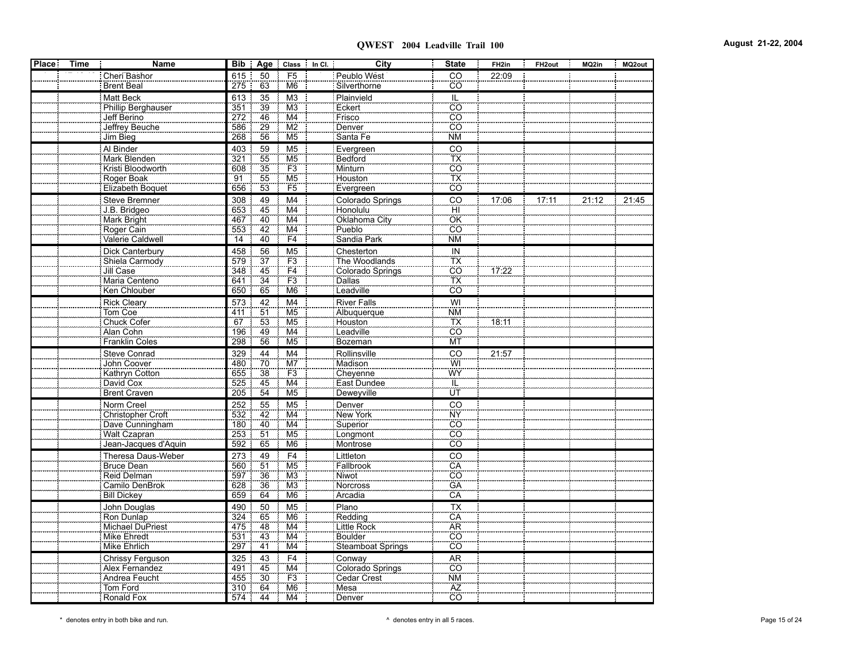| <b>Place</b> | <b>Time</b> | Name                     |     |                 | Bib   Age   Class   In Cl. | City                       | <b>State</b>          | FH <sub>2in</sub> | FH <sub>2out</sub> | MQ2in<br>х. | MQ2out |
|--------------|-------------|--------------------------|-----|-----------------|----------------------------|----------------------------|-----------------------|-------------------|--------------------|-------------|--------|
|              |             | Cheri Bashor             | 615 | 50              | F <sub>5</sub>             | Peublo West                | CO                    | 22:09             |                    |             |        |
|              |             | <b>Brent Beal</b>        | 275 | 63              | M <sub>6</sub>             | Silverthorne               | CO                    |                   |                    |             |        |
|              |             | <b>Matt Beck</b>         | 613 | 35              | M <sub>3</sub>             | Plainvield                 | IL                    |                   |                    |             |        |
|              |             | Phillip Berghauser       | 351 | 39              | M3                         | Eckert                     | $\overline{CO}$       |                   |                    |             |        |
|              |             | Jeff Berino              | 272 | 46              | M4                         | Frisco                     | $\overline{CO}$       |                   |                    |             |        |
|              |             | Jeffrey Beuche           | 586 | 29              | M2                         | Denver                     | $\overline{CO}$       |                   |                    |             |        |
|              |             | Jim Bieg                 | 268 | 56              | M <sub>5</sub>             | Santa Fe                   | <b>NM</b>             |                   |                    |             |        |
|              |             | Al Binder                | 403 | 59              | M <sub>5</sub>             | Evergreen                  | $\overline{c}$        |                   |                    |             |        |
|              |             | Mark Blenden             | 321 | 55              | M <sub>5</sub>             | Bedford                    | $\overline{TX}$       |                   |                    |             |        |
|              |             | Kristi Bloodworth        | 608 | 35              | F3                         | Minturn                    | <u>co</u>             |                   |                    |             |        |
|              |             | Roger Boak               | 91  | 55              | M <sub>5</sub>             | Houston                    | TX                    |                   |                    |             |        |
|              |             | Elizabeth Boquet         | 656 | 53              | F <sub>5</sub>             | Evergreen                  | CO                    |                   |                    |             |        |
|              |             | Steve Bremner            | 308 | 49              | M <sub>4</sub>             | Colorado Springs           | CO                    | 17:06             | 17:11              | 21:12       | 21:45  |
|              |             | J.B. Bridgeo             | 653 | 45              | M4                         | Honolulu                   |                       |                   |                    |             |        |
|              |             | Mark Bright              | 467 |                 | M4                         | Oklahoma City              | $\frac{H}{CK}$        |                   |                    |             |        |
|              |             | Roger Cain               | 553 | $\frac{40}{42}$ | $\overline{M4}$            | Pueblo                     | <b>CO</b>             |                   |                    |             |        |
|              |             | Valerie Caldwell         | 14  | 40              | F4                         | Sandia Park                | <b>NM</b>             |                   |                    |             |        |
|              |             |                          |     |                 |                            |                            |                       |                   |                    |             |        |
|              |             | Dick Canterbury          | 458 | 56              | M <sub>5</sub>             | Chesterton                 | IN                    |                   |                    |             |        |
|              |             | Shiela Carmody           | 579 | 37<br>45        | F3                         | The Woodlands              | TX<br>$\overline{co}$ |                   |                    |             |        |
|              |             | Jill Case                | 348 | $\overline{34}$ | $\frac{F4}{F3}$            | Colorado Springs<br>Dallas | TX                    | 17:22             |                    |             |        |
|              |             | Maria Centeno            | 641 |                 |                            | Leadville                  | CO                    |                   |                    |             |        |
|              |             | Ken Chlouber             | 650 | 65              | M <sub>6</sub>             |                            |                       |                   |                    |             |        |
|              |             | <b>Rick Cleary</b>       | 573 | 42              | M <sub>4</sub>             | <b>River Falls</b>         | WI                    |                   |                    |             |        |
|              |             | Tom Coe                  | 411 | 51              | M <sub>5</sub>             | Albuquerque                | <b>NM</b>             |                   |                    |             |        |
|              |             | Chuck Cofer              | 67  | 53              | M <sub>5</sub>             | Houston                    | $rac{TX}{C}$          | 18:11             |                    |             |        |
|              |             | Alan Cohn                | 196 | $\frac{1}{49}$  | $\overline{\mathsf{M4}}$   | Leadville                  |                       |                   |                    |             |        |
|              |             | <b>Franklin Coles</b>    | 298 | 56              | M <sub>5</sub>             | Bozeman                    | MT                    |                   |                    |             |        |
|              |             | <b>Steve Conrad</b>      | 329 | 44              | M <sub>4</sub>             | Rollinsville               | CO                    | 21:57             |                    |             |        |
|              |             | John Coover              | 480 | 70              | M7                         | Madison                    | WI<br>WY              |                   |                    |             |        |
|              |             | Kathryn Cotton           | 655 | $\overline{38}$ | F3                         | Cheyenne                   |                       |                   |                    |             |        |
|              |             | David Cox                | 525 | 45              | M4                         | East Dundee                | IL                    |                   |                    |             |        |
|              |             | Brent Craven             | 205 | 54              | M <sub>5</sub>             | Deweyville                 | ΪÜΤ                   |                   |                    |             |        |
|              |             | Norm Creel               | 252 | 55              | M <sub>5</sub>             | Denver                     | CO                    |                   |                    |             |        |
|              |             | <b>Christopher Croft</b> | 532 | 42              | M4                         | New York                   | <b>NY</b>             |                   |                    |             |        |
|              |             | Dave Cunningham          | 180 | 40              | M4                         | Superior                   | CO                    |                   |                    |             |        |
|              |             | <b>Walt Czapran</b>      | 253 | 51              | M <sub>5</sub>             | Longmont                   | $\overline{CO}$       |                   |                    |             |        |
|              |             | Jean-Jacques d'Aquin     | 592 | 65              | M <sub>6</sub>             | Montrose                   | <b>CO</b>             |                   |                    |             |        |
|              |             | Theresa Daus-Weber       | 273 | 49              | F <sub>4</sub>             | Littleton                  | CO                    |                   |                    |             |        |
|              |             | Bruce Dean               | 560 | $\overline{51}$ | M <sub>5</sub>             | Fallbrook                  | CÄ                    |                   |                    |             |        |
|              |             | Reid Delman              | 597 | 36              | M3                         | <b>Niwot</b>               | $\overline{CO}$       |                   |                    |             |        |
|              |             | Camilo DenBrok           | 628 | 36              | M3                         | Norcross                   | GÄ                    |                   |                    |             |        |
|              |             | Bill Dickey              | 659 | 64              | M <sub>6</sub>             | Arcadia                    | CA                    |                   |                    |             |        |
|              |             | John Douglas             | 490 | 50              | M <sub>5</sub>             | Plano                      | $\overline{TX}$       |                   |                    |             |        |
|              |             | Ron Dunlap               | 324 | 65              | M <sub>6</sub>             | Redding                    | $\overline{CA}$       |                   |                    |             |        |
|              |             | Michael DuPriest         | 475 | 48              | M4                         | <b>Little Rock</b>         | <b>AR</b>             |                   |                    |             |        |
|              |             | <b>Mike Ehredt</b>       | 531 | 43              | M4                         | <b>Boulder</b>             | $\overline{CO}$       |                   |                    |             |        |
|              |             | Mike Ehrlich             | 297 | 41              | M4                         | Steamboat Springs          | CÖ                    |                   |                    |             |        |
|              |             | <b>Chrissy Ferguson</b>  | 325 | 43              | F <sub>4</sub>             | Conway                     | <b>AR</b>             |                   |                    |             |        |
|              |             | Alex Fernandez           | 491 | 45              | M4                         | Colorado Springs           | CO                    |                   |                    |             |        |
|              |             | Andrea Feucht            | 455 | 30              | F3                         | Cedar Crest                | <b>NM</b>             |                   |                    |             |        |
|              |             | Tom Ford                 | 310 | 64              | M <sub>6</sub>             | Mesa                       | AZ                    |                   |                    |             |        |
|              |             | Ronald Fox               | 574 | 44              | M <sub>4</sub>             | Denver                     | $\overline{CO}$       |                   |                    |             |        |
|              |             |                          |     |                 |                            |                            |                       |                   |                    |             |        |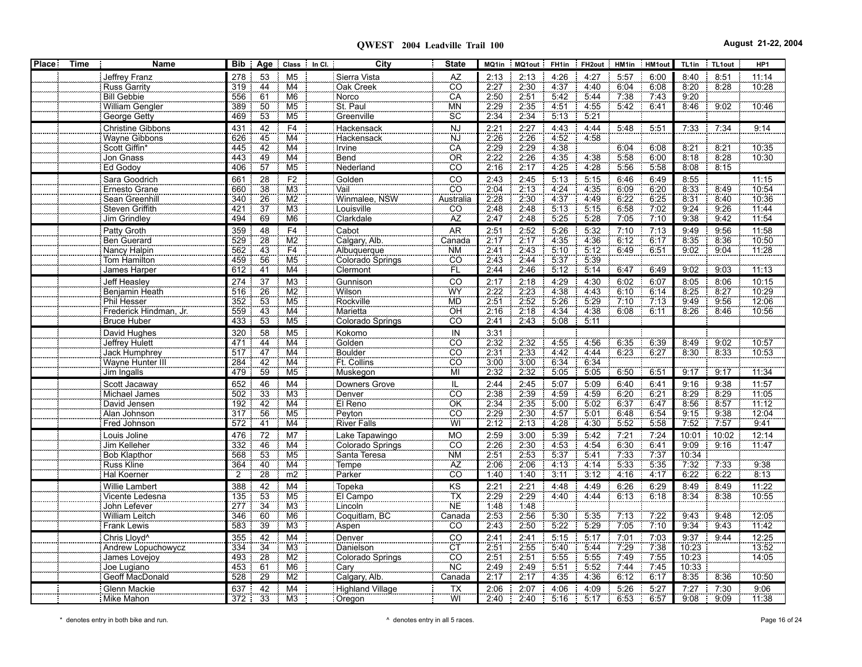| <b>Place</b> | <b>Time</b> | <b>Name</b>                         | Bib :          | Age             | Class In Cl.                       | City                             | <b>State</b>                 |                     | MQ1in   MQ1out   FH1in |              | FH2out HM1in HM1out |              |              | TL1in         | TL1out       | HP <sub>1</sub> |
|--------------|-------------|-------------------------------------|----------------|-----------------|------------------------------------|----------------------------------|------------------------------|---------------------|------------------------|--------------|---------------------|--------------|--------------|---------------|--------------|-----------------|
|              |             | Jeffrey Franz                       | 278            | 53              | M <sub>5</sub>                     | Sierra Vista                     | AZ                           | 2:13                | 2:13                   | 4:26         | 4:27                | 5:57         | 6:00         | 8:40          | 8:51         | 11:14           |
|              |             | <b>Russ Garrity</b>                 | 319            | 44              | M4                                 | Oak Creek                        | <br>CO                       | 2.27                | 2:30                   | 4.37         | 4:40                | 6:04         | 6:08         | 8:20          | 8:28         | 10:28           |
|              |             | <b>Bill Gebbie</b>                  | 556            | 61              | M <sub>6</sub>                     | Norco                            | CA                           | 2:50                | 2:51                   | 5:42         | 5.44                | 7:38         | 7.43         | 9:20          |              |                 |
|              |             | William Gengler                     | 389            | 50              | M <sub>5</sub>                     | St. Paul                         | MN                           | $\frac{2.29}{2.29}$ | 2:35                   | 4.51         | 4:55                | 5.42         | 6.41         | 8:46          | 9.02         | 10:46           |
|              |             | George Getty                        | 469            | 53              | M5                                 | Greenville                       | SC                           | 2:34                | 2:34                   | 5:13         | 5:21                |              |              |               |              |                 |
|              |             | <b>Christine Gibbons</b>            | 431            | 42              | F4                                 | Hackensack                       | <b>NJ</b>                    | 2:21                | 2:27                   | 4:43         | 4:44                | 5:48         | 5:51         | 7:33          | 7:34         | 9:14            |
|              |             | Wayne Gibbons                       | 626            | 45              | M4                                 | Hackensack                       | <b>NJ</b>                    | 2.26                | 2.26                   | 4.52         | 4:58                |              |              |               |              |                 |
|              |             | Scott Giffin*                       | 445            | 42              | M4                                 | Irvine                           | CA                           | 2.29                | 2:29                   | 4:38         |                     | 6:04         | 6:08         | 8:21          | 8:21         | 10:35           |
|              |             | Jon Gnass                           | 443            | 49              | M4                                 | Bend                             | ÖR                           | $\frac{2.28}{2.22}$ | 2:26                   | 4:35         | 4:38                | 5.58         | 6:00         | 8:18          | 8:28         | 10:30           |
|              |             | Ed Godoy                            | 406            | 57              | M <sub>5</sub>                     | Nederland                        | CO <sup>T</sup>              | 2:16                | 2:17                   | 4:25         | 4:28                | 5:56         | 5:58         | 8:08          | 8:15         |                 |
|              |             | Sara Goodrich                       | 661            | 28              | F2                                 | Golden                           | CO                           | 2:43                | 2:45                   | 5:13         | 5:15                | 6:46         | 6:49         | 8:55          |              | 11:15           |
|              |             | Ernesto Grane                       | 660            | 38              | M3                                 | Vail                             | <b>CO</b>                    | 2:04                | 2:13                   | 4:24         | 4:35                | 6.09         | 6:20         | 8:33          | 8:49         | 10:54           |
|              |             | Sean Greenhill                      | 340            | 26              | M2                                 | Winmalee, NSW                    | Australia                    | 2:28                | 2:30                   | 4:37         | 4:49                | 6:22         | 6:25         | 8:31          | 8:40         | 10:36           |
|              |             | Steven Griffith                     | 421            | $\overline{37}$ | M3                                 | Louisville                       | CO                           | 2:48                | 2:48                   | 5:13         | 5:15                | 6:58         | 7.02         | 9.24          | 9.26         | 11:44           |
|              |             | Jim Grindley                        | 494            | 69              | M <sub>6</sub>                     | Clarkdale                        | AZ                           | 2:47                | 2:48                   | 5:25         | 5:28                | 7:05         | 7:10         | 9:38          | 9:42         | 11:54           |
|              |             | Patty Groth                         | 359            | 48              | F <sub>4</sub>                     | Cabot                            | AR                           | 2:51                | 2:52                   | 5:26         | 5:32                | 7:10         | 7:13         | 9:49          | 9:56         | 11:58           |
|              |             | Ben Guerard                         | 529            | 28              | $\overline{\text{M2}}$             | Calgary, Alb.                    | Canada                       | 2:17                | 2:17                   | 4:35         | 4:36                | 6:12         | 6:17         | 8:35          | 8.36         | 10:50           |
|              |             | Nancy Halpin                        | 562            | 43              | F4                                 | Albuquerque                      | <b>NM</b>                    | $\frac{2.41}{2.43}$ | 2.43                   | 5:10         | 5:12                | 6.49         | 6.51         | 9:02          | 9:04         | 11:28           |
|              |             | Tom Hamilton                        | 459            | 56              | M <sub>5</sub>                     | Colorado Springs                 | CÖ                           |                     | 2:44                   | 5:37         | 5 3 9               |              |              |               |              |                 |
|              |             | James Harper                        | 612            | 41              | M4                                 | Clermont                         | FL                           | 2:44                | 2:46                   | 5:12         | 5:14                | 6:47         | 6:49         | 9:02          | 9:03         | 11:13           |
|              |             | Jeff Heasley                        | 274            | 37              | M3                                 | Gunnison                         | $\overline{C}$               | 2:17                | 2:18                   | 4:29         | 4:30                | 6:02         | 6:07         | 8:05          | 8:06         | 10:15           |
|              |             | Benjamin Heath                      | 516            | 26              | $\overline{M2}$                    | <b>Wilson</b>                    | WY                           | 2:22                | 2:23                   | 4:38         | 4:43                | 6:10         | 6:14         | 8.25          | 8:27         | 10:29           |
|              |             | Phil Hesser                         | 352            | 53              | M <sub>5</sub>                     | Rockville                        | <b>MD</b>                    | $\frac{2.51}{2.16}$ | 2.52                   | 5:26         | 5.29                | 7:10         | 7.13         | 9:49          | 9:56         | 12:06           |
|              |             | Frederick Hindman, Jr.              | 559            | 43              | M4                                 | Marietta                         | OН                           |                     | 2:18                   | 4:34         | 4:38                | 6.08         | 6:11         | 8.26          | 8.46         | 10:56           |
|              |             | <b>Bruce Huber</b>                  | 433            | 53              | M <sub>5</sub>                     | Colorado Springs                 | CÖ                           | 2.41                | 2:43                   | 5.08         | 5:11                |              |              |               |              |                 |
|              |             | David Hughes                        | 320            | 58              | M <sub>5</sub>                     | Kokomo                           | IN                           | 3:31                |                        |              |                     |              |              |               |              |                 |
|              |             | Jeffrey Hulett                      | 471            | 44              | M4                                 | Golden                           | CO                           | 2:32                | 2.32                   | 4:55         | 4:56                | 6:35         | 6:39         | 8:49          | 9.02         | 10:57           |
|              |             | <b>Jack Humphrey</b>                | 517            | 47              | M4                                 | Boulder                          | CO                           | 2:31                | 2:33                   | 4:42         | 4:44                | 6:23         | 6:27         | 8:30          | 8:33         | 10:53           |
|              |             | Wayne Hunter III                    | 284            | 42<br>59        | M <sub>4</sub>                     | Ft. Collins                      | ĈÖ<br>MÏ                     | 3:00<br>2:32        | 3:00                   | 6:34         | 6:34                |              |              |               |              |                 |
|              |             | Jim Ingalls                         | 479            |                 | M <sub>5</sub>                     | Muskegon                         |                              |                     | 2:32                   | 5:05         | 5:05                | 6:50         | 6.51         | 9:17          | 9:17         | 11.34           |
|              |             | Scott Jacaway                       | 652            | 46              | M4                                 | <b>Downers Grove</b>             | IL                           | 2:44                | 2:45                   | 5:07         | 5:09                | 6:40         | 6:41         | 9:16          | 9:38         | 11:57           |
|              |             | Michael James                       | 502            | 33              | $\overline{M3}$<br>$\overline{M4}$ | Denver                           | $\overline{co}$<br>ÖK        | 2:38                | 2:39                   | 4:59         | 4.59                | 6:20         | 6:21         | 8.29<br>8.56  | 8.29         | 11:05           |
|              |             | David Jensen                        | 192<br>317     | 42<br>56        | M <sub>5</sub>                     | El Reno<br>Peyton                | CÖ                           | $\frac{2.34}{2.29}$ | 2:35<br>2:30           | 5:00<br>4:57 | 5:02<br>5:01        | 6:37<br>6:48 | 6.47<br>6:54 | 9:15          | 8.57<br>9:38 | 11.12<br>12:04  |
|              |             | Alan Johnson<br>Fred Johnson        | 572            | $\overline{41}$ | $\overline{M4}$                    | River Falls                      | WÏ                           | 2:12                | 2:13                   | 4:28         | 4:30                | 5:52         | 5:58         | 7:52          | 7.57         | 9:41            |
|              |             |                                     |                |                 |                                    |                                  |                              |                     |                        |              |                     |              |              |               |              |                 |
|              |             | Louis Joline                        | 476<br>332     | $\overline{72}$ | M <sub>7</sub>                     | Lake Tapawingo                   | <b>MO</b><br>$\overline{CO}$ | 2:59<br>2:26        | 3:00                   | 5:39         | 5:42<br>4.54        | 7:21<br>6.30 | 7:24         | 10:01         | 10:02        | 12:14           |
|              |             | Jim Kelleher<br><b>Bob Klapthor</b> | 568            | 46<br>53        | M4<br>M <sub>5</sub>               | Colorado Springs<br>Santa Teresa | <b>NM</b>                    | 2.51                | 2:30<br>2:53           | 4:53<br>5:37 | 5.41                | 7:33         | 6:41<br>7:37 | 9:09<br>10:34 | 9:16         | 11:47           |
|              |             | Russ Kline                          | 364            | 40              | M4                                 | Tempe                            | AZ                           | 2.06                | 2:06                   | 4:13         | 4:14                | 5:33         | 5.35         | 7:32          | 7:33         | 9.38            |
|              |             | <b>Hal Koerner</b>                  | $\overline{2}$ | $\overline{28}$ | m2                                 | Parker                           | co.                          | 1:40                | 1:40                   | 3:11         | 3:12                | 4:16         | 4:17         | 6:22          | 6.22         | 8:13            |
|              |             | <b>Willie Lambert</b>               | 388            | 42              | M4                                 | Topeka                           | KS                           | 2:21                | 2:21                   | 4:48         | 4:49                | 6:26         | 6:29         | 8:49          | 8:49         | 11:22           |
|              |             | Vicente Ledesna                     | 135            | 53              | M <sub>5</sub>                     | El Campo                         | $\overline{\mathsf{TX}}$     | 2:29                | 2:29                   | 4.40         | 4.44                | 6:13         | 6:18         | 8:34          | 8:38         | 10:55           |
|              |             | John Lefever                        | 277            | 34              | M3                                 | Lincoln                          | <b>NE</b>                    | 1:48                | 1.48                   |              |                     |              |              |               |              |                 |
|              |             | William Leitch                      | 346            | 60              | M <sub>6</sub>                     | Coquitlam, BC                    | Canada                       | 2:53                | 2:56                   | 5:30         | 5:35                | 7:13         | 7.22         | 9:43          | 9:48         | 12:05           |
|              |             | <b>Frank Lewis</b>                  | 583            | 39              | M3                                 | Aspen                            | $\overline{CO}$              | 2:43                | 2:50                   | 5:22         | 5:29                | 7.05         | 7:10         | 9:34          | 9:43         | 11.42           |
|              |             | Chris Lloyd <sup>^</sup>            | 355            | 42              | M4                                 | Denver                           | CO                           | 2:41                | 2:41                   | 5:15         | 5:17                | 7:01         | 7:03         | 9:37          | 9:44         | 12:25           |
|              |             | Andrew Lopuchowycz                  | 334            | $\overline{34}$ | M <sub>3</sub>                     | Danielson                        | CT                           | 2:51                | 2:55                   | 5:40         | 5:44                | 7:29         | 7:38         | 10:23         |              | 13:52           |
|              |             | James Lovejoy                       | 493            | 28              | M2                                 | Colorado Springs                 | CÖ <sub>.</sub>              |                     | 2:51                   | 5:55         | 5:55                | 7.49         | 7.55         | 10.23         |              | 14:05           |
|              |             | Joe Lugiano                         | 453            | 61              | M <sub>6</sub>                     | Cary                             | <b>NC</b>                    | $\frac{2.51}{2.49}$ | 2:49                   | 5:51         | 5:52                | 7:44         | 7.45         | 10:33         |              |                 |
|              |             | Geoff MacDonald                     | 528            | $\overline{29}$ | $\overline{\text{M2}}$             | Calgary, Alb.                    | Canada                       | 2:17                | 2:17                   | 4:35         | 4:36                | 6:12         | 6:17         | 8.35          | 8:36         | 10:50           |
|              |             | Glenn Mackie                        | 637            | 42              | M4                                 | <b>Highland Village</b>          | <b>TX</b>                    | 2:06                | 2:07                   | 4:06         | 4:09                | 5.26         | 5:27         | 7:27          | 7:30         | 9:06            |
|              |             | Mike Mahon                          | 372            | 33              | M <sub>3</sub>                     | Oregon                           | WI                           | 2:40                | 2:40                   | 5:16         | 5:17                | 6:53         | 6:57         | 9:08          | 9:09         | 11:38           |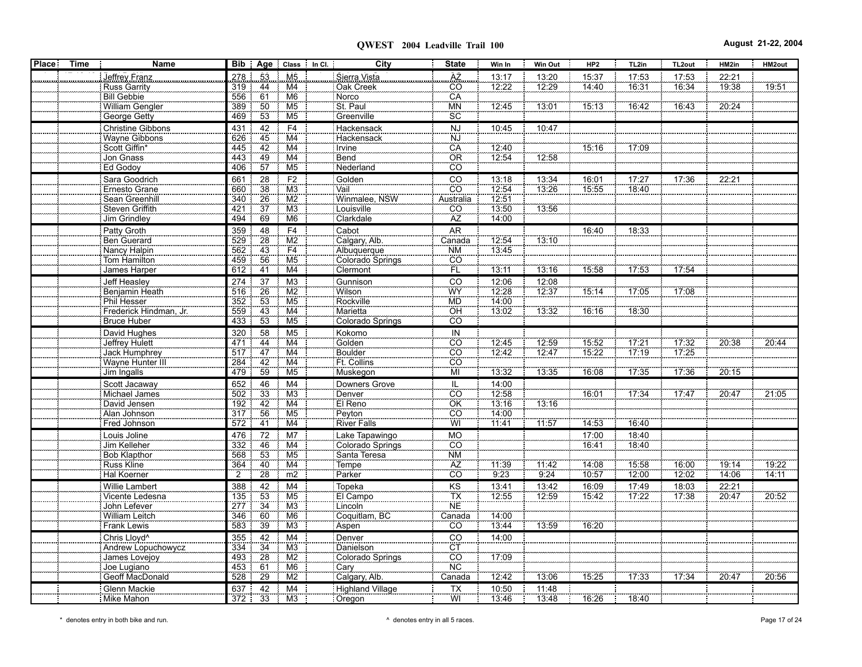| Place | Time | <b>Name</b>                         |                |                 | Bib   Age   Class   In Cl.       | City                             | <b>State</b>                 | Win In         | Win Out | HP <sub>2</sub>   | TL2in | TL2out | HM2in | HM2out |
|-------|------|-------------------------------------|----------------|-----------------|----------------------------------|----------------------------------|------------------------------|----------------|---------|-------------------|-------|--------|-------|--------|
|       |      | Jeffrey Franz                       | 278            | 53              | M <sub>5</sub>                   | Sierra Vista                     |                              | 13:17          | 13:20   | 15:37             | 17:53 | 17:53  | 22:21 |        |
|       |      | <b>Russ Garrity</b>                 | 319            | 44              | M4                               | Oak Creek                        | AZ<br>CO                     | 12:22          | 12:29   | 14:40             | 16:31 | 16:34  | 19:38 | 19:51  |
|       |      | <b>Bill Gebbie</b>                  | 556            | 61              | M <sub>6</sub>                   | Norco                            | CA                           |                |         |                   |       |        |       |        |
|       |      | William Gengler                     | 389            | 50              | M <sub>5</sub>                   | St. Paul                         | <b>MN</b>                    | 12.45          | 13:01   | 15:13             | 16:42 | 16:43  | 20.24 |        |
|       |      | <b>George Getty</b>                 | 469            | 53              | M <sub>5</sub>                   | Greenville                       | <b>SC</b>                    |                |         |                   |       |        |       |        |
|       |      | <b>Christine Gibbons</b>            | 431            | 42              | F4                               | Hackensack                       | <b>NJ</b>                    | 10:45          | 10.47   |                   |       |        |       |        |
|       |      | <b>Wayne Gibbons</b>                | 626            | 45              | M4                               | Hackensack                       | <u>NJ</u>                    |                |         |                   |       |        |       |        |
|       |      | Scott Giffin*                       | 445            | 42              | M <sub>4</sub>                   | Irvine                           | CA                           | 12:40          |         | 15:16             | 17:09 |        |       |        |
|       |      | Jon Gnass                           | 443            | 49              | M <sub>4</sub>                   | Bend                             | OR                           | 12.54          | 12:58   |                   |       |        |       |        |
|       |      | Ed Godoy                            | 406            | 57              | M5                               | Nederland                        | ĈÖ                           |                |         |                   |       |        |       |        |
|       |      | Sara Goodrich                       | 661            | 28              | F <sub>2</sub>                   | Golden                           | CO                           | 13:18          | 13:34   | 16:01             | 17:27 | 17:36  | 22:21 |        |
|       |      | Ernesto Grane                       | 660            | $\overline{38}$ | M <sub>3</sub>                   | Vail                             | $\overline{c}$ o             | 12:54          | 13.26   | 15:55             | 18:40 |        |       |        |
|       |      | Sean Greenhill                      | 340            | 26<br>37        | M2<br>$\overline{M}3$            | Winmalee, NSW                    | Australia                    | 12:51          |         |                   |       |        |       |        |
|       |      | Steven Griffith                     | 421<br>494     | 69              | M <sub>6</sub>                   | Louisville                       | $\overline{\text{CO}}$<br>AZ | 13:50<br>14:00 | 13:56   |                   |       |        |       |        |
|       |      | <b>Jim Grindley</b>                 |                |                 |                                  | Clarkdale                        |                              |                |         |                   |       |        |       |        |
|       |      | Patty Groth                         | 359<br>529     | 48<br>28        | F4<br>$\overline{\text{M2}}$     | Cabot<br>Calgary, Alb.           | <b>AR</b><br>Canada          | 12.54          | 13:10   | 16:40             | 18:33 |        |       |        |
|       |      | Ben Guerard<br>Nancy Halpin         | 562            | 43              |                                  | Albuquerque                      | <b>NM</b>                    | 13.45          |         |                   |       |        |       |        |
|       |      | Tom Hamilton                        | 459            | 56              | $\frac{F4}{M5}$                  | Colorado Springs                 | CO                           |                |         |                   |       |        |       |        |
|       |      | James Harper                        | 612            | 41              | M4                               | Clermont                         | ΪË                           | 13:11          | 13:16   | 15:58             | 17:53 | 17:54  |       |        |
|       |      | Jeff Heasley                        | 274            | 37              | M <sub>3</sub>                   | Gunnison                         | CO                           | 12:06          | 12:08   |                   |       |        |       |        |
|       |      | Benjamin Heath                      | 516            | 26              | M2                               | Wilson                           | WY                           | 12:28          | 12:37   | $\frac{1}{15.14}$ | 17:05 | 17:08  |       |        |
|       |      | Phil Hesser                         |                | 53              | M <sub>5</sub>                   | Rockville                        | <b>MD</b>                    | 14.00          |         |                   |       |        |       |        |
|       |      | Frederick Hindman, Jr.              | 559            | 43              | M4                               | Marietta                         | <b>OH</b>                    | 13.02          | 13:32   | $\frac{1}{16.16}$ | 18:30 |        |       |        |
|       |      | <b>Bruce Huber</b>                  | 433            | 53              | M <sub>5</sub>                   | <b>Colorado Springs</b>          | <b>CO</b>                    |                |         |                   |       |        |       |        |
|       |      | David Hughes                        | 320            | 58              | M <sub>5</sub>                   | Kokomo                           | IN                           |                |         |                   |       |        |       |        |
|       |      | Jeffrey Hulett                      | 471            | 44              | M4                               | Golden                           | $\overline{co}$              | 12:45          | 12:59   | 15:52             | 17:21 | 17:32  | 20:38 | 20:44  |
|       |      | <b>Jack Humphrey</b>                | 517            | 47              | M <sub>4</sub>                   | Boulder                          | CO                           | 12.42          | 12.47   | 15.22             | 17:19 | 17:25  |       |        |
|       |      | Wayne Hunter III                    | 284            | 42              | $\overline{M4}$                  | Ft. Collins                      | CO                           |                |         |                   |       |        |       |        |
|       |      | Jim Ingalls                         | 479            | 59              | M5                               | Muskegon                         | MI                           | 13:32          | 13:35   | 16:08             | 17.35 | 17:36  | 20:15 |        |
|       |      | Scott Jacaway                       | 652            | 46              | M <sub>4</sub>                   | Downers Grove                    | $\overline{CO}$              | 14:00          |         |                   |       |        |       |        |
|       |      | Michael James                       | 502            | 33              | M3                               | Denver                           |                              | 12:58          |         | 16:01             | 17:34 | 17.47  | 20:47 | 21:05  |
|       |      | David Jensen                        | 192            | 42<br>56        | M <sub>4</sub><br>M <sub>5</sub> | El Reno                          | ÖK<br>CÖ                     | 13:16          | 13:16   |                   |       |        |       |        |
|       |      | Alan Johnson                        | 317<br>572     | 41              | M4                               | Peyton                           | WÏ                           | 14:00<br>11.41 | 11:57   | 14:53             | 16:40 |        |       |        |
|       |      | Fred Johnson                        |                |                 |                                  | <b>River Falls</b>               |                              |                |         |                   |       |        |       |        |
|       |      | Louis Joline                        | 476            | 72              | M <sub>7</sub>                   | Lake Tapawingo                   | <b>MO</b>                    |                |         | 17:00             | 18:40 |        |       |        |
|       |      | Jim Kelleher<br><b>Bob Klapthor</b> | 332<br>568     | 46<br>53        | M4<br>M <sub>5</sub>             | Colorado Springs<br>Santa Teresa | CO<br><b>NM</b>              |                |         | 16:41             | 18:40 |        |       |        |
|       |      | Russ Kline                          | 364            | 40              | M <sub>4</sub>                   | Tempe                            | AZ                           | 11.39          | 11:42   | 14.08             | 15.58 | 16:00  | 19:14 | 19.22  |
|       |      | Hal Koerner                         | $\overline{2}$ | 28              | m2                               | Parker                           | cö                           | 9.23           | 9:24    | 10:57             | 12:00 | 12:02  | 14:06 | 14:11  |
|       |      | Willie Lambert                      | 388            | 42              | M <sub>4</sub>                   | Topeka                           |                              | 13:41          | 13:42   | 16:09             | 17:49 | 18:03  | 22:21 |        |
|       |      | Vicente Ledesna                     | 135            | 53              | M <sub>5</sub>                   | El Campo                         | $rac{KS}{TX}$                | 12:55          | 12:59   | 15:42             | 17:22 | 17:38  | 20:47 | 20:52  |
|       |      | John Lefever                        | 277            | 34              | M <sub>3</sub>                   | Lincoln                          | <b>NE</b>                    |                |         |                   |       |        |       |        |
|       |      | William Leitch                      | 346            | 60              | M <sub>6</sub>                   | Coquitlam, BC                    | Canada                       | 14:00          |         |                   |       |        |       |        |
|       |      | <b>Frank Lewis</b>                  | 583            | 39              | M3                               | Aspen                            | CO                           | 13:44          | 13:59   | 16:20             |       |        |       |        |
|       |      | Chris Lloyd <sup>^</sup>            | 355            | 42              | M <sub>4</sub>                   | Denver                           | CO                           | 14:00          |         |                   |       |        |       |        |
|       |      | Andrew Lopuchowycz                  | 334            | $\overline{34}$ | M3                               | Danielson                        | $\frac{CT}{CO}$              |                |         |                   |       |        |       |        |
|       |      | James Lovejoy                       | 493            | 28              | M2                               | Colorado Springs                 |                              | 17:09          |         |                   |       |        |       |        |
|       |      | Joe Lugiano                         | 453            | 61              | M <sub>6</sub>                   | Cary                             | $\overline{\text{NC}}$       |                |         |                   |       |        |       |        |
|       |      | Geoff MacDonald                     | 528            | 29              | $\overline{\text{M2}}$           | Calgary, Alb.                    | Canada                       | 12:42          | 13:06   | 15:25             | 17:33 | 17:34  | 20:47 | 20:56  |
|       |      | Glenn Mackie                        | 637            | 42              | M <sub>4</sub>                   | Highland Village                 | $\overline{TX}$              | 10:50          | 11:48   |                   |       |        |       |        |
|       |      | Mike Mahon                          | 372            | 33              | M3                               | Oregon                           | WI                           | 13:46          | 13:48   | 16:26             | 18:40 |        |       |        |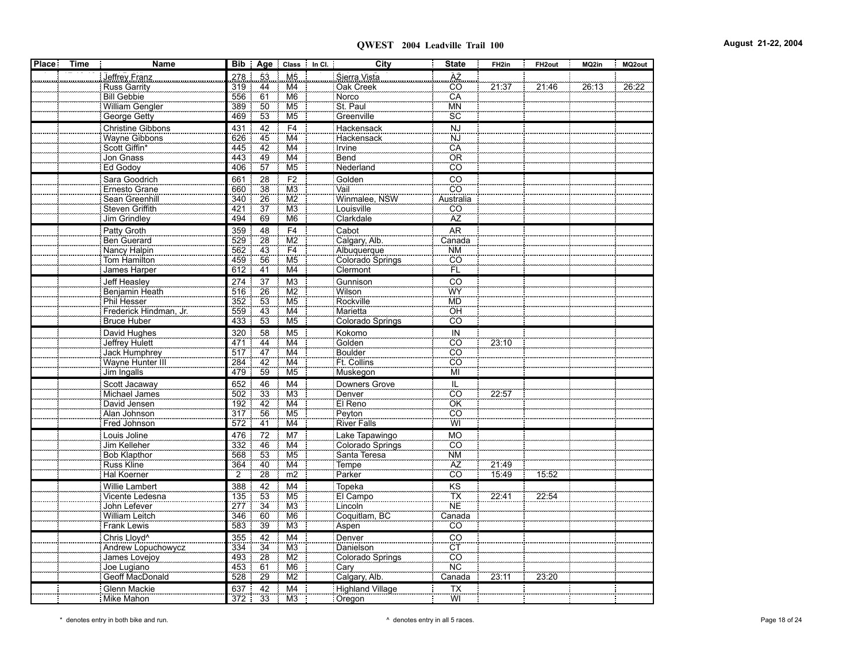| 278<br>AZ.<br>Jeffrey Franz<br>53<br>M <sub>5</sub><br>Sierra Vista<br>21:37<br>21:46<br>26:13<br>Russ Garrity<br>44<br>ĈÖ<br>26.22<br>319<br>M4<br>Oak Creek<br>$\overline{61}$<br>CA<br>M <sub>6</sub><br>Bill Gebbie<br>556<br>Norco<br>St. Paul<br>50<br>389<br>M <sub>5</sub><br><b>MN</b><br>William Gengler<br>53<br>SC<br>469<br>Greenville<br>George Getty<br>M <sub>5</sub><br>F <sub>4</sub><br><b>Christine Gibbons</b><br>42<br>Hackensack<br><b>NJ</b><br>431<br>45<br><br>NJ<br>M <sub>4</sub><br><b>Wayne Gibbons</b><br>626<br>Hackensack<br>CÃ<br>42<br>Scott Giffin*<br>M4<br><b>Irvine</b><br>445<br>$\frac{49}{57}$<br>OR<br>M <sub>4</sub><br>Jon Gnass<br>Bend<br>443<br>$\overline{M5}$<br>cö<br>Ed Godoy<br>Nederland<br>406<br>F2<br>$\overline{CO}$<br>Sara Goodrich<br>661<br>28<br>Golden<br>38<br>$\overline{CO}$<br>660<br>M3<br>Ernesto Grane<br>Vail<br>26<br>Winmalee, NSW<br>Australia<br>Sean Greenhill<br>M <sub>2</sub><br>340<br>37<br>M3<br>$\overline{CO}$<br>Steven Griffith<br>421<br>Louisville<br>AZ<br>69<br>Clarkdale<br>Jim Grindley<br>494<br>M <sub>6</sub><br>F <sub>4</sub><br><b>AR</b><br>Patty Groth<br>48<br>Cabot<br>359<br>$\overline{\text{M2}}$<br>28<br>Ben Guerard<br>Calgary, Alb.<br>529<br>Canada<br>$\overline{43}$<br>F4<br>Nancy Halpin<br>Albuquerque<br>562<br><b>NM</b><br>56<br>M <sub>5</sub><br>cö<br><b>Tom Hamilton</b><br>459<br>Colorado Springs<br>ΈÜ<br>M4<br>James Harper<br>612<br>41<br>Clermont<br>CO<br><b>Jeff Heasley</b><br>274<br>37<br>M <sub>3</sub><br>Gunnison<br>26<br>$\overline{\text{M2}}$<br>WY<br>Benjamin Heath<br>516<br>Wilson<br>$\frac{1}{53}$<br>M <sub>5</sub><br>Rockville<br><b>MD</b><br>Phil Hesser<br>352<br>$\frac{43}{53}$<br>OH<br>Frederick Hindman, Jr.<br>559<br>M4<br>Marietta<br>Bruce Huber<br>M <sub>5</sub><br>Colorado Springs<br>CÔ<br>433<br>M <sub>5</sub><br>IN<br>David Hughes<br>58<br>Kokomo<br>320<br>M4<br>Golden<br>CO<br>23:10<br>Jeffrey Hulett<br>44<br>471<br>47<br><b>Boulder</b><br>CO<br>Jack Humphrey<br>517<br>M4<br>42<br>$\overline{co}$<br>M4<br>Ft. Collins<br>Wayne Hunter III<br>284<br>59<br>MÏ<br>Jim Ingalls<br>479<br>M <sub>5</sub><br>Muskegon<br>Scott Jacaway<br>M4<br>IL<br>652<br>46<br>Downers Grove<br>33<br>CO<br>$\overline{\text{M3}}$<br>22.57<br>Michael James<br>502<br>Denver<br>$\overline{OK}$<br>$\overline{42}$<br>El Reno<br>David Jensen<br>$\overline{\mathsf{M4}}$<br>192<br>56<br>$\overline{CO}$<br>Peyton<br>M <sub>5</sub><br>Alan Johnson<br>317<br>WI<br>41<br>River Falls<br>Fred Johnson<br>572<br>M4<br>72<br>M7<br>Lake Tapawingo<br><b>MO</b><br>Louis Joline<br>476<br>CO<br>M4<br>Jim Kelleher<br>332<br>46<br>Colorado Springs<br>$\frac{1}{N}$<br>$\overline{53}$<br>M <sub>5</sub><br><b>Bob Klapthor</b><br>Santa Teresa<br>568<br>ÄZ<br>M <sub>4</sub><br>21:49<br><b>Russ Kline</b><br>364<br>40<br>Tempe<br>28<br>cö<br>$\overline{2}$<br>$\overline{m2}$<br>Parker<br>15.49<br>15:52<br>Hal Koerner<br>M4<br>Topeka<br>KS<br><b>Willie Lambert</b><br>388<br>42<br>TX<br>53<br>22.41<br>M <sub>5</sub><br>22:54<br>El Campo<br>Vicente Ledesna<br>135<br>$\overline{\text{NE}}$<br>34<br>M <sub>3</sub><br>John Lefever<br>Lincoln<br>277<br>Coquitlam, BC<br><b>William Leitch</b><br>60<br>M <sub>6</sub><br>Canada<br>346<br>39<br><b>Frank Lewis</b><br>583<br>M <sub>3</sub><br>Aspen<br>CO<br>Chris Lloyd <sup>^</sup><br>42<br>M4<br>Denver<br>CO<br>355<br>CT<br>CO<br>$\frac{34}{28}$<br>M <sub>3</sub><br>Andrew Lopuchowycz<br>334<br>Danielson<br>M2<br>James Lovejoy<br>Colorado Springs<br>493<br>NC.<br>61<br>M <sub>6</sub><br>Joe Lugiano<br>453<br>Cary<br>Geoff MacDonald<br>29<br>$\overline{M2}$<br>Calgary, Alb.<br>Canada<br>23:20<br>528<br>23:11<br>42<br>Glenn Mackie<br>637<br>M4<br>Highland Village<br><b>TX</b><br>WI<br>Mike Mahon<br>372<br>33<br>M <sub>3</sub><br>Oregon | <b>Place</b> | <b>Time</b> | <b>Name</b> |  | Bib   Age   Class   In Cl. | City | <b>State</b> | FH <sub>2in</sub> | FH <sub>2out</sub> | MQ2in | MQ2out |
|----------------------------------------------------------------------------------------------------------------------------------------------------------------------------------------------------------------------------------------------------------------------------------------------------------------------------------------------------------------------------------------------------------------------------------------------------------------------------------------------------------------------------------------------------------------------------------------------------------------------------------------------------------------------------------------------------------------------------------------------------------------------------------------------------------------------------------------------------------------------------------------------------------------------------------------------------------------------------------------------------------------------------------------------------------------------------------------------------------------------------------------------------------------------------------------------------------------------------------------------------------------------------------------------------------------------------------------------------------------------------------------------------------------------------------------------------------------------------------------------------------------------------------------------------------------------------------------------------------------------------------------------------------------------------------------------------------------------------------------------------------------------------------------------------------------------------------------------------------------------------------------------------------------------------------------------------------------------------------------------------------------------------------------------------------------------------------------------------------------------------------------------------------------------------------------------------------------------------------------------------------------------------------------------------------------------------------------------------------------------------------------------------------------------------------------------------------------------------------------------------------------------------------------------------------------------------------------------------------------------------------------------------------------------------------------------------------------------------------------------------------------------------------------------------------------------------------------------------------------------------------------------------------------------------------------------------------------------------------------------------------------------------------------------------------------------------------------------------------------------------------------------------------------------------------------------------------------------------------------------------------------------------------------------------------------------------------------------------------------------------------------------------------------------------------------------------------------------------------------------------------------------------------------------------------------------------------------------------------------------------------------------------------------------------------------------------------------------------------------------------------------------------------------------------------------------------------------------------------------------------------------------------------------|--------------|-------------|-------------|--|----------------------------|------|--------------|-------------------|--------------------|-------|--------|
|                                                                                                                                                                                                                                                                                                                                                                                                                                                                                                                                                                                                                                                                                                                                                                                                                                                                                                                                                                                                                                                                                                                                                                                                                                                                                                                                                                                                                                                                                                                                                                                                                                                                                                                                                                                                                                                                                                                                                                                                                                                                                                                                                                                                                                                                                                                                                                                                                                                                                                                                                                                                                                                                                                                                                                                                                                                                                                                                                                                                                                                                                                                                                                                                                                                                                                                                                                                                                                                                                                                                                                                                                                                                                                                                                                                                                                                                                                                |              |             |             |  |                            |      |              |                   |                    |       |        |
|                                                                                                                                                                                                                                                                                                                                                                                                                                                                                                                                                                                                                                                                                                                                                                                                                                                                                                                                                                                                                                                                                                                                                                                                                                                                                                                                                                                                                                                                                                                                                                                                                                                                                                                                                                                                                                                                                                                                                                                                                                                                                                                                                                                                                                                                                                                                                                                                                                                                                                                                                                                                                                                                                                                                                                                                                                                                                                                                                                                                                                                                                                                                                                                                                                                                                                                                                                                                                                                                                                                                                                                                                                                                                                                                                                                                                                                                                                                |              |             |             |  |                            |      |              |                   |                    |       |        |
|                                                                                                                                                                                                                                                                                                                                                                                                                                                                                                                                                                                                                                                                                                                                                                                                                                                                                                                                                                                                                                                                                                                                                                                                                                                                                                                                                                                                                                                                                                                                                                                                                                                                                                                                                                                                                                                                                                                                                                                                                                                                                                                                                                                                                                                                                                                                                                                                                                                                                                                                                                                                                                                                                                                                                                                                                                                                                                                                                                                                                                                                                                                                                                                                                                                                                                                                                                                                                                                                                                                                                                                                                                                                                                                                                                                                                                                                                                                |              |             |             |  |                            |      |              |                   |                    |       |        |
|                                                                                                                                                                                                                                                                                                                                                                                                                                                                                                                                                                                                                                                                                                                                                                                                                                                                                                                                                                                                                                                                                                                                                                                                                                                                                                                                                                                                                                                                                                                                                                                                                                                                                                                                                                                                                                                                                                                                                                                                                                                                                                                                                                                                                                                                                                                                                                                                                                                                                                                                                                                                                                                                                                                                                                                                                                                                                                                                                                                                                                                                                                                                                                                                                                                                                                                                                                                                                                                                                                                                                                                                                                                                                                                                                                                                                                                                                                                |              |             |             |  |                            |      |              |                   |                    |       |        |
|                                                                                                                                                                                                                                                                                                                                                                                                                                                                                                                                                                                                                                                                                                                                                                                                                                                                                                                                                                                                                                                                                                                                                                                                                                                                                                                                                                                                                                                                                                                                                                                                                                                                                                                                                                                                                                                                                                                                                                                                                                                                                                                                                                                                                                                                                                                                                                                                                                                                                                                                                                                                                                                                                                                                                                                                                                                                                                                                                                                                                                                                                                                                                                                                                                                                                                                                                                                                                                                                                                                                                                                                                                                                                                                                                                                                                                                                                                                |              |             |             |  |                            |      |              |                   |                    |       |        |
|                                                                                                                                                                                                                                                                                                                                                                                                                                                                                                                                                                                                                                                                                                                                                                                                                                                                                                                                                                                                                                                                                                                                                                                                                                                                                                                                                                                                                                                                                                                                                                                                                                                                                                                                                                                                                                                                                                                                                                                                                                                                                                                                                                                                                                                                                                                                                                                                                                                                                                                                                                                                                                                                                                                                                                                                                                                                                                                                                                                                                                                                                                                                                                                                                                                                                                                                                                                                                                                                                                                                                                                                                                                                                                                                                                                                                                                                                                                |              |             |             |  |                            |      |              |                   |                    |       |        |
|                                                                                                                                                                                                                                                                                                                                                                                                                                                                                                                                                                                                                                                                                                                                                                                                                                                                                                                                                                                                                                                                                                                                                                                                                                                                                                                                                                                                                                                                                                                                                                                                                                                                                                                                                                                                                                                                                                                                                                                                                                                                                                                                                                                                                                                                                                                                                                                                                                                                                                                                                                                                                                                                                                                                                                                                                                                                                                                                                                                                                                                                                                                                                                                                                                                                                                                                                                                                                                                                                                                                                                                                                                                                                                                                                                                                                                                                                                                |              |             |             |  |                            |      |              |                   |                    |       |        |
|                                                                                                                                                                                                                                                                                                                                                                                                                                                                                                                                                                                                                                                                                                                                                                                                                                                                                                                                                                                                                                                                                                                                                                                                                                                                                                                                                                                                                                                                                                                                                                                                                                                                                                                                                                                                                                                                                                                                                                                                                                                                                                                                                                                                                                                                                                                                                                                                                                                                                                                                                                                                                                                                                                                                                                                                                                                                                                                                                                                                                                                                                                                                                                                                                                                                                                                                                                                                                                                                                                                                                                                                                                                                                                                                                                                                                                                                                                                |              |             |             |  |                            |      |              |                   |                    |       |        |
|                                                                                                                                                                                                                                                                                                                                                                                                                                                                                                                                                                                                                                                                                                                                                                                                                                                                                                                                                                                                                                                                                                                                                                                                                                                                                                                                                                                                                                                                                                                                                                                                                                                                                                                                                                                                                                                                                                                                                                                                                                                                                                                                                                                                                                                                                                                                                                                                                                                                                                                                                                                                                                                                                                                                                                                                                                                                                                                                                                                                                                                                                                                                                                                                                                                                                                                                                                                                                                                                                                                                                                                                                                                                                                                                                                                                                                                                                                                |              |             |             |  |                            |      |              |                   |                    |       |        |
|                                                                                                                                                                                                                                                                                                                                                                                                                                                                                                                                                                                                                                                                                                                                                                                                                                                                                                                                                                                                                                                                                                                                                                                                                                                                                                                                                                                                                                                                                                                                                                                                                                                                                                                                                                                                                                                                                                                                                                                                                                                                                                                                                                                                                                                                                                                                                                                                                                                                                                                                                                                                                                                                                                                                                                                                                                                                                                                                                                                                                                                                                                                                                                                                                                                                                                                                                                                                                                                                                                                                                                                                                                                                                                                                                                                                                                                                                                                |              |             |             |  |                            |      |              |                   |                    |       |        |
|                                                                                                                                                                                                                                                                                                                                                                                                                                                                                                                                                                                                                                                                                                                                                                                                                                                                                                                                                                                                                                                                                                                                                                                                                                                                                                                                                                                                                                                                                                                                                                                                                                                                                                                                                                                                                                                                                                                                                                                                                                                                                                                                                                                                                                                                                                                                                                                                                                                                                                                                                                                                                                                                                                                                                                                                                                                                                                                                                                                                                                                                                                                                                                                                                                                                                                                                                                                                                                                                                                                                                                                                                                                                                                                                                                                                                                                                                                                |              |             |             |  |                            |      |              |                   |                    |       |        |
|                                                                                                                                                                                                                                                                                                                                                                                                                                                                                                                                                                                                                                                                                                                                                                                                                                                                                                                                                                                                                                                                                                                                                                                                                                                                                                                                                                                                                                                                                                                                                                                                                                                                                                                                                                                                                                                                                                                                                                                                                                                                                                                                                                                                                                                                                                                                                                                                                                                                                                                                                                                                                                                                                                                                                                                                                                                                                                                                                                                                                                                                                                                                                                                                                                                                                                                                                                                                                                                                                                                                                                                                                                                                                                                                                                                                                                                                                                                |              |             |             |  |                            |      |              |                   |                    |       |        |
|                                                                                                                                                                                                                                                                                                                                                                                                                                                                                                                                                                                                                                                                                                                                                                                                                                                                                                                                                                                                                                                                                                                                                                                                                                                                                                                                                                                                                                                                                                                                                                                                                                                                                                                                                                                                                                                                                                                                                                                                                                                                                                                                                                                                                                                                                                                                                                                                                                                                                                                                                                                                                                                                                                                                                                                                                                                                                                                                                                                                                                                                                                                                                                                                                                                                                                                                                                                                                                                                                                                                                                                                                                                                                                                                                                                                                                                                                                                |              |             |             |  |                            |      |              |                   |                    |       |        |
|                                                                                                                                                                                                                                                                                                                                                                                                                                                                                                                                                                                                                                                                                                                                                                                                                                                                                                                                                                                                                                                                                                                                                                                                                                                                                                                                                                                                                                                                                                                                                                                                                                                                                                                                                                                                                                                                                                                                                                                                                                                                                                                                                                                                                                                                                                                                                                                                                                                                                                                                                                                                                                                                                                                                                                                                                                                                                                                                                                                                                                                                                                                                                                                                                                                                                                                                                                                                                                                                                                                                                                                                                                                                                                                                                                                                                                                                                                                |              |             |             |  |                            |      |              |                   |                    |       |        |
|                                                                                                                                                                                                                                                                                                                                                                                                                                                                                                                                                                                                                                                                                                                                                                                                                                                                                                                                                                                                                                                                                                                                                                                                                                                                                                                                                                                                                                                                                                                                                                                                                                                                                                                                                                                                                                                                                                                                                                                                                                                                                                                                                                                                                                                                                                                                                                                                                                                                                                                                                                                                                                                                                                                                                                                                                                                                                                                                                                                                                                                                                                                                                                                                                                                                                                                                                                                                                                                                                                                                                                                                                                                                                                                                                                                                                                                                                                                |              |             |             |  |                            |      |              |                   |                    |       |        |
|                                                                                                                                                                                                                                                                                                                                                                                                                                                                                                                                                                                                                                                                                                                                                                                                                                                                                                                                                                                                                                                                                                                                                                                                                                                                                                                                                                                                                                                                                                                                                                                                                                                                                                                                                                                                                                                                                                                                                                                                                                                                                                                                                                                                                                                                                                                                                                                                                                                                                                                                                                                                                                                                                                                                                                                                                                                                                                                                                                                                                                                                                                                                                                                                                                                                                                                                                                                                                                                                                                                                                                                                                                                                                                                                                                                                                                                                                                                |              |             |             |  |                            |      |              |                   |                    |       |        |
|                                                                                                                                                                                                                                                                                                                                                                                                                                                                                                                                                                                                                                                                                                                                                                                                                                                                                                                                                                                                                                                                                                                                                                                                                                                                                                                                                                                                                                                                                                                                                                                                                                                                                                                                                                                                                                                                                                                                                                                                                                                                                                                                                                                                                                                                                                                                                                                                                                                                                                                                                                                                                                                                                                                                                                                                                                                                                                                                                                                                                                                                                                                                                                                                                                                                                                                                                                                                                                                                                                                                                                                                                                                                                                                                                                                                                                                                                                                |              |             |             |  |                            |      |              |                   |                    |       |        |
|                                                                                                                                                                                                                                                                                                                                                                                                                                                                                                                                                                                                                                                                                                                                                                                                                                                                                                                                                                                                                                                                                                                                                                                                                                                                                                                                                                                                                                                                                                                                                                                                                                                                                                                                                                                                                                                                                                                                                                                                                                                                                                                                                                                                                                                                                                                                                                                                                                                                                                                                                                                                                                                                                                                                                                                                                                                                                                                                                                                                                                                                                                                                                                                                                                                                                                                                                                                                                                                                                                                                                                                                                                                                                                                                                                                                                                                                                                                |              |             |             |  |                            |      |              |                   |                    |       |        |
|                                                                                                                                                                                                                                                                                                                                                                                                                                                                                                                                                                                                                                                                                                                                                                                                                                                                                                                                                                                                                                                                                                                                                                                                                                                                                                                                                                                                                                                                                                                                                                                                                                                                                                                                                                                                                                                                                                                                                                                                                                                                                                                                                                                                                                                                                                                                                                                                                                                                                                                                                                                                                                                                                                                                                                                                                                                                                                                                                                                                                                                                                                                                                                                                                                                                                                                                                                                                                                                                                                                                                                                                                                                                                                                                                                                                                                                                                                                |              |             |             |  |                            |      |              |                   |                    |       |        |
|                                                                                                                                                                                                                                                                                                                                                                                                                                                                                                                                                                                                                                                                                                                                                                                                                                                                                                                                                                                                                                                                                                                                                                                                                                                                                                                                                                                                                                                                                                                                                                                                                                                                                                                                                                                                                                                                                                                                                                                                                                                                                                                                                                                                                                                                                                                                                                                                                                                                                                                                                                                                                                                                                                                                                                                                                                                                                                                                                                                                                                                                                                                                                                                                                                                                                                                                                                                                                                                                                                                                                                                                                                                                                                                                                                                                                                                                                                                |              |             |             |  |                            |      |              |                   |                    |       |        |
|                                                                                                                                                                                                                                                                                                                                                                                                                                                                                                                                                                                                                                                                                                                                                                                                                                                                                                                                                                                                                                                                                                                                                                                                                                                                                                                                                                                                                                                                                                                                                                                                                                                                                                                                                                                                                                                                                                                                                                                                                                                                                                                                                                                                                                                                                                                                                                                                                                                                                                                                                                                                                                                                                                                                                                                                                                                                                                                                                                                                                                                                                                                                                                                                                                                                                                                                                                                                                                                                                                                                                                                                                                                                                                                                                                                                                                                                                                                |              |             |             |  |                            |      |              |                   |                    |       |        |
|                                                                                                                                                                                                                                                                                                                                                                                                                                                                                                                                                                                                                                                                                                                                                                                                                                                                                                                                                                                                                                                                                                                                                                                                                                                                                                                                                                                                                                                                                                                                                                                                                                                                                                                                                                                                                                                                                                                                                                                                                                                                                                                                                                                                                                                                                                                                                                                                                                                                                                                                                                                                                                                                                                                                                                                                                                                                                                                                                                                                                                                                                                                                                                                                                                                                                                                                                                                                                                                                                                                                                                                                                                                                                                                                                                                                                                                                                                                |              |             |             |  |                            |      |              |                   |                    |       |        |
|                                                                                                                                                                                                                                                                                                                                                                                                                                                                                                                                                                                                                                                                                                                                                                                                                                                                                                                                                                                                                                                                                                                                                                                                                                                                                                                                                                                                                                                                                                                                                                                                                                                                                                                                                                                                                                                                                                                                                                                                                                                                                                                                                                                                                                                                                                                                                                                                                                                                                                                                                                                                                                                                                                                                                                                                                                                                                                                                                                                                                                                                                                                                                                                                                                                                                                                                                                                                                                                                                                                                                                                                                                                                                                                                                                                                                                                                                                                |              |             |             |  |                            |      |              |                   |                    |       |        |
|                                                                                                                                                                                                                                                                                                                                                                                                                                                                                                                                                                                                                                                                                                                                                                                                                                                                                                                                                                                                                                                                                                                                                                                                                                                                                                                                                                                                                                                                                                                                                                                                                                                                                                                                                                                                                                                                                                                                                                                                                                                                                                                                                                                                                                                                                                                                                                                                                                                                                                                                                                                                                                                                                                                                                                                                                                                                                                                                                                                                                                                                                                                                                                                                                                                                                                                                                                                                                                                                                                                                                                                                                                                                                                                                                                                                                                                                                                                |              |             |             |  |                            |      |              |                   |                    |       |        |
|                                                                                                                                                                                                                                                                                                                                                                                                                                                                                                                                                                                                                                                                                                                                                                                                                                                                                                                                                                                                                                                                                                                                                                                                                                                                                                                                                                                                                                                                                                                                                                                                                                                                                                                                                                                                                                                                                                                                                                                                                                                                                                                                                                                                                                                                                                                                                                                                                                                                                                                                                                                                                                                                                                                                                                                                                                                                                                                                                                                                                                                                                                                                                                                                                                                                                                                                                                                                                                                                                                                                                                                                                                                                                                                                                                                                                                                                                                                |              |             |             |  |                            |      |              |                   |                    |       |        |
|                                                                                                                                                                                                                                                                                                                                                                                                                                                                                                                                                                                                                                                                                                                                                                                                                                                                                                                                                                                                                                                                                                                                                                                                                                                                                                                                                                                                                                                                                                                                                                                                                                                                                                                                                                                                                                                                                                                                                                                                                                                                                                                                                                                                                                                                                                                                                                                                                                                                                                                                                                                                                                                                                                                                                                                                                                                                                                                                                                                                                                                                                                                                                                                                                                                                                                                                                                                                                                                                                                                                                                                                                                                                                                                                                                                                                                                                                                                |              |             |             |  |                            |      |              |                   |                    |       |        |
|                                                                                                                                                                                                                                                                                                                                                                                                                                                                                                                                                                                                                                                                                                                                                                                                                                                                                                                                                                                                                                                                                                                                                                                                                                                                                                                                                                                                                                                                                                                                                                                                                                                                                                                                                                                                                                                                                                                                                                                                                                                                                                                                                                                                                                                                                                                                                                                                                                                                                                                                                                                                                                                                                                                                                                                                                                                                                                                                                                                                                                                                                                                                                                                                                                                                                                                                                                                                                                                                                                                                                                                                                                                                                                                                                                                                                                                                                                                |              |             |             |  |                            |      |              |                   |                    |       |        |
|                                                                                                                                                                                                                                                                                                                                                                                                                                                                                                                                                                                                                                                                                                                                                                                                                                                                                                                                                                                                                                                                                                                                                                                                                                                                                                                                                                                                                                                                                                                                                                                                                                                                                                                                                                                                                                                                                                                                                                                                                                                                                                                                                                                                                                                                                                                                                                                                                                                                                                                                                                                                                                                                                                                                                                                                                                                                                                                                                                                                                                                                                                                                                                                                                                                                                                                                                                                                                                                                                                                                                                                                                                                                                                                                                                                                                                                                                                                |              |             |             |  |                            |      |              |                   |                    |       |        |
|                                                                                                                                                                                                                                                                                                                                                                                                                                                                                                                                                                                                                                                                                                                                                                                                                                                                                                                                                                                                                                                                                                                                                                                                                                                                                                                                                                                                                                                                                                                                                                                                                                                                                                                                                                                                                                                                                                                                                                                                                                                                                                                                                                                                                                                                                                                                                                                                                                                                                                                                                                                                                                                                                                                                                                                                                                                                                                                                                                                                                                                                                                                                                                                                                                                                                                                                                                                                                                                                                                                                                                                                                                                                                                                                                                                                                                                                                                                |              |             |             |  |                            |      |              |                   |                    |       |        |
|                                                                                                                                                                                                                                                                                                                                                                                                                                                                                                                                                                                                                                                                                                                                                                                                                                                                                                                                                                                                                                                                                                                                                                                                                                                                                                                                                                                                                                                                                                                                                                                                                                                                                                                                                                                                                                                                                                                                                                                                                                                                                                                                                                                                                                                                                                                                                                                                                                                                                                                                                                                                                                                                                                                                                                                                                                                                                                                                                                                                                                                                                                                                                                                                                                                                                                                                                                                                                                                                                                                                                                                                                                                                                                                                                                                                                                                                                                                |              |             |             |  |                            |      |              |                   |                    |       |        |
|                                                                                                                                                                                                                                                                                                                                                                                                                                                                                                                                                                                                                                                                                                                                                                                                                                                                                                                                                                                                                                                                                                                                                                                                                                                                                                                                                                                                                                                                                                                                                                                                                                                                                                                                                                                                                                                                                                                                                                                                                                                                                                                                                                                                                                                                                                                                                                                                                                                                                                                                                                                                                                                                                                                                                                                                                                                                                                                                                                                                                                                                                                                                                                                                                                                                                                                                                                                                                                                                                                                                                                                                                                                                                                                                                                                                                                                                                                                |              |             |             |  |                            |      |              |                   |                    |       |        |
|                                                                                                                                                                                                                                                                                                                                                                                                                                                                                                                                                                                                                                                                                                                                                                                                                                                                                                                                                                                                                                                                                                                                                                                                                                                                                                                                                                                                                                                                                                                                                                                                                                                                                                                                                                                                                                                                                                                                                                                                                                                                                                                                                                                                                                                                                                                                                                                                                                                                                                                                                                                                                                                                                                                                                                                                                                                                                                                                                                                                                                                                                                                                                                                                                                                                                                                                                                                                                                                                                                                                                                                                                                                                                                                                                                                                                                                                                                                |              |             |             |  |                            |      |              |                   |                    |       |        |
|                                                                                                                                                                                                                                                                                                                                                                                                                                                                                                                                                                                                                                                                                                                                                                                                                                                                                                                                                                                                                                                                                                                                                                                                                                                                                                                                                                                                                                                                                                                                                                                                                                                                                                                                                                                                                                                                                                                                                                                                                                                                                                                                                                                                                                                                                                                                                                                                                                                                                                                                                                                                                                                                                                                                                                                                                                                                                                                                                                                                                                                                                                                                                                                                                                                                                                                                                                                                                                                                                                                                                                                                                                                                                                                                                                                                                                                                                                                |              |             |             |  |                            |      |              |                   |                    |       |        |
|                                                                                                                                                                                                                                                                                                                                                                                                                                                                                                                                                                                                                                                                                                                                                                                                                                                                                                                                                                                                                                                                                                                                                                                                                                                                                                                                                                                                                                                                                                                                                                                                                                                                                                                                                                                                                                                                                                                                                                                                                                                                                                                                                                                                                                                                                                                                                                                                                                                                                                                                                                                                                                                                                                                                                                                                                                                                                                                                                                                                                                                                                                                                                                                                                                                                                                                                                                                                                                                                                                                                                                                                                                                                                                                                                                                                                                                                                                                |              |             |             |  |                            |      |              |                   |                    |       |        |
|                                                                                                                                                                                                                                                                                                                                                                                                                                                                                                                                                                                                                                                                                                                                                                                                                                                                                                                                                                                                                                                                                                                                                                                                                                                                                                                                                                                                                                                                                                                                                                                                                                                                                                                                                                                                                                                                                                                                                                                                                                                                                                                                                                                                                                                                                                                                                                                                                                                                                                                                                                                                                                                                                                                                                                                                                                                                                                                                                                                                                                                                                                                                                                                                                                                                                                                                                                                                                                                                                                                                                                                                                                                                                                                                                                                                                                                                                                                |              |             |             |  |                            |      |              |                   |                    |       |        |
|                                                                                                                                                                                                                                                                                                                                                                                                                                                                                                                                                                                                                                                                                                                                                                                                                                                                                                                                                                                                                                                                                                                                                                                                                                                                                                                                                                                                                                                                                                                                                                                                                                                                                                                                                                                                                                                                                                                                                                                                                                                                                                                                                                                                                                                                                                                                                                                                                                                                                                                                                                                                                                                                                                                                                                                                                                                                                                                                                                                                                                                                                                                                                                                                                                                                                                                                                                                                                                                                                                                                                                                                                                                                                                                                                                                                                                                                                                                |              |             |             |  |                            |      |              |                   |                    |       |        |
|                                                                                                                                                                                                                                                                                                                                                                                                                                                                                                                                                                                                                                                                                                                                                                                                                                                                                                                                                                                                                                                                                                                                                                                                                                                                                                                                                                                                                                                                                                                                                                                                                                                                                                                                                                                                                                                                                                                                                                                                                                                                                                                                                                                                                                                                                                                                                                                                                                                                                                                                                                                                                                                                                                                                                                                                                                                                                                                                                                                                                                                                                                                                                                                                                                                                                                                                                                                                                                                                                                                                                                                                                                                                                                                                                                                                                                                                                                                |              |             |             |  |                            |      |              |                   |                    |       |        |
|                                                                                                                                                                                                                                                                                                                                                                                                                                                                                                                                                                                                                                                                                                                                                                                                                                                                                                                                                                                                                                                                                                                                                                                                                                                                                                                                                                                                                                                                                                                                                                                                                                                                                                                                                                                                                                                                                                                                                                                                                                                                                                                                                                                                                                                                                                                                                                                                                                                                                                                                                                                                                                                                                                                                                                                                                                                                                                                                                                                                                                                                                                                                                                                                                                                                                                                                                                                                                                                                                                                                                                                                                                                                                                                                                                                                                                                                                                                |              |             |             |  |                            |      |              |                   |                    |       |        |
|                                                                                                                                                                                                                                                                                                                                                                                                                                                                                                                                                                                                                                                                                                                                                                                                                                                                                                                                                                                                                                                                                                                                                                                                                                                                                                                                                                                                                                                                                                                                                                                                                                                                                                                                                                                                                                                                                                                                                                                                                                                                                                                                                                                                                                                                                                                                                                                                                                                                                                                                                                                                                                                                                                                                                                                                                                                                                                                                                                                                                                                                                                                                                                                                                                                                                                                                                                                                                                                                                                                                                                                                                                                                                                                                                                                                                                                                                                                |              |             |             |  |                            |      |              |                   |                    |       |        |
|                                                                                                                                                                                                                                                                                                                                                                                                                                                                                                                                                                                                                                                                                                                                                                                                                                                                                                                                                                                                                                                                                                                                                                                                                                                                                                                                                                                                                                                                                                                                                                                                                                                                                                                                                                                                                                                                                                                                                                                                                                                                                                                                                                                                                                                                                                                                                                                                                                                                                                                                                                                                                                                                                                                                                                                                                                                                                                                                                                                                                                                                                                                                                                                                                                                                                                                                                                                                                                                                                                                                                                                                                                                                                                                                                                                                                                                                                                                |              |             |             |  |                            |      |              |                   |                    |       |        |
|                                                                                                                                                                                                                                                                                                                                                                                                                                                                                                                                                                                                                                                                                                                                                                                                                                                                                                                                                                                                                                                                                                                                                                                                                                                                                                                                                                                                                                                                                                                                                                                                                                                                                                                                                                                                                                                                                                                                                                                                                                                                                                                                                                                                                                                                                                                                                                                                                                                                                                                                                                                                                                                                                                                                                                                                                                                                                                                                                                                                                                                                                                                                                                                                                                                                                                                                                                                                                                                                                                                                                                                                                                                                                                                                                                                                                                                                                                                |              |             |             |  |                            |      |              |                   |                    |       |        |
|                                                                                                                                                                                                                                                                                                                                                                                                                                                                                                                                                                                                                                                                                                                                                                                                                                                                                                                                                                                                                                                                                                                                                                                                                                                                                                                                                                                                                                                                                                                                                                                                                                                                                                                                                                                                                                                                                                                                                                                                                                                                                                                                                                                                                                                                                                                                                                                                                                                                                                                                                                                                                                                                                                                                                                                                                                                                                                                                                                                                                                                                                                                                                                                                                                                                                                                                                                                                                                                                                                                                                                                                                                                                                                                                                                                                                                                                                                                |              |             |             |  |                            |      |              |                   |                    |       |        |
|                                                                                                                                                                                                                                                                                                                                                                                                                                                                                                                                                                                                                                                                                                                                                                                                                                                                                                                                                                                                                                                                                                                                                                                                                                                                                                                                                                                                                                                                                                                                                                                                                                                                                                                                                                                                                                                                                                                                                                                                                                                                                                                                                                                                                                                                                                                                                                                                                                                                                                                                                                                                                                                                                                                                                                                                                                                                                                                                                                                                                                                                                                                                                                                                                                                                                                                                                                                                                                                                                                                                                                                                                                                                                                                                                                                                                                                                                                                |              |             |             |  |                            |      |              |                   |                    |       |        |
|                                                                                                                                                                                                                                                                                                                                                                                                                                                                                                                                                                                                                                                                                                                                                                                                                                                                                                                                                                                                                                                                                                                                                                                                                                                                                                                                                                                                                                                                                                                                                                                                                                                                                                                                                                                                                                                                                                                                                                                                                                                                                                                                                                                                                                                                                                                                                                                                                                                                                                                                                                                                                                                                                                                                                                                                                                                                                                                                                                                                                                                                                                                                                                                                                                                                                                                                                                                                                                                                                                                                                                                                                                                                                                                                                                                                                                                                                                                |              |             |             |  |                            |      |              |                   |                    |       |        |
|                                                                                                                                                                                                                                                                                                                                                                                                                                                                                                                                                                                                                                                                                                                                                                                                                                                                                                                                                                                                                                                                                                                                                                                                                                                                                                                                                                                                                                                                                                                                                                                                                                                                                                                                                                                                                                                                                                                                                                                                                                                                                                                                                                                                                                                                                                                                                                                                                                                                                                                                                                                                                                                                                                                                                                                                                                                                                                                                                                                                                                                                                                                                                                                                                                                                                                                                                                                                                                                                                                                                                                                                                                                                                                                                                                                                                                                                                                                |              |             |             |  |                            |      |              |                   |                    |       |        |
|                                                                                                                                                                                                                                                                                                                                                                                                                                                                                                                                                                                                                                                                                                                                                                                                                                                                                                                                                                                                                                                                                                                                                                                                                                                                                                                                                                                                                                                                                                                                                                                                                                                                                                                                                                                                                                                                                                                                                                                                                                                                                                                                                                                                                                                                                                                                                                                                                                                                                                                                                                                                                                                                                                                                                                                                                                                                                                                                                                                                                                                                                                                                                                                                                                                                                                                                                                                                                                                                                                                                                                                                                                                                                                                                                                                                                                                                                                                |              |             |             |  |                            |      |              |                   |                    |       |        |
|                                                                                                                                                                                                                                                                                                                                                                                                                                                                                                                                                                                                                                                                                                                                                                                                                                                                                                                                                                                                                                                                                                                                                                                                                                                                                                                                                                                                                                                                                                                                                                                                                                                                                                                                                                                                                                                                                                                                                                                                                                                                                                                                                                                                                                                                                                                                                                                                                                                                                                                                                                                                                                                                                                                                                                                                                                                                                                                                                                                                                                                                                                                                                                                                                                                                                                                                                                                                                                                                                                                                                                                                                                                                                                                                                                                                                                                                                                                |              |             |             |  |                            |      |              |                   |                    |       |        |
|                                                                                                                                                                                                                                                                                                                                                                                                                                                                                                                                                                                                                                                                                                                                                                                                                                                                                                                                                                                                                                                                                                                                                                                                                                                                                                                                                                                                                                                                                                                                                                                                                                                                                                                                                                                                                                                                                                                                                                                                                                                                                                                                                                                                                                                                                                                                                                                                                                                                                                                                                                                                                                                                                                                                                                                                                                                                                                                                                                                                                                                                                                                                                                                                                                                                                                                                                                                                                                                                                                                                                                                                                                                                                                                                                                                                                                                                                                                |              |             |             |  |                            |      |              |                   |                    |       |        |
|                                                                                                                                                                                                                                                                                                                                                                                                                                                                                                                                                                                                                                                                                                                                                                                                                                                                                                                                                                                                                                                                                                                                                                                                                                                                                                                                                                                                                                                                                                                                                                                                                                                                                                                                                                                                                                                                                                                                                                                                                                                                                                                                                                                                                                                                                                                                                                                                                                                                                                                                                                                                                                                                                                                                                                                                                                                                                                                                                                                                                                                                                                                                                                                                                                                                                                                                                                                                                                                                                                                                                                                                                                                                                                                                                                                                                                                                                                                |              |             |             |  |                            |      |              |                   |                    |       |        |
|                                                                                                                                                                                                                                                                                                                                                                                                                                                                                                                                                                                                                                                                                                                                                                                                                                                                                                                                                                                                                                                                                                                                                                                                                                                                                                                                                                                                                                                                                                                                                                                                                                                                                                                                                                                                                                                                                                                                                                                                                                                                                                                                                                                                                                                                                                                                                                                                                                                                                                                                                                                                                                                                                                                                                                                                                                                                                                                                                                                                                                                                                                                                                                                                                                                                                                                                                                                                                                                                                                                                                                                                                                                                                                                                                                                                                                                                                                                |              |             |             |  |                            |      |              |                   |                    |       |        |
|                                                                                                                                                                                                                                                                                                                                                                                                                                                                                                                                                                                                                                                                                                                                                                                                                                                                                                                                                                                                                                                                                                                                                                                                                                                                                                                                                                                                                                                                                                                                                                                                                                                                                                                                                                                                                                                                                                                                                                                                                                                                                                                                                                                                                                                                                                                                                                                                                                                                                                                                                                                                                                                                                                                                                                                                                                                                                                                                                                                                                                                                                                                                                                                                                                                                                                                                                                                                                                                                                                                                                                                                                                                                                                                                                                                                                                                                                                                |              |             |             |  |                            |      |              |                   |                    |       |        |
|                                                                                                                                                                                                                                                                                                                                                                                                                                                                                                                                                                                                                                                                                                                                                                                                                                                                                                                                                                                                                                                                                                                                                                                                                                                                                                                                                                                                                                                                                                                                                                                                                                                                                                                                                                                                                                                                                                                                                                                                                                                                                                                                                                                                                                                                                                                                                                                                                                                                                                                                                                                                                                                                                                                                                                                                                                                                                                                                                                                                                                                                                                                                                                                                                                                                                                                                                                                                                                                                                                                                                                                                                                                                                                                                                                                                                                                                                                                |              |             |             |  |                            |      |              |                   |                    |       |        |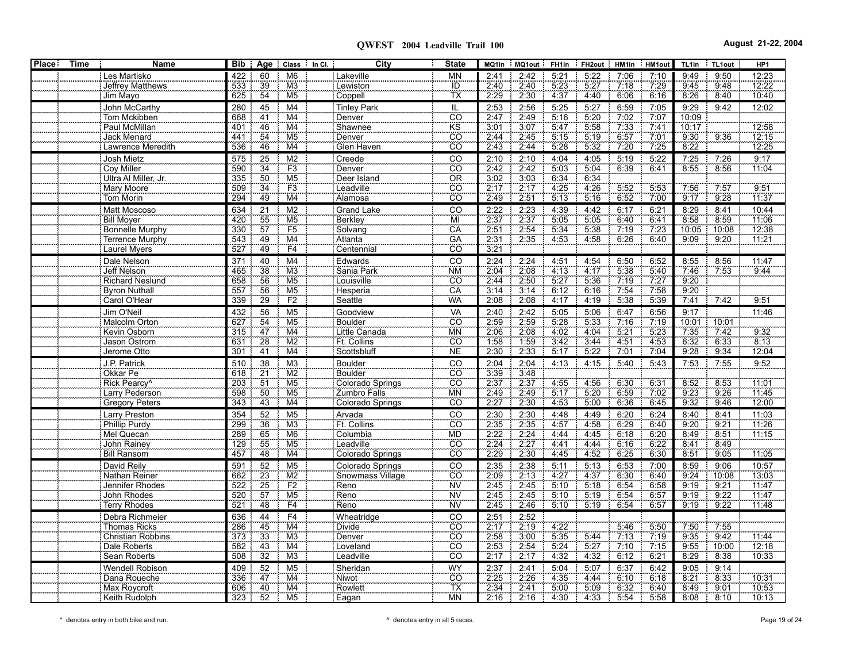| <b>Place:</b> | <b>Time</b> | Name                       | Bib | Age             |                                   | Class In Cl. | City               | <b>State</b>                 | MQ1in               | MQ1out | FH <sub>1in</sub> | FH <sub>2</sub> out | HM1in        | HM1out | TL1in | TL1out      | HP1   |
|---------------|-------------|----------------------------|-----|-----------------|-----------------------------------|--------------|--------------------|------------------------------|---------------------|--------|-------------------|---------------------|--------------|--------|-------|-------------|-------|
|               |             | Les Martisko               | 422 | 60              | M <sub>6</sub>                    |              | Lakeville          | <b>MN</b>                    | 2:41                | 2:42   | 5:21              | 5:22                | 7:06         | 7:10   | 9:49  | 9:50        | 12:23 |
|               |             | Jeffrey Matthews           | 533 | 39              | M <sub>3</sub>                    |              | Lewiston           | ÏĎ                           | 2.40                | 2:40   | 5.23              | 5.27                | 7.18         | 7.29   | 9.45  | 9:48        | 12:22 |
|               |             | Jim Mayo                   | 625 | 54              | M <sub>5</sub>                    |              | Coppell            | TX                           | 2.29                | 2:30   | 4:37              | 4:40                | 6:06         | 6:16   | 8:26  | 8:40        | 10:40 |
|               |             | John McCarthy              | 280 | 45              | M4                                |              | <b>Tinley Park</b> | IL                           | 2:53                | 2:56   | 5:25              | 5:27                | 6:59         | 7:05   | 9:29  | 9:42        | 12:02 |
|               |             | Tom Mckibben               | 668 | $\overline{41}$ | M4                                |              | Denver             | $\overline{CO}$              | 2.47                | 2:49   | 5:16              | 5.20                | 7.02         | 7.07   | 10:09 |             |       |
|               |             | Paul McMillan              | 401 | 46              | M4                                |              | Shawnee            | KS                           | 3:01                | 3:07   | 5:47              | 5:58                | 7 3 3        | 7:41   | 10:17 |             | 12:58 |
|               |             | Jack Menard                | 441 | 54              | M <sub>5</sub>                    |              | Denver             | CO                           | 2:44                | 2:45   | 5:15              | 5:19                | 6:57         | 7:01   | 9:30  | 9:36        | 12:15 |
|               |             | Lawrence Meredith          | 536 | 46              | M4                                |              | Glen Haven         | $\overline{CO}$              | 2:43                | 2:44   | 5:28              | 5:32                | 7:20         | 7:25   | 8:22  |             | 12:25 |
|               |             | Josh Mietz                 | 575 | 25              | M <sub>2</sub>                    |              | Creede             | CO                           | 2:10                | 2:10   | 4:04              | 4:05                | 5:19         | 5:22   | 7:25  | 7:26        | 9:17  |
|               |             | Coy Miller                 | 590 | $\overline{34}$ | F3                                |              | Denver             | $\overline{c}\overline{o}$   | 2:42                | 2:42   | 5:03              | 5.04                | 6:39         | 6:41   | 8.55  | 8.56        | 11:04 |
|               |             | Ultra Al Miller, Jr.       | 335 | 50              | M <sub>5</sub>                    |              | Deer Island        | OR                           |                     | 3:03   | 6:34              | 6:34                |              |        |       |             |       |
|               |             | Mary Moore                 | 509 | $\frac{1}{34}$  | F3                                |              | Leadville          | $\overline{CO}$              | $\frac{3.02}{2.17}$ | 2:17   | 4:25              | 4:26                | 5:52         | 5:53   | 7.56  | 7:57        | 9.51  |
|               |             | <b>Tom Morin</b>           | 294 | 49              | M4                                |              | Alamosa            | CO <sup>-</sup>              | 2.49                | 2:51   | 5:13              | 5:16                | 6:52         | 7.00   | 9:17  | 9:28        | 11:37 |
|               |             | Matt Moscoso               | 634 | 21              | M <sub>2</sub>                    |              | <b>Grand Lake</b>  | CO                           | 2:22                | 2:23   | 4:39              | 4:42                | 6:17         | 6:21   | 8:29  | 8:41        | 10:44 |
|               |             | <b>Bill Moyer</b>          | 420 | 55              | M <sub>5</sub>                    |              | Berkley            | MÏ                           | 2:37                | 2:37   | 5.05              | 5:05                | 6:40         | 6:41   | 8:58  | 8.59        | 11:06 |
|               |             | Bonnelle Murphy            | 330 | 57              | F <sub>5</sub>                    |              | Solvang            | CA                           | 2.51                | 2:54   | 5:34              | 5:38                | 7:19         | 7.23   | 10:05 | 10:08       | 12:38 |
|               |             | Terrence Murphy            | 543 | 49              | M4                                |              | Atlanta            | GÄ                           | 2:31                | 2:35   | 4:53              | 4.58                | 6:26         | 6:40   | 9:09  | 9:20        | 11:21 |
|               |             | <b>Laurel Myers</b>        | 527 | 49              | F4                                |              | Centennial         | CÖ.                          | 3:21                |        |                   |                     |              |        |       |             |       |
|               |             |                            | 371 | 40              | M <sub>4</sub>                    |              | Edwards            | CO                           | 2:24                | 2:24   | 4:51              | 4:54                | 6:50         | 6:52   | 8:55  | 8:56        | 11:47 |
|               |             | Dale Nelson<br>Jeff Nelson | 465 | 38              | M3                                |              | Sania Park         | <b>NM</b>                    | 2:04                | 2:08   | 4:13              | 4:17                | 5:38         | 5:40   | 7:46  | 7.53        | 9:44  |
|               |             | <b>Richard Neslund</b>     | 658 | 56              | M <sub>5</sub>                    |              | Louisville         | CO <sup>-</sup>              | 2:44                | 2:50   | 5:27              | 5.36                | 7.19         | 7.27   | 9:20  |             |       |
|               |             | <b>Byron Nuthall</b>       | 557 | 56              | M <sub>5</sub>                    |              | Hesperia           | CA                           | 3:14                | 3:14   | 6:12              | 6:16                | 7.54         | 7:58   | 9:20  |             |       |
|               |             | Carol O'Hear               | 339 | 29              | F2                                |              | Seattle            | WA                           | 2:08                | 2:08   | 4:17              | 4:19                | 5:38         | 5:39   | 7:41  | 7:42<br>-8  | 9:51  |
|               |             |                            |     |                 |                                   |              |                    |                              |                     |        |                   |                     |              |        |       |             |       |
|               |             | Jim O'Neil                 | 432 | 56              | M <sub>5</sub>                    |              | Goodview           | VA                           | 2:40                | 2:42   | 5:05              | 5:06                | 6:47         | 6:56   | 9:17  |             | 11:46 |
|               |             | Malcolm Orton              | 627 | 54<br>47        | M <sub>5</sub><br>$\overline{M4}$ |              | Boulder            | CÖ <sup>-</sup>              | 2:59<br>2.06        | 2:59   | 5.28<br>4.02      | 5:33                | 7:16         | 7.19   | 10:01 | 10:01<br>÷. |       |
|               |             | Kevin Osborn               | 315 |                 |                                   |              | Little Canada      | <b>MN</b>                    |                     | 2:08   |                   | 4.04                | 5.21         | 5.23   | 7.35  | 7.42        | 9:32  |
|               |             | Jason Ostrom               | 631 | 28              | M2                                |              | Ft. Collins        | $\overline{CO}$<br><b>NE</b> | 1:58<br>2:30        | 1:59   | 3:42              | 3:44                | 4:51<br>7.01 | 4:53   | 6:32  | 6:33        | 8:13  |
|               |             | Jerome Otto                | 301 | $\overline{41}$ | M4                                |              | Scottsbluff        |                              |                     | 2:33   | 5:17              | 5:22                |              | 7:04   | 9:28  | 9:34        | 12:04 |
|               |             | J.P. Patrick               | 510 | 38              | M3                                |              | <b>Boulder</b>     | CO                           | 2:04                | 2:04   | 4:13              | 4:15                | 5:40         | 5:43   | 7:53  | 7:55        | 9:52  |
|               |             | Okkar Pe                   | 618 | $\frac{21}{2}$  | $\overline{M2}$                   |              | Boulder            | $\overline{CO}$              | $\frac{3.39}{2.37}$ | 3.48   |                   |                     |              |        |       |             |       |
|               |             | Rick Pearcy <sup>^</sup>   | 203 | $\overline{51}$ | M <sub>5</sub>                    |              | Colorado Springs   | $\overline{\text{co}}$       |                     | 2:37   | 4:55              | 4:56                | 6.30         | 6:31   | 8:52  | 8.53        | 11:01 |
|               |             | Larry Pederson             | 598 | 50              | M <sub>5</sub>                    |              | Zumbro Falls       | <b>MN</b>                    | 2:49                | 2:49   | 5:17              | 5.20                | 6:59         | 7:02   | 9:23  | 9:26        | 11:45 |
|               |             | Gregory Peters             | 343 | 43              | M4                                |              | Colorado Springs   | CÖ.                          | 2:27                | 2:30   | 4.53              | 5:00                | 6.36         | 6:45   | 9:32  | 9:46        | 12:00 |
|               |             | Larry Preston              | 354 | 52              | M <sub>5</sub>                    |              | Arvada             | CO                           | 2:30                | 2:30   | 4:48              | 4:49                | 6:20         | 6:24   | 8:40  | 8:41        | 11:03 |
|               |             | <b>Phillip Purdy</b>       | 299 | 36              | M3                                |              | Ft. Collins        | $\overline{CO}$              | 2:35                | 2:35   | 4.57              | 4.58                | 6:29         | 6:40   | 9:20  | 9:21        | 11:26 |
|               |             | Mel Quecan                 | 289 | 65              | M <sub>6</sub>                    |              | Columbia           | <b>MD</b>                    | 2.22                | 2:24   | 4:44              | 4:45                | 6:18         | 6:20   | 8:49  | 8:51        | 11:15 |
|               |             | John Rainey                | 129 | 55              | M5                                |              | Leadville          | $\overline{CO}$              | 2:24                | 2:27   | 4:41              | 4:44                | 6:16         | 6:22   | 8:41  | 8:49        |       |
|               |             | <b>Bill Ransom</b>         | 457 | 48              | M4                                |              | Colorado Springs   | $\overline{CO}$              | 2.29                | 2:30   | 4:45              | 4.52                | 6:25         | 6:30   | 8:51  | 9:05        | 11:05 |
|               |             | David Reily                | 591 | 52              | M <sub>5</sub>                    |              | Colorado Springs   | CO                           | 2:35                | 2:38   | 5.11              | 5:13                | 6:53         | 7:00   | 8:59  | 9:06        | 10:57 |
|               |             | Nathan Reiner              | 662 | $\overline{23}$ | $\overline{M2}$                   |              | Snowmass Village   | CÖ                           | $\frac{2.09}{2.45}$ | 2:13   | 4.27              | 4.37                | 6:30         | 6.40   | 9:24  | 10:08       | 13:03 |
|               |             | Jennifer Rhodes            | 522 | 25              | F2                                |              | Reno               | <b>NV</b>                    |                     | 2.45   | 5:10              | 5:18                | 6:54         | 6.58   | 9:19  | 9.21        | 11:47 |
|               |             | John Rhodes                | 520 | $\overline{57}$ | M <sub>5</sub>                    |              | Reno               | <b>NV</b>                    | 2:45                | 2:45   | 5:10              | 5:19                | 6.54         | 6:57   | 9:19  | 9:22        | 11:47 |
|               |             | Terry Rhodes               | 521 | 48              | F4                                |              | Reno               | ÑŸ                           | 2:45                | 2:46   | 5:10              | 5.19                | 6.54         | 6:57   | 9:19  | 9:22<br>-8  | 11:48 |
|               |             | Debra Richmeier            | 636 | 44              | F <sub>4</sub>                    |              | Wheatridge         | CO                           | 2:51                | 2:52   |                   |                     |              |        |       |             |       |
|               |             | <b>Thomas Ricks</b>        | 286 | 45              | M4                                |              | <b>Divide</b>      | <b>CO</b>                    | $\frac{2.17}{2.58}$ | 2:19   | 4:22              |                     | 5:46         | 5.50   | 7:50  | 7:55        |       |
|               |             | <b>Christian Robbins</b>   | 373 | 33              | M <sub>3</sub>                    |              | Denver             | $\overline{CO}$              |                     | 3:00   | 5:35              | 5:44                | 7.13         | 7.19   | 9.35  | 9:42        | 11:44 |
|               |             | Dale Roberts               | 582 | 43              | M4                                |              | Loveland           | CÖ.                          | $\frac{115}{2.53}$  | 2:54   | 5:24              | 5:27                | 7:10         | 7.15   | 9:55  | 10:00       | 12:18 |
|               |             | Sean Roberts               | 508 | 32              | M <sub>3</sub>                    |              | Leadville          | CÖ.                          | 2:17                | 2:17   | 4:32              | 4:32                | 6:12         | 6:21   | 8:29  | 8:38        | 10:33 |
|               |             | Wendell Robison            | 409 | 52              | M <sub>5</sub>                    |              | Sheridan           | <b>WY</b>                    | 2:37                | 2:41   | 5:04              | 5:07                | 6:37         | 6:42   | 9:05  | 9:14        |       |
|               |             | Dana Roueche               | 336 | 47              | M4                                |              | Niwot              | $\overline{CO}$              | 2:25                | 2:26   | 4:35              | 4:44                | 6:10         | 6:18   | 8:21  | 8:33        | 10:31 |
|               |             | Max Roycroft               | 606 | 40              | M4                                |              | Rowlett            | TX                           | 2:34                | 2:41   | 5:00              | 5.09                | 6:32         | 6:40   | 8:49  | 9:01        | 10:53 |
|               |             | Keith Rudolph              | 323 | 52              | M5                                |              | Eagan              | <b>MN</b>                    | 2:16                | 2:16   | 4:30              | 4:33                | 5:54         | 5:58   | 8:08  | 8:10<br>- 8 | 10:13 |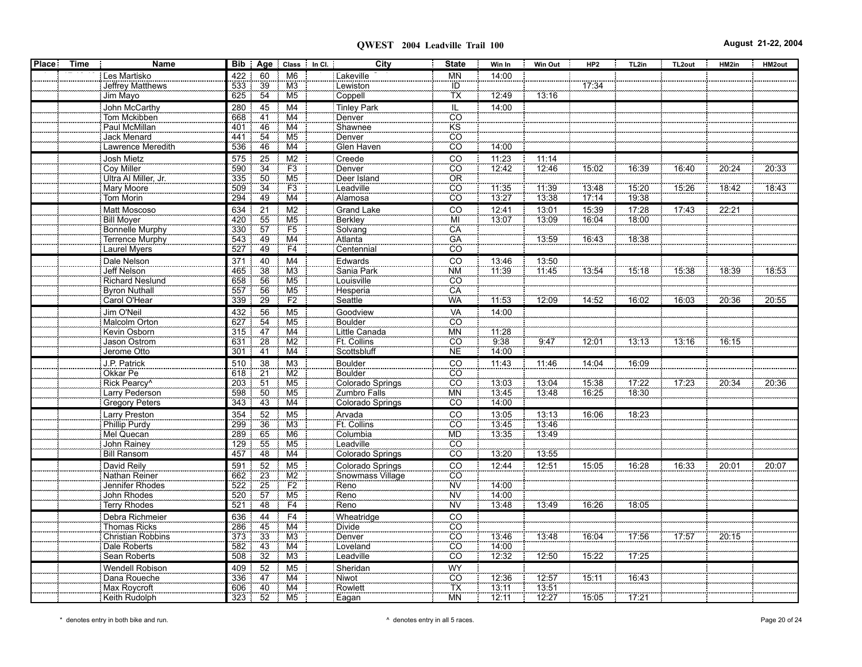| <b>Place</b> | <b>Time</b> | Name                            |            |                 | Bib   Age   Class   In Cl.   | City                    | <b>State</b>                 | Win In         | <b>Win Out</b> | HP <sub>2</sub> | TL2in | TL2out | HM2in | HM2out |
|--------------|-------------|---------------------------------|------------|-----------------|------------------------------|-------------------------|------------------------------|----------------|----------------|-----------------|-------|--------|-------|--------|
|              |             | Les Martisko                    | 422        | 60              | M <sub>6</sub>               | Lakeville               | МŃ                           | 14:00          |                |                 |       |        |       |        |
|              |             | Jeffrey Matthews                | 533        | 39              | M <sub>3</sub>               | Lewiston                | $\frac{1}{10}$<br>TX         |                |                | 17.34           |       |        |       |        |
|              |             | Jim Mayo                        | 625        | 54              | M <sub>5</sub>               | Coppell                 |                              | 12:49          | 13:16          |                 |       |        |       |        |
|              |             | John McCarthy                   | 280        | 45              | M <sub>4</sub>               | Tinley Park             | IL                           | 14:00          |                |                 |       |        |       |        |
|              |             | Tom Mckibben                    | 668        | 41              | M4                           | Denver                  | $\overline{co}$              |                |                |                 |       |        |       |        |
|              |             | Paul McMillan                   | 401        | 46              | M4                           | Shawnee                 | $\overline{\text{KS}}$       |                |                |                 |       |        |       |        |
|              |             | Jack Menard                     | 441        | 54              | M5                           | Denver                  | $rac{1}{100}$                |                |                |                 |       |        |       |        |
|              |             | Lawrence Meredith               | 536        | 46              | M4                           | Glen Haven              |                              | 14:00          |                |                 |       |        |       |        |
|              |             | Josh Mietz                      | 575        | 25              | M <sub>2</sub>               | Creede                  |                              | 11:23          | 11:14          |                 |       |        |       |        |
|              |             | Coy Miller                      | 590        | $\overline{34}$ | $\frac{F3}{M5}$              | Denver                  | $\frac{1}{100}$              | 12:42          | 12:46          | 15:02           | 16:39 | 16:40  | 20:24 | 20:33  |
|              |             | Ultra Al Miller, Jr.            | 335        | 50              |                              | Deer Island             | OR                           |                |                |                 |       |        |       |        |
|              |             | Mary Moore                      | 509        | $\overline{34}$ | $\frac{100}{100}$            | Leadville               | cö                           | 11.35          | 11:39          | 13:48           | 15:20 | 15:26  | 18.42 | 18:43  |
|              |             | Tom Morin                       | 294        | 49              |                              | Alamosa                 | $\overline{CO}$              | 13:27          | 13:38          | 17:14           | 19:38 |        |       |        |
|              |             | Matt Moscoso                    | 634        | $\overline{21}$ | M <sub>2</sub>               | <b>Grand Lake</b>       | $\overline{C}$               | 12:41          | 13:01          | 15:39           | 17:28 | 17:43  | 22:21 |        |
|              |             | Bill Moyer                      | 420        | 55              | M <sub>5</sub>               | Berkley                 | MÏ                           | 13:07          | 13:09          | 16:04           | 18:00 |        |       |        |
|              |             | Bonnelle Murphy                 | 330        | 57              | F5                           | Solvang                 | CA                           |                |                |                 |       |        |       |        |
|              |             | Terrence Murphy                 | 543        | 49              | M4                           | Atlanta                 | GA                           |                | 13:59          | 16:43           | 18:38 |        |       |        |
|              |             | Laurel Myers                    | 527        | 49              | F4                           | Centennial              | $\overline{co}$              |                |                |                 |       |        |       |        |
|              |             | Dale Nelson                     | 371        | 40              | M <sub>4</sub>               | Edwards                 | $\overline{c}$               | 13:46          | 13:50          |                 |       |        |       |        |
|              |             | Jeff Nelson                     | 465        | 38              | $\overline{\text{M3}}$       | Sania Park              | <b>NM</b>                    | 11:39          | 11.45          | 13:54           | 15:18 | 15:38  | 18:39 | 18:53  |
|              |             | Richard Neslund                 | 658        | 56              | M <sub>5</sub>               | Louisville              | CO                           |                |                |                 |       |        |       |        |
|              |             | Byron Nuthall                   | 557        | 56              | M <sub>5</sub>               | Hesperia                | CA                           |                |                |                 |       |        |       |        |
|              |             | Carol O'Hear                    | 339        | 29              | F2                           | Seattle                 | <b>WA</b>                    | 11:53          | 12:09          | 14:52           | 16:02 | 16:03  | 20:36 | 20:55  |
|              |             | Jim O'Neil                      | 432        | $\frac{56}{54}$ | M <sub>5</sub>               | Goodview                | VA<br>CO                     | 14:00          |                |                 |       |        |       |        |
|              |             | Malcolm Orton                   | 627        |                 | M <sub>5</sub>               | Boulder                 |                              |                |                |                 |       |        |       |        |
|              |             | Kevin Osborn                    | 315        | $\overline{47}$ | $\overline{\text{M4}}$       | Little Canada           | <b>MN</b>                    | 11.28          |                |                 |       |        |       |        |
|              |             | Jason Ostrom                    | 631        | 28              | M <sub>2</sub>               | Ft. Collins             | CO                           | 9:38           | 9:47           | 12:01           | 13:13 | 13:16  | 76:15 |        |
|              |             | Jerome Otto                     | 301        | 41              | M4                           | Scottsbluff             | N <sub>E</sub>               | 14:00          |                |                 |       |        |       |        |
|              |             | J.P. Patrick                    | 510        | 38              | M <sub>3</sub>               | Boulder                 | $rac{CO}{CO}$                | 11:43          | 11:46          | 14:04           | 16:09 |        |       |        |
|              |             | Okkar Pe                        | 618        | $\overline{21}$ | M2                           | Boulder                 |                              |                |                |                 |       |        |       |        |
|              |             | Rick Pearcy <sup>^</sup>        | 203        | 51              | M <sub>5</sub>               | Colorado Springs        | $\frac{55}{50}$              | 13:03          | 13:04          | 15:38           | 17.22 | 17:23  | 20.34 | 20:36  |
|              |             | Larry Pederson                  | 598        | 50              | M <sub>5</sub>               | Zumbro Falls            | <b>MN</b>                    | 13:45          | 13:48          | 16.25           | 18:30 |        |       |        |
|              |             | Gregory Peters                  | 343        | 43              | M4                           | <b>Colorado Springs</b> | $\overline{CO}$              | 14:00          |                |                 |       |        |       |        |
|              |             | Larry Preston                   | 354        | 52              | M <sub>5</sub>               | Arvada                  | $rac{1}{100}$                | 13:05          | 13:13          | 16:06           | 18:23 |        |       |        |
|              |             | Phillip Purdy                   | 299        | 36              | M3                           | Ft. Collins             |                              | 13:45          | 13:46          |                 |       |        |       |        |
|              |             | Mel Quecan                      | 289        | 65              | M <sub>6</sub>               | Columbia                | <b>MD</b><br>$\overline{CO}$ | 13:35          | 13:49          |                 |       |        |       |        |
|              |             | John Rainey                     | 129        | 55<br>48        | M <sub>5</sub>               | Leadville               | $\overline{co}$              |                |                |                 |       |        |       |        |
|              |             | <b>Bill Ransom</b>              | 457        |                 | M4                           | Colorado Springs        |                              | 13:20          | 13:55          |                 |       |        |       |        |
|              |             | David Reily                     | 591        | 52              | M <sub>5</sub>               | Colorado Springs        | $rac{CO}{CO}$                | 12:44          | 12:51          | 15:05           | 16:28 | 16:33  | 20:01 | 20:07  |
|              |             | Nathan Reiner                   | 662<br>522 | $\frac{23}{25}$ | $\overline{\text{M2}}$<br>F2 | Snowmass Village        | <b>NV</b>                    | 14:00          |                |                 |       |        |       |        |
|              |             | Jennifer Rhodes<br>John Rhodes  | 520        | $\overline{57}$ | M <sub>5</sub>               | Reno<br>Reno            | <b>NV</b>                    | 14:00          |                |                 |       |        |       |        |
|              |             | Terry Rhodes                    | 521        | 48              | F4                           | Reno                    | <b>NV</b>                    | 13:48          | 13:49          | 16:26           | 18:05 |        |       |        |
|              |             |                                 |            |                 |                              |                         |                              |                |                |                 |       |        |       |        |
|              |             | Debra Richmeier<br>Thomas Ricks | 636        | 44              | F <sub>4</sub>               | Wheatridge              | CO                           |                |                |                 |       |        |       |        |
|              |             | Christian Robbins               | 286<br>373 | 45              | M <sub>4</sub><br>M3         | Divide<br>Denver        | $\overline{CO}$              |                | 13:48          | 16:04           | 17.56 | 17.57  | 20:15 |        |
|              |             | Dale Roberts                    | 582        | $\frac{33}{43}$ | M4                           | Loveland                | $rac{100}{C0}$               | 13.46<br>14:00 |                |                 |       |        |       |        |
|              |             | Sean Roberts                    | 508        | 32              | M <sub>3</sub>               | <b>Leadville</b>        | co                           | 12:32          | 12:50          | 15.22           | 17:25 |        |       |        |
|              |             |                                 |            |                 |                              |                         |                              |                |                |                 |       |        |       |        |
|              |             | Wendell Robison<br>Dana Roueche | 409<br>336 | 52<br>47        | M <sub>5</sub><br>M4         | Sheridan<br>Niwot       | WY<br>CO                     | 12:36          | 12.57          | 15:11           | 16.43 |        |       |        |
|              |             | Max Roycroft                    | 606        | 40              | M4                           | Rowlett                 | TX                           | 13:11          | 13:51          |                 |       |        |       |        |
|              |             | Keith Rudolph                   | 323 : 52   |                 | M <sub>5</sub>               | Eagan                   | <b>MN</b>                    | 12:11          | 12:27          | 15:05           | 17:21 |        |       |        |
|              |             |                                 |            |                 |                              |                         |                              |                |                |                 |       |        |       |        |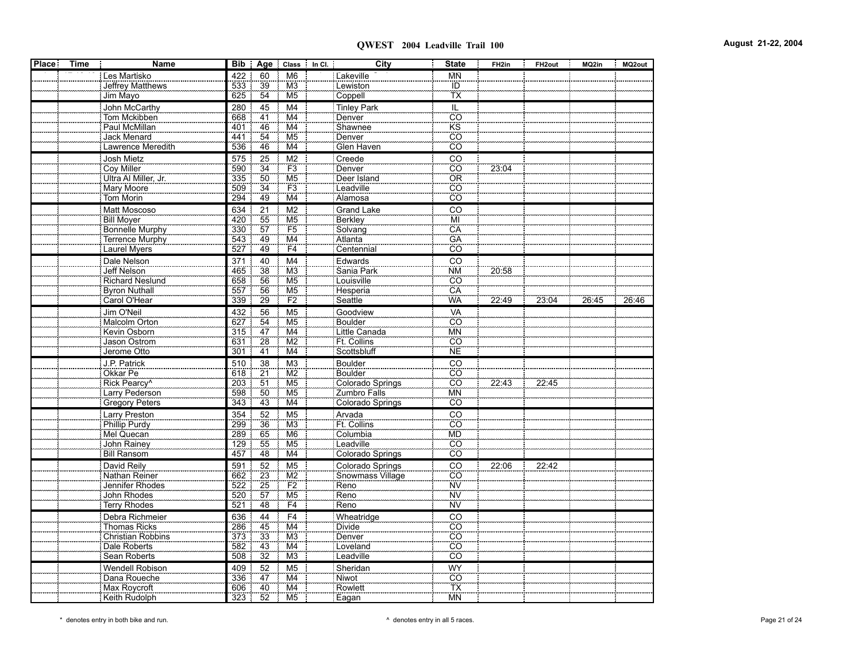| 422<br>Les Martisko<br>60<br>M <sub>6</sub><br>Lakeville<br><b>MN</b><br>533<br>39<br>Jeffrey Matthews<br>M3<br>Lewiston<br>ID<br>TX<br>54<br>Jim Mayo<br>Coppell<br>625<br>M <sub>5</sub><br><b>Tinley Park</b><br>John McCarthy<br>280<br>45<br>M4<br>IL<br>$\overline{c}$<br>41<br>Tom Mckibben<br>M4<br>Denver<br>668<br>KS<br>Paul McMillan<br>M4<br>Shawnee<br>401<br>46<br>$\overline{co}$<br>54<br>M <sub>5</sub><br>Jack Menard<br>441<br>Denver<br>$\overline{CO}$<br>Lawrence Meredith<br>46<br>Glen Haven<br>536<br>M4<br>Josh Mietz<br>M <sub>2</sub><br>Creede<br>CO<br>575<br>25<br>$\overline{c}\overline{o}$<br>F3<br>23:04<br>Coy Miller<br>$\overline{34}$<br>590<br>Denver<br>Ultra Al Miller, Jr.<br>M <sub>5</sub><br>Deer Island<br>OR<br>335<br>50<br>$\overline{34}$<br><b>CO</b><br>F <sub>3</sub><br>Mary Moore<br>509<br>Leadville<br>CO<br>49<br><b>Tom Morin</b><br>294<br>M4<br>Alamosa<br>Matt Moscoso<br>21<br>M <sub>2</sub><br>CO<br>634<br><b>Grand Lake</b><br><b>Bill Moyer</b><br>55<br>Berkley<br>MI<br>420<br>M <sub>5</sub><br>57<br>F <sub>5</sub><br>CA<br>330<br>Solvang<br><b>Bonnelle Murphy</b><br>GA<br>Terrence Murphy<br>543<br>49<br>Atlanta<br>M4<br>49<br>527<br>Centennial<br>CO<br><b>Laurel Myers</b><br>F4<br>Dale Nelson<br>CO<br>371<br>40<br>M4<br>Edwards<br>38<br>20:58<br>Jeff Nelson<br>Sania Park<br><b>NM</b><br>465<br>M <sub>3</sub><br>56<br>M <sub>5</sub><br>$\overline{CO}$<br><b>Richard Neslund</b><br>658<br>Louisville<br><b>Byron Nuthall</b><br>557<br>Hesperia<br>CA<br>56<br>M <sub>5</sub><br>29<br>F2<br>WA<br>Carol O'Hear<br>Seattle<br>339<br>22:49<br>23:04<br>26:45<br>26:46<br>Jim O'Neil<br>VA<br>432<br>56<br>M <sub>5</sub><br>Goodview<br>CÖ<br>Malcolm Orton<br>$\frac{54}{47}$<br>Boulder<br>627<br>M <sub>5</sub><br>$\overline{M4}$<br>Kevin Osborn<br>315<br>Little Canada<br><b>MN</b><br>Jason Ostrom<br>28<br><b>Ft.</b> Collins<br>$\overline{CO}$<br>631<br>M <sub>2</sub><br>$\overline{41}$<br>Scottsbluff<br><b>NE</b><br>Jerome Otto<br>301<br>M4<br>J.P. Patrick<br>510<br>Boulder<br>CO<br>38<br>M <sub>3</sub><br><b>CO</b><br>Okkar Pe<br>$\frac{21}{2}$<br>$\overline{\text{M2}}$<br><b>Boulder</b><br>618<br>$\overline{CO}$<br>51<br>22:43<br>22:45<br>Rick Pearcy <sup>^</sup><br>203<br>M <sub>5</sub><br>Colorado Springs<br>50<br>Larry Pederson<br>598<br>M <sub>5</sub><br>Zumbro Falls<br><b>MN</b><br>Gregory Peters<br>343<br>43<br>CÖ<br>M4<br>Colorado Springs<br>354<br>Arvada<br>$\overline{c}$<br><b>Larry Preston</b><br>52<br>M5<br>Ft. Collins<br>$\overline{CO}$<br><b>Phillip Purdy</b><br>299<br>36<br>M3<br>65<br>289<br>M <sub>6</sub><br>Columbia<br><b>MD</b><br>Mel Quecan<br>$\overline{CO}$<br>John Rainey<br>129<br>55<br>M <sub>5</sub><br>Leadville<br>$\overline{CO}$<br>48<br><b>Bill Ransom</b><br>457<br>M4<br>Colorado Springs<br>David Reily<br>591<br>Colorado Springs<br>CO<br>22:06<br>52<br>M <sub>5</sub><br>22:42<br>CÖ<br>Nathan Reiner<br>$\overline{23}$<br>$\overline{M2}$<br>662<br>Snowmass Village<br>25<br>F2<br><b>NV</b><br>Jennifer Rhodes<br>522<br>Reno<br>57<br>ΪŴ<br>Reno<br>John Rhodes<br>520<br>M <sub>5</sub><br><b>NV</b><br>Terry Rhodes<br>48<br>521<br>F <sub>4</sub><br>Reno<br>Debra Richmeier<br>636<br>Wheatridge<br>44<br>F <sub>4</sub><br>CO<br>$\overline{co}$<br><b>Thomas Ricks</b><br>286<br>45<br>M4<br>Divide<br>373<br>33<br>$\overline{CO}$<br>M <sub>3</sub><br>Christian Robbins<br>Denver<br>43<br>$\overline{\text{co}}$<br>582<br>Loveland<br>Dale Roberts<br>M4<br>32<br>Sean Roberts<br>508<br>Leadville<br>CO<br>M3<br>Wendell Robison<br>409<br>52<br><b>WY</b><br>M <sub>5</sub><br>Sheridan<br>Dana Roueche<br>336<br>47<br>M4<br>Niwot<br>$\overline{CO}$<br>TX<br>40<br>Max Roycroft<br>M4<br>Rowlett<br>606<br>52<br><b>MN</b><br>Keith Rudolph<br>M <sub>5</sub><br>323<br>Eagan | Place  <br><b>Time</b> | Name | Bib   Age | Class In Cl. | City | <b>State</b> | FH <sub>2in</sub> | FH <sub>2out</sub> | MQ2in | MQ2out |
|---------------------------------------------------------------------------------------------------------------------------------------------------------------------------------------------------------------------------------------------------------------------------------------------------------------------------------------------------------------------------------------------------------------------------------------------------------------------------------------------------------------------------------------------------------------------------------------------------------------------------------------------------------------------------------------------------------------------------------------------------------------------------------------------------------------------------------------------------------------------------------------------------------------------------------------------------------------------------------------------------------------------------------------------------------------------------------------------------------------------------------------------------------------------------------------------------------------------------------------------------------------------------------------------------------------------------------------------------------------------------------------------------------------------------------------------------------------------------------------------------------------------------------------------------------------------------------------------------------------------------------------------------------------------------------------------------------------------------------------------------------------------------------------------------------------------------------------------------------------------------------------------------------------------------------------------------------------------------------------------------------------------------------------------------------------------------------------------------------------------------------------------------------------------------------------------------------------------------------------------------------------------------------------------------------------------------------------------------------------------------------------------------------------------------------------------------------------------------------------------------------------------------------------------------------------------------------------------------------------------------------------------------------------------------------------------------------------------------------------------------------------------------------------------------------------------------------------------------------------------------------------------------------------------------------------------------------------------------------------------------------------------------------------------------------------------------------------------------------------------------------------------------------------------------------------------------------------------------------------------------------------------------------------------------------------------------------------------------------------------------------------------------------------------------------------------------------------------------------------------------------------------------------------------------------------------------------------------------------------------------------------------------------------------------------------------------------------------------------------------------------------------------------------------------------------------------------------------------------------------------------------------------|------------------------|------|-----------|--------------|------|--------------|-------------------|--------------------|-------|--------|
|                                                                                                                                                                                                                                                                                                                                                                                                                                                                                                                                                                                                                                                                                                                                                                                                                                                                                                                                                                                                                                                                                                                                                                                                                                                                                                                                                                                                                                                                                                                                                                                                                                                                                                                                                                                                                                                                                                                                                                                                                                                                                                                                                                                                                                                                                                                                                                                                                                                                                                                                                                                                                                                                                                                                                                                                                                                                                                                                                                                                                                                                                                                                                                                                                                                                                                                                                                                                                                                                                                                                                                                                                                                                                                                                                                                                                                                                                                   |                        |      |           |              |      |              |                   |                    |       |        |
|                                                                                                                                                                                                                                                                                                                                                                                                                                                                                                                                                                                                                                                                                                                                                                                                                                                                                                                                                                                                                                                                                                                                                                                                                                                                                                                                                                                                                                                                                                                                                                                                                                                                                                                                                                                                                                                                                                                                                                                                                                                                                                                                                                                                                                                                                                                                                                                                                                                                                                                                                                                                                                                                                                                                                                                                                                                                                                                                                                                                                                                                                                                                                                                                                                                                                                                                                                                                                                                                                                                                                                                                                                                                                                                                                                                                                                                                                                   |                        |      |           |              |      |              |                   |                    |       |        |
|                                                                                                                                                                                                                                                                                                                                                                                                                                                                                                                                                                                                                                                                                                                                                                                                                                                                                                                                                                                                                                                                                                                                                                                                                                                                                                                                                                                                                                                                                                                                                                                                                                                                                                                                                                                                                                                                                                                                                                                                                                                                                                                                                                                                                                                                                                                                                                                                                                                                                                                                                                                                                                                                                                                                                                                                                                                                                                                                                                                                                                                                                                                                                                                                                                                                                                                                                                                                                                                                                                                                                                                                                                                                                                                                                                                                                                                                                                   |                        |      |           |              |      |              |                   |                    |       |        |
|                                                                                                                                                                                                                                                                                                                                                                                                                                                                                                                                                                                                                                                                                                                                                                                                                                                                                                                                                                                                                                                                                                                                                                                                                                                                                                                                                                                                                                                                                                                                                                                                                                                                                                                                                                                                                                                                                                                                                                                                                                                                                                                                                                                                                                                                                                                                                                                                                                                                                                                                                                                                                                                                                                                                                                                                                                                                                                                                                                                                                                                                                                                                                                                                                                                                                                                                                                                                                                                                                                                                                                                                                                                                                                                                                                                                                                                                                                   |                        |      |           |              |      |              |                   |                    |       |        |
|                                                                                                                                                                                                                                                                                                                                                                                                                                                                                                                                                                                                                                                                                                                                                                                                                                                                                                                                                                                                                                                                                                                                                                                                                                                                                                                                                                                                                                                                                                                                                                                                                                                                                                                                                                                                                                                                                                                                                                                                                                                                                                                                                                                                                                                                                                                                                                                                                                                                                                                                                                                                                                                                                                                                                                                                                                                                                                                                                                                                                                                                                                                                                                                                                                                                                                                                                                                                                                                                                                                                                                                                                                                                                                                                                                                                                                                                                                   |                        |      |           |              |      |              |                   |                    |       |        |
|                                                                                                                                                                                                                                                                                                                                                                                                                                                                                                                                                                                                                                                                                                                                                                                                                                                                                                                                                                                                                                                                                                                                                                                                                                                                                                                                                                                                                                                                                                                                                                                                                                                                                                                                                                                                                                                                                                                                                                                                                                                                                                                                                                                                                                                                                                                                                                                                                                                                                                                                                                                                                                                                                                                                                                                                                                                                                                                                                                                                                                                                                                                                                                                                                                                                                                                                                                                                                                                                                                                                                                                                                                                                                                                                                                                                                                                                                                   |                        |      |           |              |      |              |                   |                    |       |        |
|                                                                                                                                                                                                                                                                                                                                                                                                                                                                                                                                                                                                                                                                                                                                                                                                                                                                                                                                                                                                                                                                                                                                                                                                                                                                                                                                                                                                                                                                                                                                                                                                                                                                                                                                                                                                                                                                                                                                                                                                                                                                                                                                                                                                                                                                                                                                                                                                                                                                                                                                                                                                                                                                                                                                                                                                                                                                                                                                                                                                                                                                                                                                                                                                                                                                                                                                                                                                                                                                                                                                                                                                                                                                                                                                                                                                                                                                                                   |                        |      |           |              |      |              |                   |                    |       |        |
|                                                                                                                                                                                                                                                                                                                                                                                                                                                                                                                                                                                                                                                                                                                                                                                                                                                                                                                                                                                                                                                                                                                                                                                                                                                                                                                                                                                                                                                                                                                                                                                                                                                                                                                                                                                                                                                                                                                                                                                                                                                                                                                                                                                                                                                                                                                                                                                                                                                                                                                                                                                                                                                                                                                                                                                                                                                                                                                                                                                                                                                                                                                                                                                                                                                                                                                                                                                                                                                                                                                                                                                                                                                                                                                                                                                                                                                                                                   |                        |      |           |              |      |              |                   |                    |       |        |
|                                                                                                                                                                                                                                                                                                                                                                                                                                                                                                                                                                                                                                                                                                                                                                                                                                                                                                                                                                                                                                                                                                                                                                                                                                                                                                                                                                                                                                                                                                                                                                                                                                                                                                                                                                                                                                                                                                                                                                                                                                                                                                                                                                                                                                                                                                                                                                                                                                                                                                                                                                                                                                                                                                                                                                                                                                                                                                                                                                                                                                                                                                                                                                                                                                                                                                                                                                                                                                                                                                                                                                                                                                                                                                                                                                                                                                                                                                   |                        |      |           |              |      |              |                   |                    |       |        |
|                                                                                                                                                                                                                                                                                                                                                                                                                                                                                                                                                                                                                                                                                                                                                                                                                                                                                                                                                                                                                                                                                                                                                                                                                                                                                                                                                                                                                                                                                                                                                                                                                                                                                                                                                                                                                                                                                                                                                                                                                                                                                                                                                                                                                                                                                                                                                                                                                                                                                                                                                                                                                                                                                                                                                                                                                                                                                                                                                                                                                                                                                                                                                                                                                                                                                                                                                                                                                                                                                                                                                                                                                                                                                                                                                                                                                                                                                                   |                        |      |           |              |      |              |                   |                    |       |        |
|                                                                                                                                                                                                                                                                                                                                                                                                                                                                                                                                                                                                                                                                                                                                                                                                                                                                                                                                                                                                                                                                                                                                                                                                                                                                                                                                                                                                                                                                                                                                                                                                                                                                                                                                                                                                                                                                                                                                                                                                                                                                                                                                                                                                                                                                                                                                                                                                                                                                                                                                                                                                                                                                                                                                                                                                                                                                                                                                                                                                                                                                                                                                                                                                                                                                                                                                                                                                                                                                                                                                                                                                                                                                                                                                                                                                                                                                                                   |                        |      |           |              |      |              |                   |                    |       |        |
|                                                                                                                                                                                                                                                                                                                                                                                                                                                                                                                                                                                                                                                                                                                                                                                                                                                                                                                                                                                                                                                                                                                                                                                                                                                                                                                                                                                                                                                                                                                                                                                                                                                                                                                                                                                                                                                                                                                                                                                                                                                                                                                                                                                                                                                                                                                                                                                                                                                                                                                                                                                                                                                                                                                                                                                                                                                                                                                                                                                                                                                                                                                                                                                                                                                                                                                                                                                                                                                                                                                                                                                                                                                                                                                                                                                                                                                                                                   |                        |      |           |              |      |              |                   |                    |       |        |
|                                                                                                                                                                                                                                                                                                                                                                                                                                                                                                                                                                                                                                                                                                                                                                                                                                                                                                                                                                                                                                                                                                                                                                                                                                                                                                                                                                                                                                                                                                                                                                                                                                                                                                                                                                                                                                                                                                                                                                                                                                                                                                                                                                                                                                                                                                                                                                                                                                                                                                                                                                                                                                                                                                                                                                                                                                                                                                                                                                                                                                                                                                                                                                                                                                                                                                                                                                                                                                                                                                                                                                                                                                                                                                                                                                                                                                                                                                   |                        |      |           |              |      |              |                   |                    |       |        |
|                                                                                                                                                                                                                                                                                                                                                                                                                                                                                                                                                                                                                                                                                                                                                                                                                                                                                                                                                                                                                                                                                                                                                                                                                                                                                                                                                                                                                                                                                                                                                                                                                                                                                                                                                                                                                                                                                                                                                                                                                                                                                                                                                                                                                                                                                                                                                                                                                                                                                                                                                                                                                                                                                                                                                                                                                                                                                                                                                                                                                                                                                                                                                                                                                                                                                                                                                                                                                                                                                                                                                                                                                                                                                                                                                                                                                                                                                                   |                        |      |           |              |      |              |                   |                    |       |        |
|                                                                                                                                                                                                                                                                                                                                                                                                                                                                                                                                                                                                                                                                                                                                                                                                                                                                                                                                                                                                                                                                                                                                                                                                                                                                                                                                                                                                                                                                                                                                                                                                                                                                                                                                                                                                                                                                                                                                                                                                                                                                                                                                                                                                                                                                                                                                                                                                                                                                                                                                                                                                                                                                                                                                                                                                                                                                                                                                                                                                                                                                                                                                                                                                                                                                                                                                                                                                                                                                                                                                                                                                                                                                                                                                                                                                                                                                                                   |                        |      |           |              |      |              |                   |                    |       |        |
|                                                                                                                                                                                                                                                                                                                                                                                                                                                                                                                                                                                                                                                                                                                                                                                                                                                                                                                                                                                                                                                                                                                                                                                                                                                                                                                                                                                                                                                                                                                                                                                                                                                                                                                                                                                                                                                                                                                                                                                                                                                                                                                                                                                                                                                                                                                                                                                                                                                                                                                                                                                                                                                                                                                                                                                                                                                                                                                                                                                                                                                                                                                                                                                                                                                                                                                                                                                                                                                                                                                                                                                                                                                                                                                                                                                                                                                                                                   |                        |      |           |              |      |              |                   |                    |       |        |
|                                                                                                                                                                                                                                                                                                                                                                                                                                                                                                                                                                                                                                                                                                                                                                                                                                                                                                                                                                                                                                                                                                                                                                                                                                                                                                                                                                                                                                                                                                                                                                                                                                                                                                                                                                                                                                                                                                                                                                                                                                                                                                                                                                                                                                                                                                                                                                                                                                                                                                                                                                                                                                                                                                                                                                                                                                                                                                                                                                                                                                                                                                                                                                                                                                                                                                                                                                                                                                                                                                                                                                                                                                                                                                                                                                                                                                                                                                   |                        |      |           |              |      |              |                   |                    |       |        |
|                                                                                                                                                                                                                                                                                                                                                                                                                                                                                                                                                                                                                                                                                                                                                                                                                                                                                                                                                                                                                                                                                                                                                                                                                                                                                                                                                                                                                                                                                                                                                                                                                                                                                                                                                                                                                                                                                                                                                                                                                                                                                                                                                                                                                                                                                                                                                                                                                                                                                                                                                                                                                                                                                                                                                                                                                                                                                                                                                                                                                                                                                                                                                                                                                                                                                                                                                                                                                                                                                                                                                                                                                                                                                                                                                                                                                                                                                                   |                        |      |           |              |      |              |                   |                    |       |        |
|                                                                                                                                                                                                                                                                                                                                                                                                                                                                                                                                                                                                                                                                                                                                                                                                                                                                                                                                                                                                                                                                                                                                                                                                                                                                                                                                                                                                                                                                                                                                                                                                                                                                                                                                                                                                                                                                                                                                                                                                                                                                                                                                                                                                                                                                                                                                                                                                                                                                                                                                                                                                                                                                                                                                                                                                                                                                                                                                                                                                                                                                                                                                                                                                                                                                                                                                                                                                                                                                                                                                                                                                                                                                                                                                                                                                                                                                                                   |                        |      |           |              |      |              |                   |                    |       |        |
|                                                                                                                                                                                                                                                                                                                                                                                                                                                                                                                                                                                                                                                                                                                                                                                                                                                                                                                                                                                                                                                                                                                                                                                                                                                                                                                                                                                                                                                                                                                                                                                                                                                                                                                                                                                                                                                                                                                                                                                                                                                                                                                                                                                                                                                                                                                                                                                                                                                                                                                                                                                                                                                                                                                                                                                                                                                                                                                                                                                                                                                                                                                                                                                                                                                                                                                                                                                                                                                                                                                                                                                                                                                                                                                                                                                                                                                                                                   |                        |      |           |              |      |              |                   |                    |       |        |
|                                                                                                                                                                                                                                                                                                                                                                                                                                                                                                                                                                                                                                                                                                                                                                                                                                                                                                                                                                                                                                                                                                                                                                                                                                                                                                                                                                                                                                                                                                                                                                                                                                                                                                                                                                                                                                                                                                                                                                                                                                                                                                                                                                                                                                                                                                                                                                                                                                                                                                                                                                                                                                                                                                                                                                                                                                                                                                                                                                                                                                                                                                                                                                                                                                                                                                                                                                                                                                                                                                                                                                                                                                                                                                                                                                                                                                                                                                   |                        |      |           |              |      |              |                   |                    |       |        |
|                                                                                                                                                                                                                                                                                                                                                                                                                                                                                                                                                                                                                                                                                                                                                                                                                                                                                                                                                                                                                                                                                                                                                                                                                                                                                                                                                                                                                                                                                                                                                                                                                                                                                                                                                                                                                                                                                                                                                                                                                                                                                                                                                                                                                                                                                                                                                                                                                                                                                                                                                                                                                                                                                                                                                                                                                                                                                                                                                                                                                                                                                                                                                                                                                                                                                                                                                                                                                                                                                                                                                                                                                                                                                                                                                                                                                                                                                                   |                        |      |           |              |      |              |                   |                    |       |        |
|                                                                                                                                                                                                                                                                                                                                                                                                                                                                                                                                                                                                                                                                                                                                                                                                                                                                                                                                                                                                                                                                                                                                                                                                                                                                                                                                                                                                                                                                                                                                                                                                                                                                                                                                                                                                                                                                                                                                                                                                                                                                                                                                                                                                                                                                                                                                                                                                                                                                                                                                                                                                                                                                                                                                                                                                                                                                                                                                                                                                                                                                                                                                                                                                                                                                                                                                                                                                                                                                                                                                                                                                                                                                                                                                                                                                                                                                                                   |                        |      |           |              |      |              |                   |                    |       |        |
|                                                                                                                                                                                                                                                                                                                                                                                                                                                                                                                                                                                                                                                                                                                                                                                                                                                                                                                                                                                                                                                                                                                                                                                                                                                                                                                                                                                                                                                                                                                                                                                                                                                                                                                                                                                                                                                                                                                                                                                                                                                                                                                                                                                                                                                                                                                                                                                                                                                                                                                                                                                                                                                                                                                                                                                                                                                                                                                                                                                                                                                                                                                                                                                                                                                                                                                                                                                                                                                                                                                                                                                                                                                                                                                                                                                                                                                                                                   |                        |      |           |              |      |              |                   |                    |       |        |
|                                                                                                                                                                                                                                                                                                                                                                                                                                                                                                                                                                                                                                                                                                                                                                                                                                                                                                                                                                                                                                                                                                                                                                                                                                                                                                                                                                                                                                                                                                                                                                                                                                                                                                                                                                                                                                                                                                                                                                                                                                                                                                                                                                                                                                                                                                                                                                                                                                                                                                                                                                                                                                                                                                                                                                                                                                                                                                                                                                                                                                                                                                                                                                                                                                                                                                                                                                                                                                                                                                                                                                                                                                                                                                                                                                                                                                                                                                   |                        |      |           |              |      |              |                   |                    |       |        |
|                                                                                                                                                                                                                                                                                                                                                                                                                                                                                                                                                                                                                                                                                                                                                                                                                                                                                                                                                                                                                                                                                                                                                                                                                                                                                                                                                                                                                                                                                                                                                                                                                                                                                                                                                                                                                                                                                                                                                                                                                                                                                                                                                                                                                                                                                                                                                                                                                                                                                                                                                                                                                                                                                                                                                                                                                                                                                                                                                                                                                                                                                                                                                                                                                                                                                                                                                                                                                                                                                                                                                                                                                                                                                                                                                                                                                                                                                                   |                        |      |           |              |      |              |                   |                    |       |        |
|                                                                                                                                                                                                                                                                                                                                                                                                                                                                                                                                                                                                                                                                                                                                                                                                                                                                                                                                                                                                                                                                                                                                                                                                                                                                                                                                                                                                                                                                                                                                                                                                                                                                                                                                                                                                                                                                                                                                                                                                                                                                                                                                                                                                                                                                                                                                                                                                                                                                                                                                                                                                                                                                                                                                                                                                                                                                                                                                                                                                                                                                                                                                                                                                                                                                                                                                                                                                                                                                                                                                                                                                                                                                                                                                                                                                                                                                                                   |                        |      |           |              |      |              |                   |                    |       |        |
|                                                                                                                                                                                                                                                                                                                                                                                                                                                                                                                                                                                                                                                                                                                                                                                                                                                                                                                                                                                                                                                                                                                                                                                                                                                                                                                                                                                                                                                                                                                                                                                                                                                                                                                                                                                                                                                                                                                                                                                                                                                                                                                                                                                                                                                                                                                                                                                                                                                                                                                                                                                                                                                                                                                                                                                                                                                                                                                                                                                                                                                                                                                                                                                                                                                                                                                                                                                                                                                                                                                                                                                                                                                                                                                                                                                                                                                                                                   |                        |      |           |              |      |              |                   |                    |       |        |
|                                                                                                                                                                                                                                                                                                                                                                                                                                                                                                                                                                                                                                                                                                                                                                                                                                                                                                                                                                                                                                                                                                                                                                                                                                                                                                                                                                                                                                                                                                                                                                                                                                                                                                                                                                                                                                                                                                                                                                                                                                                                                                                                                                                                                                                                                                                                                                                                                                                                                                                                                                                                                                                                                                                                                                                                                                                                                                                                                                                                                                                                                                                                                                                                                                                                                                                                                                                                                                                                                                                                                                                                                                                                                                                                                                                                                                                                                                   |                        |      |           |              |      |              |                   |                    |       |        |
|                                                                                                                                                                                                                                                                                                                                                                                                                                                                                                                                                                                                                                                                                                                                                                                                                                                                                                                                                                                                                                                                                                                                                                                                                                                                                                                                                                                                                                                                                                                                                                                                                                                                                                                                                                                                                                                                                                                                                                                                                                                                                                                                                                                                                                                                                                                                                                                                                                                                                                                                                                                                                                                                                                                                                                                                                                                                                                                                                                                                                                                                                                                                                                                                                                                                                                                                                                                                                                                                                                                                                                                                                                                                                                                                                                                                                                                                                                   |                        |      |           |              |      |              |                   |                    |       |        |
|                                                                                                                                                                                                                                                                                                                                                                                                                                                                                                                                                                                                                                                                                                                                                                                                                                                                                                                                                                                                                                                                                                                                                                                                                                                                                                                                                                                                                                                                                                                                                                                                                                                                                                                                                                                                                                                                                                                                                                                                                                                                                                                                                                                                                                                                                                                                                                                                                                                                                                                                                                                                                                                                                                                                                                                                                                                                                                                                                                                                                                                                                                                                                                                                                                                                                                                                                                                                                                                                                                                                                                                                                                                                                                                                                                                                                                                                                                   |                        |      |           |              |      |              |                   |                    |       |        |
|                                                                                                                                                                                                                                                                                                                                                                                                                                                                                                                                                                                                                                                                                                                                                                                                                                                                                                                                                                                                                                                                                                                                                                                                                                                                                                                                                                                                                                                                                                                                                                                                                                                                                                                                                                                                                                                                                                                                                                                                                                                                                                                                                                                                                                                                                                                                                                                                                                                                                                                                                                                                                                                                                                                                                                                                                                                                                                                                                                                                                                                                                                                                                                                                                                                                                                                                                                                                                                                                                                                                                                                                                                                                                                                                                                                                                                                                                                   |                        |      |           |              |      |              |                   |                    |       |        |
|                                                                                                                                                                                                                                                                                                                                                                                                                                                                                                                                                                                                                                                                                                                                                                                                                                                                                                                                                                                                                                                                                                                                                                                                                                                                                                                                                                                                                                                                                                                                                                                                                                                                                                                                                                                                                                                                                                                                                                                                                                                                                                                                                                                                                                                                                                                                                                                                                                                                                                                                                                                                                                                                                                                                                                                                                                                                                                                                                                                                                                                                                                                                                                                                                                                                                                                                                                                                                                                                                                                                                                                                                                                                                                                                                                                                                                                                                                   |                        |      |           |              |      |              |                   |                    |       |        |
|                                                                                                                                                                                                                                                                                                                                                                                                                                                                                                                                                                                                                                                                                                                                                                                                                                                                                                                                                                                                                                                                                                                                                                                                                                                                                                                                                                                                                                                                                                                                                                                                                                                                                                                                                                                                                                                                                                                                                                                                                                                                                                                                                                                                                                                                                                                                                                                                                                                                                                                                                                                                                                                                                                                                                                                                                                                                                                                                                                                                                                                                                                                                                                                                                                                                                                                                                                                                                                                                                                                                                                                                                                                                                                                                                                                                                                                                                                   |                        |      |           |              |      |              |                   |                    |       |        |
|                                                                                                                                                                                                                                                                                                                                                                                                                                                                                                                                                                                                                                                                                                                                                                                                                                                                                                                                                                                                                                                                                                                                                                                                                                                                                                                                                                                                                                                                                                                                                                                                                                                                                                                                                                                                                                                                                                                                                                                                                                                                                                                                                                                                                                                                                                                                                                                                                                                                                                                                                                                                                                                                                                                                                                                                                                                                                                                                                                                                                                                                                                                                                                                                                                                                                                                                                                                                                                                                                                                                                                                                                                                                                                                                                                                                                                                                                                   |                        |      |           |              |      |              |                   |                    |       |        |
|                                                                                                                                                                                                                                                                                                                                                                                                                                                                                                                                                                                                                                                                                                                                                                                                                                                                                                                                                                                                                                                                                                                                                                                                                                                                                                                                                                                                                                                                                                                                                                                                                                                                                                                                                                                                                                                                                                                                                                                                                                                                                                                                                                                                                                                                                                                                                                                                                                                                                                                                                                                                                                                                                                                                                                                                                                                                                                                                                                                                                                                                                                                                                                                                                                                                                                                                                                                                                                                                                                                                                                                                                                                                                                                                                                                                                                                                                                   |                        |      |           |              |      |              |                   |                    |       |        |
|                                                                                                                                                                                                                                                                                                                                                                                                                                                                                                                                                                                                                                                                                                                                                                                                                                                                                                                                                                                                                                                                                                                                                                                                                                                                                                                                                                                                                                                                                                                                                                                                                                                                                                                                                                                                                                                                                                                                                                                                                                                                                                                                                                                                                                                                                                                                                                                                                                                                                                                                                                                                                                                                                                                                                                                                                                                                                                                                                                                                                                                                                                                                                                                                                                                                                                                                                                                                                                                                                                                                                                                                                                                                                                                                                                                                                                                                                                   |                        |      |           |              |      |              |                   |                    |       |        |
|                                                                                                                                                                                                                                                                                                                                                                                                                                                                                                                                                                                                                                                                                                                                                                                                                                                                                                                                                                                                                                                                                                                                                                                                                                                                                                                                                                                                                                                                                                                                                                                                                                                                                                                                                                                                                                                                                                                                                                                                                                                                                                                                                                                                                                                                                                                                                                                                                                                                                                                                                                                                                                                                                                                                                                                                                                                                                                                                                                                                                                                                                                                                                                                                                                                                                                                                                                                                                                                                                                                                                                                                                                                                                                                                                                                                                                                                                                   |                        |      |           |              |      |              |                   |                    |       |        |
|                                                                                                                                                                                                                                                                                                                                                                                                                                                                                                                                                                                                                                                                                                                                                                                                                                                                                                                                                                                                                                                                                                                                                                                                                                                                                                                                                                                                                                                                                                                                                                                                                                                                                                                                                                                                                                                                                                                                                                                                                                                                                                                                                                                                                                                                                                                                                                                                                                                                                                                                                                                                                                                                                                                                                                                                                                                                                                                                                                                                                                                                                                                                                                                                                                                                                                                                                                                                                                                                                                                                                                                                                                                                                                                                                                                                                                                                                                   |                        |      |           |              |      |              |                   |                    |       |        |
|                                                                                                                                                                                                                                                                                                                                                                                                                                                                                                                                                                                                                                                                                                                                                                                                                                                                                                                                                                                                                                                                                                                                                                                                                                                                                                                                                                                                                                                                                                                                                                                                                                                                                                                                                                                                                                                                                                                                                                                                                                                                                                                                                                                                                                                                                                                                                                                                                                                                                                                                                                                                                                                                                                                                                                                                                                                                                                                                                                                                                                                                                                                                                                                                                                                                                                                                                                                                                                                                                                                                                                                                                                                                                                                                                                                                                                                                                                   |                        |      |           |              |      |              |                   |                    |       |        |
|                                                                                                                                                                                                                                                                                                                                                                                                                                                                                                                                                                                                                                                                                                                                                                                                                                                                                                                                                                                                                                                                                                                                                                                                                                                                                                                                                                                                                                                                                                                                                                                                                                                                                                                                                                                                                                                                                                                                                                                                                                                                                                                                                                                                                                                                                                                                                                                                                                                                                                                                                                                                                                                                                                                                                                                                                                                                                                                                                                                                                                                                                                                                                                                                                                                                                                                                                                                                                                                                                                                                                                                                                                                                                                                                                                                                                                                                                                   |                        |      |           |              |      |              |                   |                    |       |        |
|                                                                                                                                                                                                                                                                                                                                                                                                                                                                                                                                                                                                                                                                                                                                                                                                                                                                                                                                                                                                                                                                                                                                                                                                                                                                                                                                                                                                                                                                                                                                                                                                                                                                                                                                                                                                                                                                                                                                                                                                                                                                                                                                                                                                                                                                                                                                                                                                                                                                                                                                                                                                                                                                                                                                                                                                                                                                                                                                                                                                                                                                                                                                                                                                                                                                                                                                                                                                                                                                                                                                                                                                                                                                                                                                                                                                                                                                                                   |                        |      |           |              |      |              |                   |                    |       |        |
|                                                                                                                                                                                                                                                                                                                                                                                                                                                                                                                                                                                                                                                                                                                                                                                                                                                                                                                                                                                                                                                                                                                                                                                                                                                                                                                                                                                                                                                                                                                                                                                                                                                                                                                                                                                                                                                                                                                                                                                                                                                                                                                                                                                                                                                                                                                                                                                                                                                                                                                                                                                                                                                                                                                                                                                                                                                                                                                                                                                                                                                                                                                                                                                                                                                                                                                                                                                                                                                                                                                                                                                                                                                                                                                                                                                                                                                                                                   |                        |      |           |              |      |              |                   |                    |       |        |
|                                                                                                                                                                                                                                                                                                                                                                                                                                                                                                                                                                                                                                                                                                                                                                                                                                                                                                                                                                                                                                                                                                                                                                                                                                                                                                                                                                                                                                                                                                                                                                                                                                                                                                                                                                                                                                                                                                                                                                                                                                                                                                                                                                                                                                                                                                                                                                                                                                                                                                                                                                                                                                                                                                                                                                                                                                                                                                                                                                                                                                                                                                                                                                                                                                                                                                                                                                                                                                                                                                                                                                                                                                                                                                                                                                                                                                                                                                   |                        |      |           |              |      |              |                   |                    |       |        |
|                                                                                                                                                                                                                                                                                                                                                                                                                                                                                                                                                                                                                                                                                                                                                                                                                                                                                                                                                                                                                                                                                                                                                                                                                                                                                                                                                                                                                                                                                                                                                                                                                                                                                                                                                                                                                                                                                                                                                                                                                                                                                                                                                                                                                                                                                                                                                                                                                                                                                                                                                                                                                                                                                                                                                                                                                                                                                                                                                                                                                                                                                                                                                                                                                                                                                                                                                                                                                                                                                                                                                                                                                                                                                                                                                                                                                                                                                                   |                        |      |           |              |      |              |                   |                    |       |        |
|                                                                                                                                                                                                                                                                                                                                                                                                                                                                                                                                                                                                                                                                                                                                                                                                                                                                                                                                                                                                                                                                                                                                                                                                                                                                                                                                                                                                                                                                                                                                                                                                                                                                                                                                                                                                                                                                                                                                                                                                                                                                                                                                                                                                                                                                                                                                                                                                                                                                                                                                                                                                                                                                                                                                                                                                                                                                                                                                                                                                                                                                                                                                                                                                                                                                                                                                                                                                                                                                                                                                                                                                                                                                                                                                                                                                                                                                                                   |                        |      |           |              |      |              |                   |                    |       |        |
|                                                                                                                                                                                                                                                                                                                                                                                                                                                                                                                                                                                                                                                                                                                                                                                                                                                                                                                                                                                                                                                                                                                                                                                                                                                                                                                                                                                                                                                                                                                                                                                                                                                                                                                                                                                                                                                                                                                                                                                                                                                                                                                                                                                                                                                                                                                                                                                                                                                                                                                                                                                                                                                                                                                                                                                                                                                                                                                                                                                                                                                                                                                                                                                                                                                                                                                                                                                                                                                                                                                                                                                                                                                                                                                                                                                                                                                                                                   |                        |      |           |              |      |              |                   |                    |       |        |
|                                                                                                                                                                                                                                                                                                                                                                                                                                                                                                                                                                                                                                                                                                                                                                                                                                                                                                                                                                                                                                                                                                                                                                                                                                                                                                                                                                                                                                                                                                                                                                                                                                                                                                                                                                                                                                                                                                                                                                                                                                                                                                                                                                                                                                                                                                                                                                                                                                                                                                                                                                                                                                                                                                                                                                                                                                                                                                                                                                                                                                                                                                                                                                                                                                                                                                                                                                                                                                                                                                                                                                                                                                                                                                                                                                                                                                                                                                   |                        |      |           |              |      |              |                   |                    |       |        |
|                                                                                                                                                                                                                                                                                                                                                                                                                                                                                                                                                                                                                                                                                                                                                                                                                                                                                                                                                                                                                                                                                                                                                                                                                                                                                                                                                                                                                                                                                                                                                                                                                                                                                                                                                                                                                                                                                                                                                                                                                                                                                                                                                                                                                                                                                                                                                                                                                                                                                                                                                                                                                                                                                                                                                                                                                                                                                                                                                                                                                                                                                                                                                                                                                                                                                                                                                                                                                                                                                                                                                                                                                                                                                                                                                                                                                                                                                                   |                        |      |           |              |      |              |                   |                    |       |        |
|                                                                                                                                                                                                                                                                                                                                                                                                                                                                                                                                                                                                                                                                                                                                                                                                                                                                                                                                                                                                                                                                                                                                                                                                                                                                                                                                                                                                                                                                                                                                                                                                                                                                                                                                                                                                                                                                                                                                                                                                                                                                                                                                                                                                                                                                                                                                                                                                                                                                                                                                                                                                                                                                                                                                                                                                                                                                                                                                                                                                                                                                                                                                                                                                                                                                                                                                                                                                                                                                                                                                                                                                                                                                                                                                                                                                                                                                                                   |                        |      |           |              |      |              |                   |                    |       |        |
|                                                                                                                                                                                                                                                                                                                                                                                                                                                                                                                                                                                                                                                                                                                                                                                                                                                                                                                                                                                                                                                                                                                                                                                                                                                                                                                                                                                                                                                                                                                                                                                                                                                                                                                                                                                                                                                                                                                                                                                                                                                                                                                                                                                                                                                                                                                                                                                                                                                                                                                                                                                                                                                                                                                                                                                                                                                                                                                                                                                                                                                                                                                                                                                                                                                                                                                                                                                                                                                                                                                                                                                                                                                                                                                                                                                                                                                                                                   |                        |      |           |              |      |              |                   |                    |       |        |
|                                                                                                                                                                                                                                                                                                                                                                                                                                                                                                                                                                                                                                                                                                                                                                                                                                                                                                                                                                                                                                                                                                                                                                                                                                                                                                                                                                                                                                                                                                                                                                                                                                                                                                                                                                                                                                                                                                                                                                                                                                                                                                                                                                                                                                                                                                                                                                                                                                                                                                                                                                                                                                                                                                                                                                                                                                                                                                                                                                                                                                                                                                                                                                                                                                                                                                                                                                                                                                                                                                                                                                                                                                                                                                                                                                                                                                                                                                   |                        |      |           |              |      |              |                   |                    |       |        |
|                                                                                                                                                                                                                                                                                                                                                                                                                                                                                                                                                                                                                                                                                                                                                                                                                                                                                                                                                                                                                                                                                                                                                                                                                                                                                                                                                                                                                                                                                                                                                                                                                                                                                                                                                                                                                                                                                                                                                                                                                                                                                                                                                                                                                                                                                                                                                                                                                                                                                                                                                                                                                                                                                                                                                                                                                                                                                                                                                                                                                                                                                                                                                                                                                                                                                                                                                                                                                                                                                                                                                                                                                                                                                                                                                                                                                                                                                                   |                        |      |           |              |      |              |                   |                    |       |        |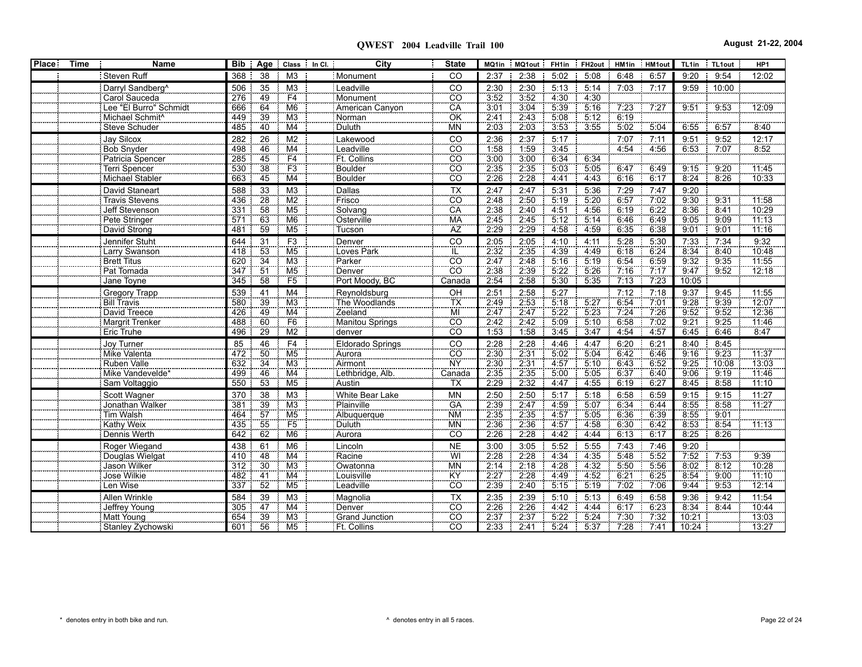**QWEST 2004 Leadville Trail 100 August 21-22, 2004**

| <b>Place</b> | <b>Time</b><br><b>Name</b>   |     | Bib   Age   Class   In Cl.         |                 | City                   | <b>State</b>               |                     | MQ1in   MQ1out   FH1in   FH2out   HM1in   HM1out |       |      |       |      | TL1in | TL1out      | HP1               |
|--------------|------------------------------|-----|------------------------------------|-----------------|------------------------|----------------------------|---------------------|--------------------------------------------------|-------|------|-------|------|-------|-------------|-------------------|
|              | Steven Ruff                  | 368 | 38                                 | M <sub>3</sub>  | Monument               | CO                         | 2:37                | 2:38                                             | 5:02  | 5:08 | 6:48  | 6:57 | 9:20  | 9:54        | 12:02             |
|              | Darryl Sandberg <sup>^</sup> | 506 | 35                                 | M <sub>3</sub>  | Leadville              | CO                         | 2:30                | 2:30                                             | 5:13  | 5:14 | 7:03  | 7:17 | 9:59  | 10:00<br>-8 |                   |
|              | Carol Sauceda                | 276 | 49                                 | F4              | Monument               | $\overline{CO}$            | 3:52                | 3:52                                             | 4:30  | 4:30 |       |      |       |             |                   |
|              | Lee "El Burro" Schmidt       | 666 | 64                                 | M <sub>6</sub>  | American Canyon        | CA                         | 3:01                | 3.04                                             | 5:39  | 5:16 | 7.23  | 7.27 | 9:51  | 9.53        | 12:09             |
|              | Michael Schmit <sup>^</sup>  | 449 | 39                                 | M <sub>3</sub>  | Norman                 | OK                         | 2:41                | 2.43                                             | 5:08  | 5:12 | 6:19  |      |       |             |                   |
|              | Steve Schuder                | 485 | 40                                 | M4              | Duluth                 | <b>MN</b>                  | 2:03                | 2:03                                             | 3:53  | 3:55 | 5:02  | 5:04 | 6:55  | 6:57        | 8:40              |
|              | Jay Silcox                   | 282 | 26                                 | M <sub>2</sub>  | Lakewood               | CO                         | 2:36                | 2:37                                             | 5:17  |      | 7:07  | 7:11 | 9:51  | 9:52        | 12:17             |
|              | Bob Snyder                   | 498 | 46                                 | M4              | Leadville              | <b>CO</b>                  | 1.58                | 1.59                                             | 3.45  |      | 4 5 4 | 4.56 | 6.53  | 7.07        | 8:52              |
|              | Patricia Spencer             | 285 | $\frac{1}{45}$                     | F4              | Ft. Collins            | CO <sub>.</sub>            | 3:00                | 3:00                                             | 6:34  | 6:34 |       |      |       |             |                   |
|              | Terri Spencer                | 530 | $\overline{38}$                    | F3              | Boulder                | <b>CO</b>                  | 2:35                | 2:35                                             | 5.03  | 5.05 | 6:47  | 6:49 | 9:15  | 9:20        | 11:45             |
|              | <b>Michael Stabler</b>       | 663 | 45                                 | M4              | Boulder                | $\overline{CO}$            | 2:26                | 2:28                                             | 4:41  | 4:43 | 6:16  | 6:17 | 8:24  | 8:26        | 10:33             |
|              | David Staneart               | 588 | 33                                 | M <sub>3</sub>  | Dallas                 | <b>TX</b>                  | 2:47                | 2:47                                             | 5:31  | 5:36 | 7:29  | 7:47 | 9:20  |             |                   |
|              | Travis Stevens               | 436 | $\overline{28}$                    | M <sub>2</sub>  | Frisco                 | CO <sub>1</sub>            | 2.48                | 2.50                                             | 5:19  | 5.20 | 6.57  | 7:02 | 9:30  | 9:31        | 11.58             |
|              | Jeff Stevenson               | 331 | 58                                 | M <sub>5</sub>  | Solvang                | CA                         | 2:38                | 2:40                                             | 4:51  | 4:56 | 6:19  | 6:22 | 8:36  | 8:41        | 10:29             |
|              | Pete Stringer                | 571 | 63                                 | M <sub>6</sub>  | Osterville             | <b>MA</b>                  | 2.45                | 2.45                                             | 5:12  | 5:14 | 6:46  | 6.49 | 9:05  | 9:09        | 11:13             |
|              | David Strong                 | 481 | 59                                 | M <sub>5</sub>  | Tucson                 | ÄZ                         | 2.29                | 2:29                                             | 4:58  | 4:59 | 6:35  | 6:38 | 9:01  | 9:01        | 11:16             |
|              | Jennifer Stuht               | 644 | 31                                 | F <sub>3</sub>  | Denver                 | $\overline{c}$             | 2:05                | 2:05                                             | 4:10  | 4:11 | 5:28  | 5:30 | 7:33  | 7:34        | 9:32              |
|              | Larry Swanson                | 418 | 53                                 | M <sub>5</sub>  | Loves Park             | ΪĽ                         | 2.32                | 2:35                                             | 4.39  | 4:49 | 6:18  | 6:24 | 8:34  | 8:40        | 10:48             |
|              | <b>Brett Titus</b>           | 620 | $\overline{34}$                    | M <sub>3</sub>  | Parker                 | $\overline{CO}$            | 2:47                | 2:48                                             | 5:16  | 5.19 | 6.54  | 6:59 | 9:32  | 9.35        | 11:55             |
|              | Pat Tomada                   | 347 | 51                                 | M <sub>5</sub>  | Denver                 | $\overline{co}$            | 2:38                | 2:39                                             | 5.22  | 5.26 | 7.16  | 7.17 | 9.47  | 9.52        | 12:18             |
|              | Jane Toyne                   | 345 | 58                                 | F <sub>5</sub>  | Port Moody, BC         | Canada                     | 2:54                | 2:58                                             | 5:30  | 5:35 | 7:13  | 7:23 | 10:05 |             |                   |
|              | Gregory Trapp                | 539 | 41                                 | M4              | Reynoldsburg           | OH                         | 2:51                | 2:58                                             | 5:27  |      | 7:12  | 7:18 | 9:37  | 9:45        | 11:55             |
|              | <b>Bill Travis</b>           | 580 | 39                                 | $\overline{M3}$ | The Woodlands          | ТX                         | 2:49                | 2:53                                             | 5.18  | 5:27 | 6.54  | 7.01 | 9.28  | 9:39        | 12:07             |
|              | David Treece                 | 426 | $\frac{49}{60}$                    | $\overline{M4}$ | Zeeland                | $\overline{\mathsf{MI}}$   | $\frac{2.47}{2.42}$ | 2.47                                             | 5.22  | 5.23 | 7:24  | 7:26 | 9.52  | 9:52        | 12:36             |
|              | Margrit Trenker              | 488 |                                    | F <sub>6</sub>  | Manitou Springs        | CÖ.                        |                     | 2.42                                             | 5.09  | 5:10 | 6.58  | 7.02 | 9:21  | 9.25        | 11.46             |
|              | <b>Eric Truhe</b>            | 496 | 29                                 | M2              | denver                 | $\overline{c}\overline{o}$ | 1:53                | 1:58                                             | 3:45  | 3:47 | 4:54  | 4:57 | 6:45  | 6:46        | 8:47              |
|              | Joy Turner                   | 85  | 46                                 | F <sub>4</sub>  | Eldorado Springs       | CO                         | 2:28                | 2:28                                             | 4:46  | 4:47 | 6:20  | 6:21 | 8:40  | 8:45        |                   |
|              | Mike Valenta                 | 472 | 50                                 | M <sub>5</sub>  | Aurora                 | $rac{CO}{NY}$              | $\frac{1}{2.30}$    | 2:31                                             | 5.02  | 5.04 | 6.42  | 6.46 | 9:16  | 9:23        | $\frac{1}{11.37}$ |
|              | Ruben Valle                  | 632 | 34                                 | $\overline{M3}$ | Airmont                |                            | 2.30                | 2:31                                             | 4:57  | 5:10 | 6:43  | 6:52 | 9:25  | 10:08       | 13:03             |
|              | Mike Vandevelde*             | 499 | 46                                 | M4              | Lethbridge, Alb.       | Canada                     | 2.35                | 2:35                                             | 5:00  | 5:05 | 6:37  | 6:40 | 9:06  | 9:19        | 11:46             |
|              | Sam Voltaggio                | 550 | 53                                 | M <sub>5</sub>  | Austin                 | TX                         | 2:29                | 2:32                                             | 4:47  | 4:55 | 6:19  | 6:27 | 8:45  | 8:58        | 11:10             |
|              | Scott Wagner                 | 370 | 38                                 | M3              | <b>White Bear Lake</b> | <b>MN</b>                  | 2:50                | 2:50                                             | 5:17  | 5:18 | 6:58  | 6:59 | 9:15  | 9:15        | 11:27             |
|              | Jonathan Walker              | 381 | 39                                 | M3              | Plainville             | <b>GA</b>                  | 2.39                | 2:47                                             | 4:59  | 5.07 | 6.34  | 6:44 | 8.55  | 8:58        | 11:27             |
|              | Tim Walsh                    | 464 | 57                                 | M <sub>5</sub>  | Albuquerque            | <b>NM</b>                  | 2.35                | 2:35                                             | 4:57  | 5:05 | 6:36  | 6:39 | 8:55  | 9:01        |                   |
|              | Kathy Weix                   | 435 | 55                                 | F5              | <b>Duluth</b>          | <b>MN</b><br>CO            | 2:36                | 2:36                                             | 4:57  | 4.58 | 6:30  | 6:42 | 8:53  | 8.54        | 11:13             |
|              | Dennis Werth                 | 642 | 62                                 | M <sub>6</sub>  | Aurora                 |                            | 2.26                | 2.28                                             | 4.42  | 4.44 | 6:13  | 6:17 | 8:25  | 8.26        |                   |
|              | Roger Wiegand                | 438 | 61                                 | M <sub>6</sub>  | Lincoln                | <b>NE</b>                  | 3:00                | 3:05                                             | 5:52  | 5:55 | 7:43  | 7:46 | 9:20  |             |                   |
|              | Douglas Wielgat              | 410 | 48                                 | M <sub>4</sub>  | Racine                 | WÏ                         | 2:28                | 2.28                                             | 4 3 4 | 4:35 | 5.48  | 5.52 | 7.52  | 7:53        | 9:39              |
|              | Jason Wilker                 | 312 | $\overline{30}$<br>$\overline{41}$ | $\overline{M3}$ | Owatonna               | ΜÑ<br>ΚŸ                   | 2:14                | 2:18                                             | 4.28  | 4.32 | 5:50  | 5.56 | 8:02  | 8:12        | 10:28             |
|              | Jose Wilkie                  | 482 | 52                                 | M4              | Louisville             |                            | 2:27                | 2.28                                             | 4:49  | 4.52 | 6:21  | 6:25 | 8.54  | 9:00        | 11:10             |
|              | Len Wise                     | 337 |                                    | M <sub>5</sub>  | Leadville              | $\overline{CO}$            | 2:39                | 2:40                                             | 5:15  | 5:19 | 7:02  | 7:06 | 9:44  | 9:53        | 12:14             |
|              | Allen Wrinkle                | 584 | $\frac{39}{47}$                    | M3              | Magnolia               | $rac{TX}{CO}$              | 2:35                | 2:39                                             | 5:10  | 5:13 | 6:49  | 6:58 | 9:36  | 9:42        | 11:54             |
|              | Jeffrey Young                | 305 |                                    | M4              | Denver                 |                            | 2:26                | 2.26                                             | 4:42  | 4:44 | 6:17  | 6:23 | 8:34  | 8:44        | 10:44             |
|              | Matt Young                   | 654 | 39                                 | M <sub>3</sub>  | Grand Junction         | $\overline{CO}$            | 2:37                | 2:37                                             | 5.22  | 5:24 | 7:30  | 7:32 | 10:21 |             | 13:03             |
|              | Stanley Zychowski            | 601 | 56                                 | M <sub>5</sub>  | Ft. Collins            | <b>CO</b>                  | 2:33                | 2:41                                             | 5:24  | 5:37 | 7:28  | 7.41 | 10:24 |             | 13:27             |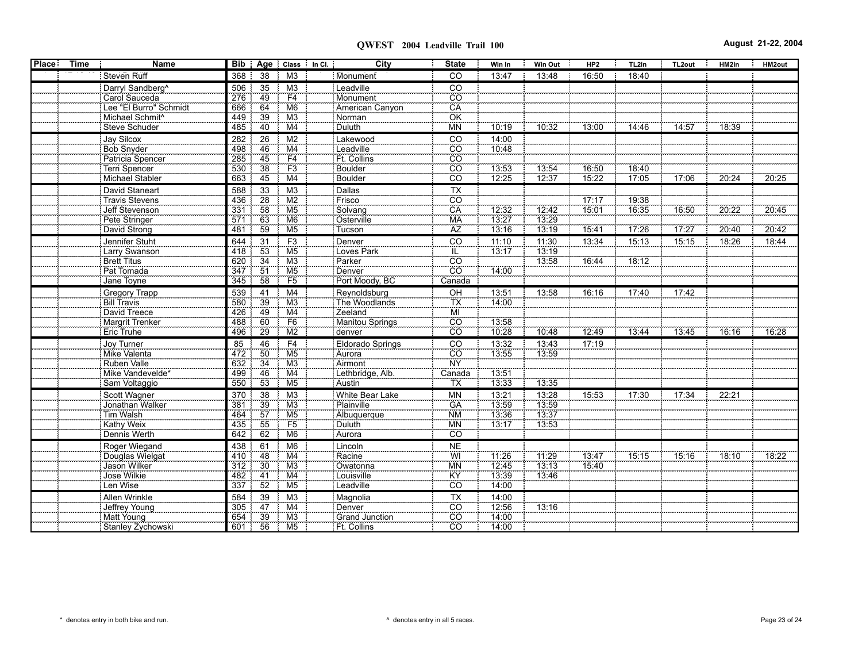| Place : | Time | Name                         |            |                      |                                       | City<br>Bib   Age   Class   In Cl. | <b>State</b>                 | Win In         | <b>Win Out</b> | HP2   | TL2in | TL2out | HM2in | HM2out |
|---------|------|------------------------------|------------|----------------------|---------------------------------------|------------------------------------|------------------------------|----------------|----------------|-------|-------|--------|-------|--------|
|         |      | Steven Ruff                  | 368        | 38                   | M <sub>3</sub>                        | Monument                           | CO                           | 13:47          | 13:48          | 16:50 | 18:40 |        |       |        |
|         |      | Darryl Sandberg <sup>^</sup> | 506        | 35                   | M3                                    | Leadville                          | CO                           |                |                |       |       |        |       |        |
|         |      | Carol Sauceda                | 276        | 49                   | F4                                    | Monument                           | $\overline{CO}$              |                |                |       |       |        |       |        |
|         |      | Lee "El Burro" Schmidt       | 666        | 64                   | M6                                    | American Canyon                    | $\overline{CA}$              |                |                |       |       |        |       |        |
|         |      | Michael Schmit <sup>^</sup>  | 449        | 39                   | M3                                    | Norman                             |                              |                |                |       |       |        |       |        |
|         |      | Steve Schuder                | 485        | 40                   | M4                                    | Duluth                             | OK<br>MN                     | 10:19          | 10:32          | 13:00 | 14:46 | 14:57  | 18:39 |        |
|         |      | Jay Silcox                   | 282        | $\overline{26}$      | M <sub>2</sub>                        | Lakewood                           | CO                           | 14:00          |                |       |       |        |       |        |
|         |      | Bob Snyder                   | 498        | 46                   | $\frac{\overline{M4}}{\overline{F4}}$ | Leadville                          | $\overline{c}\overline{o}$   | 10:48          |                |       |       |        |       |        |
|         |      | Patricia Spencer             | 285        | $\frac{45}{38}$      |                                       | Ft. Collins                        | $rac{100}{00}$               |                |                |       |       |        |       |        |
|         |      | <b>Terri Spencer</b>         | 530        |                      | F3                                    | Boulder                            |                              | 13:53          | 13:54          | 16:50 | 18:40 |        |       |        |
|         |      | Michael Stabler              | 663        | 45                   | M4                                    | Boulder                            | <b>CO</b>                    | 12:25          | 12:37          | 15:22 | 17:05 | 17:06  | 20:24 | 20:25  |
|         |      | David Staneart               | 588        | 33                   | M3                                    |                                    | $\overline{TX}$              |                |                |       |       |        |       |        |
|         |      | Travis Stevens               | 436        | $\frac{15}{28}$      | M2                                    | Dallas<br>Frisco                   |                              |                |                | 17.17 | 19:38 |        |       |        |
|         |      | Jeff Stevenson               | 331        | $-58$                | M <sub>5</sub>                        | Solvang                            | $\frac{1}{100}$              | 12:32          | 12:42          | 15:01 | 16:35 | 16:50  | 20:22 | 20:45  |
|         |      | Pete Stringer                | 571        | $-63$                | M <sub>6</sub>                        | Osterville                         | <b>MA</b>                    | 13.27          | 13:29          |       |       |        |       |        |
|         |      | David Strong                 | 481        | $-59$                | M <sub>5</sub>                        | Tucson                             | ÄZ                           | 13:16          | 13:19          | 15:41 | 17:26 | 17:27  | 20:40 | 20:42  |
|         |      | Jennifer Stuht               | 644 31     |                      | F <sub>3</sub>                        | Denver                             | $\overline{c}$               | 11:10          | 11:30          | 13:34 | 15:13 | 15:15  | 18:26 | 18:44  |
|         |      | Larry Swanson                | 418        | $-53$                | M <sub>5</sub>                        | Loves Park                         |                              | 73:17          | 13:19          |       |       |        |       |        |
|         |      | <b>Brett Titus</b>           | 620        | $\overline{34}$      | M3                                    | Parker                             | $rac{1}{100}$                |                | 13:58          | 16:44 | 18:12 |        |       |        |
|         |      | Pat Tomada                   | 347        | $-51$                | M <sub>5</sub>                        | Denver                             | $\overline{co}$              | 14:00          |                |       |       |        |       |        |
|         |      | Jane Toyne                   | 345        | 58                   | F <sub>5</sub>                        | Port Moody, BC                     | Canada                       |                |                |       |       |        |       |        |
|         |      | Gregory Trapp                | 539        | 41                   | M4                                    | Reynoldsburg                       | $rac{}{P}{P}$                | 13:51          | 13:58          | 16:16 | 17:40 | 17:42  |       |        |
|         |      | <b>Bill Travis</b>           | 580        | $\overline{39}$      | M3                                    | The Woodlands                      | TX                           | 14:00          |                |       |       |        |       |        |
|         |      | David Treece                 | 426        | 49                   |                                       | Zeeland                            |                              |                |                |       |       |        |       |        |
|         |      | Margrit Trenker              | 488        | 60                   | $\frac{M4}{F6}$                       | Manitou Springs                    | $\frac{1}{100}$              | 13.58          |                |       |       |        |       |        |
|         |      | <b>Eric Truhe</b>            | 496        | $\overline{29}$      | M2                                    | denver                             | $\overline{c}\overline{o}$   | 10:28          | 10:48          | 12:49 | 13:44 | 13:45  | 16:16 | 16:28  |
|         |      |                              | 85         |                      | F <sub>4</sub>                        |                                    |                              | 13:32          |                |       |       |        |       |        |
|         |      | Joy Turner<br>Mike Valenta   | 472        | 46<br>50             | M5                                    | <b>Eldorado Springs</b><br>Aurora  | $rac{1}{100}$                | 13:55          | 13:43<br>13:59 | 17:19 |       |        |       |        |
|         |      | Ruben Valle                  |            |                      | M3                                    | Airmont                            | <b>NY</b>                    |                |                |       |       |        |       |        |
|         |      | Mike Vandevelde*             | 632<br>499 | $\frac{34}{ }$<br>46 | M4                                    | Lethbridge, Alb.                   | Canada                       | 13.51          |                |       |       |        |       |        |
|         |      | Sam Voltaggio                | 550        | $-53$                | M <sub>5</sub>                        | : Austin                           | TX                           | 13:33          | 13:35          |       |       |        |       |        |
|         |      |                              |            |                      |                                       |                                    |                              |                |                |       |       |        |       |        |
|         |      | Scott Wagner                 | 370        | 38                   | M3                                    | White Bear Lake                    | <b>MN</b>                    | 13:21          | 13:28          | 15:53 | 17:30 | 17:34  | 22:21 |        |
|         |      | Jonathan Walker              | 381        | 39                   | M3                                    | Plainville                         | GA                           | 13:59          | 13:59          |       |       |        |       |        |
|         |      | Tim Walsh                    | 464        | 57                   | M <sub>5</sub><br>F <sub>5</sub>      | Albuquerque                        | <b>NM</b>                    | 13:36          | 13:37<br>13:53 |       |       |        |       |        |
|         |      | Kathy Weix                   | 435        | 55<br>62             |                                       | Duluth                             | <b>MN</b><br>$\overline{CO}$ | 13:17          |                |       |       |        |       |        |
|         |      | Dennis Werth                 | 642        |                      | M <sub>6</sub>                        | Aurora                             |                              |                |                |       |       |        |       |        |
|         |      | Roger Wiegand                | 438        | 61                   | M6                                    | Lincoln                            | <b>NE</b>                    |                |                |       |       |        |       |        |
|         |      | Douglas Wielgat              | 410        | 48                   | M4                                    | Racine                             | Wİ                           | 11:26<br>12:45 | 11:29          | 13.47 | 15:15 | 15.16  | 18:10 | 18.22  |
|         |      | Jason Wilker                 | 312        | $\frac{30}{41}$      | M <sub>3</sub>                        | Owatonna                           | MN<br>KY                     |                | 13:13<br>13:46 | 15:40 |       |        |       |        |
|         |      | Jose Wilkie                  | 482        |                      | $\overline{\text{M4}}$                | Louisville                         |                              | 13.39          |                |       |       |        |       |        |
|         |      | Len Wise                     | 337        | 52                   | M <sub>5</sub>                        | Leadville                          | cö                           | 14.00          |                |       |       |        |       |        |
|         |      | Allen Wrinkle                | 584        | 39                   | M3                                    | Magnolia                           | $\frac{1}{100}$              | 14:00          |                |       |       |        |       |        |
|         |      | Jeffrey Young                | 305        | 47                   | M4                                    | Denver                             |                              | 12.56          | 13:16          |       |       |        |       |        |
|         |      | Matt Young                   | 654        | 39                   | M3                                    | Grand Junction                     |                              | 14.00          |                |       |       |        |       |        |
|         |      | Stanley Zychowski            | 601 56     |                      | M5                                    | Ft. Collins                        | CO <sup>-</sup>              | 14:00          |                |       |       |        |       |        |